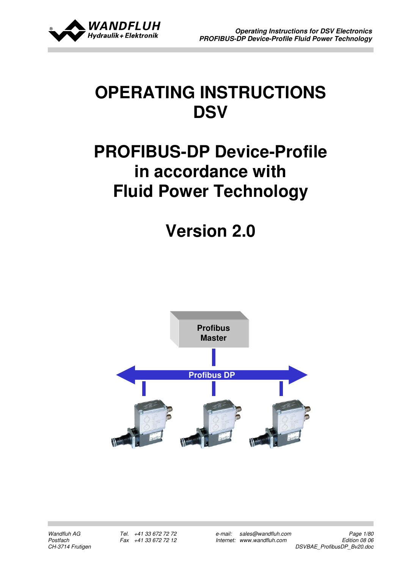

# OPERATING INSTRUCTIONS **DSV**

# PROFIBUS-DP Device-Profile in accordance with Fluid Power Technology

Version 2.0

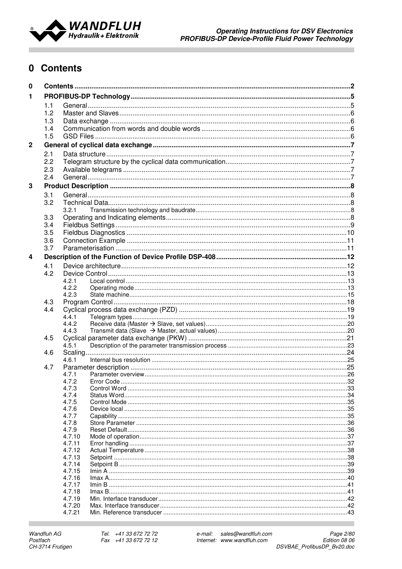

# 0 Contents

| $\mathbf 0$    |            |                  |  |  |
|----------------|------------|------------------|--|--|
| 1              |            |                  |  |  |
|                | 1.1        |                  |  |  |
|                | 1.2        |                  |  |  |
|                | 1.3        |                  |  |  |
|                | 1.4        |                  |  |  |
|                | 1.5        |                  |  |  |
| $\overline{2}$ |            |                  |  |  |
|                | 2.1        |                  |  |  |
|                | 2.2        |                  |  |  |
|                |            |                  |  |  |
|                | 2.3<br>2.4 |                  |  |  |
|                |            |                  |  |  |
| 3              |            |                  |  |  |
|                | 3.1        |                  |  |  |
|                | 3.2        |                  |  |  |
|                |            | 3.2.1            |  |  |
|                | 3.3        |                  |  |  |
|                | 3.4        |                  |  |  |
|                | 3.5        |                  |  |  |
|                | 3.6        |                  |  |  |
|                | 3.7        |                  |  |  |
| 4              |            |                  |  |  |
|                | 4.1        |                  |  |  |
|                | 4.2        |                  |  |  |
|                |            | 4.2.1            |  |  |
|                |            | 4.2.2            |  |  |
|                |            | 4.2.3            |  |  |
|                | 4.3        |                  |  |  |
|                | 4.4        |                  |  |  |
|                |            | 4.4.1            |  |  |
|                |            | 4.4.2            |  |  |
|                |            | 4.4.3            |  |  |
|                | 4.5        | 4.5.1            |  |  |
|                | 4.6        |                  |  |  |
|                |            | 4.6.1            |  |  |
|                | 4.7        |                  |  |  |
|                |            | 4.7.1            |  |  |
|                |            | 4.7.2            |  |  |
|                |            | 4.7.3            |  |  |
|                |            | 4.7.4            |  |  |
|                |            | 4.7.5            |  |  |
|                |            | 4.7.6            |  |  |
|                |            | 4.7.7            |  |  |
|                |            | 4.7.8            |  |  |
|                |            | 4.7.9            |  |  |
|                |            | 4.7.10<br>4.7.11 |  |  |
|                |            | 4.7.12           |  |  |
|                |            | 4.7.13           |  |  |
|                |            | 4.7.14           |  |  |
|                |            | 4.7.15           |  |  |
|                |            | 4.7.16           |  |  |
|                |            | 4.7.17           |  |  |
|                |            | 4.7.18           |  |  |
|                |            | 4.7.19           |  |  |
|                |            | 4.7.20           |  |  |
|                |            | 4.7.21           |  |  |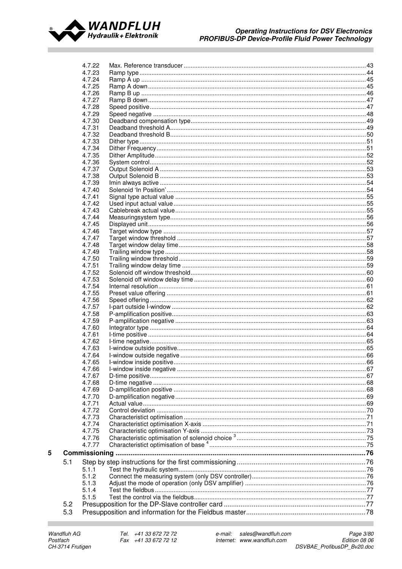

|     | 4.7.22           |  |
|-----|------------------|--|
|     | 4.7.23           |  |
|     | 4.7.24           |  |
|     | 4.7.25           |  |
|     | 4.7.26           |  |
|     | 4.7.27           |  |
|     | 4.7.28           |  |
|     | 4.7.29           |  |
|     | 4.7.30           |  |
|     | 4.7.31           |  |
|     | 4.7.32           |  |
|     | 4.7.33           |  |
|     | 4.7.34           |  |
|     | 4.7.35           |  |
|     | 4.7.36           |  |
|     | 4.7.37           |  |
|     | 4.7.38           |  |
|     | 4.7.39           |  |
|     | 4.7.40           |  |
|     | 4.7.41           |  |
|     | 4.7.42           |  |
|     | 4.7.43           |  |
|     | 4.7.44           |  |
|     | 4.7.45           |  |
|     | 4.7.46           |  |
|     | 4.7.47           |  |
|     | 4.7.48           |  |
|     | 4.7.49           |  |
|     | 4.7.50           |  |
|     | 4.7.51           |  |
|     | 4.7.52           |  |
|     | 4.7.53           |  |
|     | 4.7.54           |  |
|     | 4.7.55           |  |
|     | 4.7.56           |  |
|     | 4.7.57           |  |
|     | 4.7.58           |  |
|     | 4.7.59           |  |
|     | 4.7.60           |  |
|     | 4.7.61           |  |
|     | 4.7.62           |  |
|     | 4.7.63           |  |
|     | 4.7.64           |  |
|     | 4.7.65           |  |
|     | 4.7.66           |  |
|     |                  |  |
|     | 4.7.67<br>4.7.68 |  |
|     | 4.7.69           |  |
|     |                  |  |
|     | 4.7.70<br>4.7.71 |  |
|     | 4.7.72           |  |
|     |                  |  |
|     | 4.7.73           |  |
|     | 4.7.74<br>4.7.75 |  |
|     |                  |  |
|     | 4.7.76           |  |
|     | 4.7.77           |  |
|     | Commissioning    |  |
| 5.1 |                  |  |
|     | 5.1.1            |  |
|     | 5.1.2            |  |
|     | 5.1.3            |  |
|     | 5.1.4            |  |
|     | 5.1.5            |  |
| 5.2 |                  |  |
| 5.3 |                  |  |
|     |                  |  |

 $5\phantom{a}$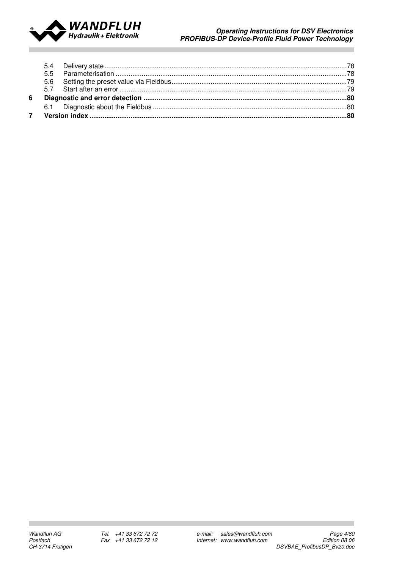

### Operating Instructions for DSV Electronics PROFIBUS-DP Device-Profile Fluid Power Technology

| 6 |  |  |
|---|--|--|
|   |  |  |
|   |  |  |
|   |  |  |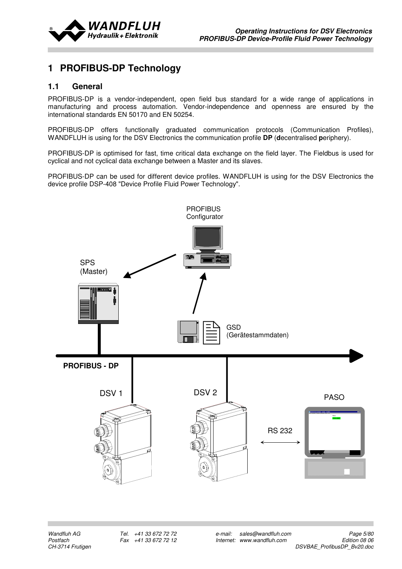

# 1 PROFIBUS-DP Technology

# 1.1 General

PROFIBUS-DP is a vendor-independent, open field bus standard for a wide range of applications in manufacturing and process automation. Vendor-independence and openness are ensured by the international standards EN 50170 and EN 50254.

PROFIBUS-DP offers functionally graduated communication protocols (Communication Profiles), WANDFLUH is using for the DSV Electronics the communication profile **DP** (decentralised periphery).

PROFIBUS-DP is optimised for fast, time critical data exchange on the field layer. The Fieldbus is used for cyclical and not cyclical data exchange between a Master and its slaves.

PROFIBUS-DP can be used for different device profiles. WANDFLUH is using for the DSV Electronics the device profile DSP-408 "Device Profile Fluid Power Technology".

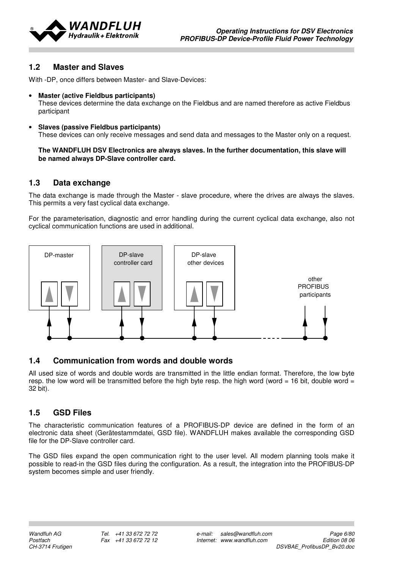

# 1.2 Master and Slaves

With -DP, once differs between Master- and Slave-Devices:

#### • Master (active Fieldbus participants)

These devices determine the data exchange on the Fieldbus and are named therefore as active Fieldbus participant

• Slaves (passive Fieldbus participants) These devices can only receive messages and send data and messages to the Master only on a request.

#### The WANDFLUH DSV Electronics are always slaves. In the further documentation, this slave will be named always DP-Slave controller card.

# 1.3 Data exchange

The data exchange is made through the Master - slave procedure, where the drives are always the slaves. This permits a very fast cyclical data exchange.

For the parameterisation, diagnostic and error handling during the current cyclical data exchange, also not cyclical communication functions are used in additional.



# 1.4 Communication from words and double words

All used size of words and double words are transmitted in the little endian format. Therefore, the low byte resp. the low word will be transmitted before the high byte resp. the high word (word = 16 bit, double word = 32 bit).

# 1.5 GSD Files

The characteristic communication features of a PROFIBUS-DP device are defined in the form of an electronic data sheet (Gerätestammdatei, GSD file). WANDFLUH makes available the corresponding GSD file for the DP-Slave controller card.

The GSD files expand the open communication right to the user level. All modern planning tools make it possible to read-in the GSD files during the configuration. As a result, the integration into the PROFIBUS-DP system becomes simple and user friendly.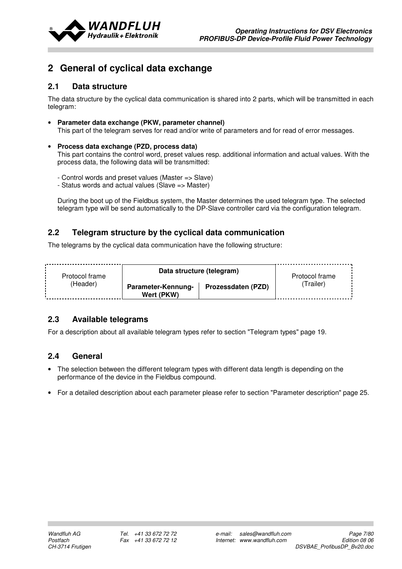

# 2 General of cyclical data exchange

# 2.1 Data structure

The data structure by the cyclical data communication is shared into 2 parts, which will be transmitted in each telegram:

- Parameter data exchange (PKW, parameter channel) This part of the telegram serves for read and/or write of parameters and for read of error messages.
- Process data exchange (PZD, process data) This part contains the control word, preset values resp. additional information and actual values. With the process data, the following data will be transmitted:
	- Control words and preset values (Master => Slave)
	- Status words and actual values (Slave => Master)

During the boot up of the Fieldbus system, the Master determines the used telegram type. The selected telegram type will be send automatically to the DP-Slave controller card via the configuration telegram.

# 2.2 Telegram structure by the cyclical data communication

The telegrams by the cyclical data communication have the following structure:

| Protocol frame | Data structure (telegram)        | Protocol frame     |          |
|----------------|----------------------------------|--------------------|----------|
| (Header)       | Parameter-Kennung-<br>Wert (PKW) | Prozessdaten (PZD) | Trailer) |

# 2.3 Available telegrams

For a description about all available telegram types refer to section "Telegram types" page 19.

# 2.4 General

- The selection between the different telegram types with different data length is depending on the performance of the device in the Fieldbus compound.
- For a detailed description about each parameter please refer to section "Parameter description" page 25.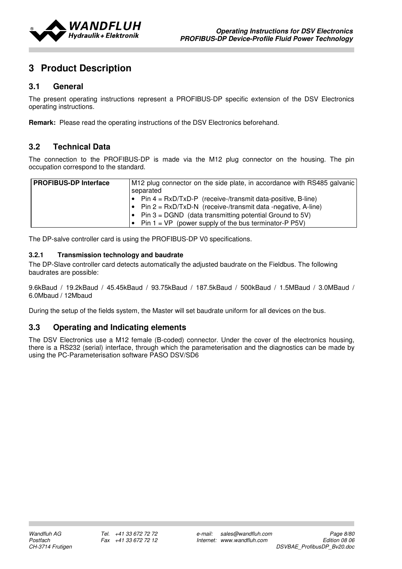

# 3 Product Description

# 3.1 General

The present operating instructions represent a PROFIBUS-DP specific extension of the DSV Electronics operating instructions.

Remark: Please read the operating instructions of the DSV Electronics beforehand.

# 3.2 Technical Data

The connection to the PROFIBUS-DP is made via the M12 plug connector on the housing. The pin occupation correspond to the standard.

| <b>PROFIBUS-DP Interface</b> | M12 plug connector on the side plate, in accordance with RS485 galvanic |
|------------------------------|-------------------------------------------------------------------------|
|                              | separated                                                               |
|                              | $\bullet$ Pin 4 = RxD/TxD-P (receive-/transmit data-positive, B-line)   |
|                              | $\bullet$ Pin 2 = RxD/TxD-N (receive-/transmit data -negative, A-line)  |
|                              | $\bullet$ Pin 3 = DGND (data transmitting potential Ground to 5V)       |
|                              | • Pin $1 = VP$ (power supply of the bus terminator-P P5V)               |

The DP-salve controller card is using the PROFIBUS-DP V0 specifications.

#### 3.2.1 Transmission technology and baudrate

The DP-Slave controller card detects automatically the adjusted baudrate on the Fieldbus. The following baudrates are possible:

9.6kBaud / 19.2kBaud / 45.45kBaud / 93.75kBaud / 187.5kBaud / 500kBaud / 1.5MBaud / 3.0MBaud / 6.0Mbaud / 12Mbaud

During the setup of the fields system, the Master will set baudrate uniform for all devices on the bus.

# 3.3 Operating and Indicating elements

The DSV Electronics use a M12 female (B-coded) connector. Under the cover of the electronics housing, there is a RS232 (serial) interface, through which the parameterisation and the diagnostics can be made by using the PC-Parameterisation software PASO DSV/SD6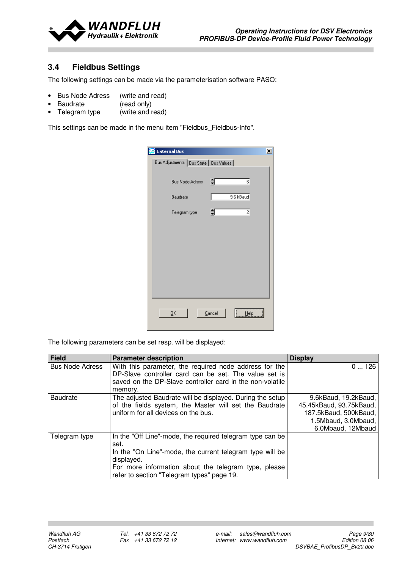

# 3.4 Fieldbus Settings

The following settings can be made via the parameterisation software PASO:

- Bus Node Adress (write and read)
- Baudrate (read only)
- Telegram type (write and read)

This settings can be made in the menu item "Fieldbus\_Fieldbus-Info".

| <b>External Bus</b>                      |        |                | × |
|------------------------------------------|--------|----------------|---|
| Bus Adjustments   Bus State   Bus Values |        |                |   |
| <b>Bus Node Adress</b>                   | ╡      | 6              |   |
| Baudrate                                 |        | 9.6 kBaud      |   |
| Telegram type                            | €      | $\overline{c}$ |   |
|                                          |        |                |   |
|                                          |        |                |   |
|                                          |        |                |   |
|                                          |        |                |   |
|                                          |        |                |   |
|                                          |        |                |   |
| <u>Ο</u> Κ                               | Cancel | Help           |   |
|                                          |        |                |   |

The following parameters can be set resp. will be displayed:

| <b>Field</b>           | <b>Parameter description</b>                              | <b>Display</b>          |
|------------------------|-----------------------------------------------------------|-------------------------|
| <b>Bus Node Adress</b> | With this parameter, the required node address for the    | 0126                    |
|                        | DP-Slave controller card can be set. The value set is     |                         |
|                        | saved on the DP-Slave controller card in the non-volatile |                         |
|                        | memory.                                                   |                         |
| <b>Baudrate</b>        | The adjusted Baudrate will be displayed. During the setup | 9.6kBaud, 19.2kBaud,    |
|                        | of the fields system, the Master will set the Baudrate    | 45.45kBaud, 93.75kBaud, |
|                        | uniform for all devices on the bus.                       | 187.5kBaud, 500kBaud,   |
|                        |                                                           | 1.5Mbaud, 3.0Mbaud,     |
|                        |                                                           | 6.0Mbaud, 12Mbaud       |
| Telegram type          | In the "Off Line"-mode, the required telegram type can be |                         |
|                        | set.                                                      |                         |
|                        | In the "On Line"-mode, the current telegram type will be  |                         |
|                        | displayed.                                                |                         |
|                        | For more information about the telegram type, please      |                         |
|                        | refer to section "Telegram types" page 19.                |                         |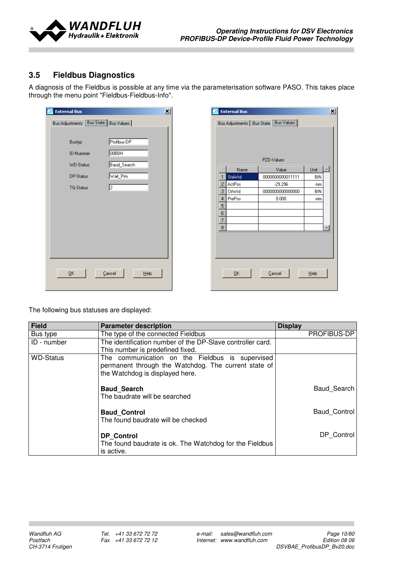

# 3.5 Fieldbus Diagnostics

A diagnosis of the Fieldbus is possible at any time via the parameterisation software PASO. This takes place through the menu point "Fieldbus-Fieldbus-Info".

| <b>External Bus</b>                     | $\overline{\mathbf{x}}$ |
|-----------------------------------------|-------------------------|
| Bus Adjustments [Bus State] Bus Values] |                         |
|                                         |                         |
| Bustyp                                  | Profibus-DP             |
| <b>ID-Nummer</b>                        | <b>OOBBH</b>            |
| <b>WD-Status</b>                        | Baud_Search             |
| DP-Status                               | Wait_Prm                |
| TG-Status                               | 2                       |
|                                         |                         |
|                                         |                         |
|                                         |                         |
|                                         |                         |
|                                         |                         |
|                                         |                         |
|                                         |                         |
| ŪΚ                                      | Cancel<br>Help          |
|                                         |                         |

| $\vert x \vert$<br><b>External Bus</b>   |               |                  |      |  |  |  |
|------------------------------------------|---------------|------------------|------|--|--|--|
| Bus Adjustments   Bus State   Bus Values |               |                  |      |  |  |  |
|                                          |               |                  |      |  |  |  |
|                                          |               |                  |      |  |  |  |
|                                          |               |                  |      |  |  |  |
|                                          |               | PZD-Values       |      |  |  |  |
|                                          | Name          | Value            | Unit |  |  |  |
| 1                                        | StaWrd        | 0000000000011111 | BIN  |  |  |  |
| $\overline{2}$                           | ActPos        | $-29.296$        | mm   |  |  |  |
| 3                                        | <b>CtrWrd</b> | 0000000000000000 | BIN  |  |  |  |
| 4                                        | PrePos        | 0.000            | mm   |  |  |  |
| 5                                        |               |                  |      |  |  |  |
| 6                                        |               |                  |      |  |  |  |
| 7                                        |               |                  |      |  |  |  |
| 8                                        |               |                  |      |  |  |  |
|                                          |               |                  |      |  |  |  |
|                                          |               |                  |      |  |  |  |
|                                          |               |                  |      |  |  |  |
|                                          |               |                  |      |  |  |  |
|                                          |               |                  |      |  |  |  |
|                                          | <u>Ο</u> Κ    | Cancel           | Help |  |  |  |
|                                          |               |                  |      |  |  |  |
|                                          |               |                  |      |  |  |  |

The following bus statuses are displayed:

| <b>Field</b>     | <b>Parameter description</b>                                                                                                               | <b>Display</b>      |
|------------------|--------------------------------------------------------------------------------------------------------------------------------------------|---------------------|
| Bus type         | The type of the connected Fieldbus                                                                                                         | PROFIBUS-DP         |
| ID - number      | The identification number of the DP-Slave controller card.<br>This number is predefined fixed.                                             |                     |
| <b>WD-Status</b> | The communication on the Fieldbus is supervised<br>permanent through the Watchdog. The current state of<br>the Watchdog is displayed here. |                     |
|                  | <b>Baud Search</b><br>The baudrate will be searched                                                                                        | Baud Search         |
|                  | <b>Baud Control</b><br>The found baudrate will be checked                                                                                  | <b>Baud Control</b> |
|                  | <b>DP</b> Control<br>The found baudrate is ok. The Watchdog for the Fieldbus<br>is active.                                                 | DP Control          |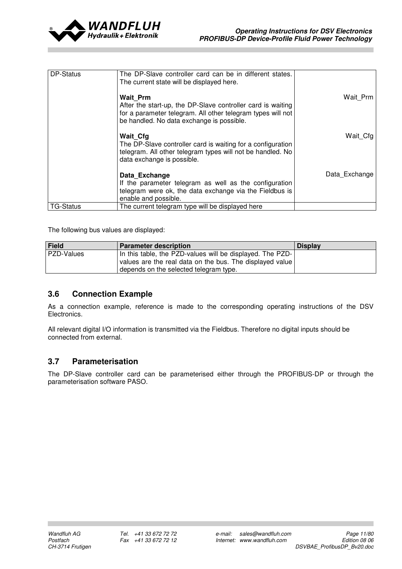

| DP-Status        | The DP-Slave controller card can be in different states.<br>The current state will be displayed here.                                                                                      |               |
|------------------|--------------------------------------------------------------------------------------------------------------------------------------------------------------------------------------------|---------------|
|                  | <b>Wait Prm</b><br>After the start-up, the DP-Slave controller card is waiting<br>for a parameter telegram. All other telegram types will not<br>be handled. No data exchange is possible. | Wait Prm      |
|                  | <b>Wait Cfg</b><br>The DP-Slave controller card is waiting for a configuration<br>telegram. All other telegram types will not be handled. No<br>data exchange is possible.                 | Wait Cfg      |
|                  | Data Exchange<br>If the parameter telegram as well as the configuration<br>telegram were ok, the data exchange via the Fieldbus is<br>enable and possible.                                 | Data Exchange |
| <b>TG-Status</b> | The current telegram type will be displayed here                                                                                                                                           |               |

The following bus values are displayed:

| Field      | <b>Parameter description</b>                              | <b>Display</b> |
|------------|-----------------------------------------------------------|----------------|
| PZD-Values | In this table, the PZD-values will be displayed. The PZD- |                |
|            | values are the real data on the bus. The displayed value  |                |
|            | depends on the selected telegram type.                    |                |

# 3.6 Connection Example

As a connection example, reference is made to the corresponding operating instructions of the DSV Electronics.

All relevant digital I/O information is transmitted via the Fieldbus. Therefore no digital inputs should be connected from external.

# 3.7 Parameterisation

The DP-Slave controller card can be parameterised either through the PROFIBUS-DP or through the parameterisation software PASO.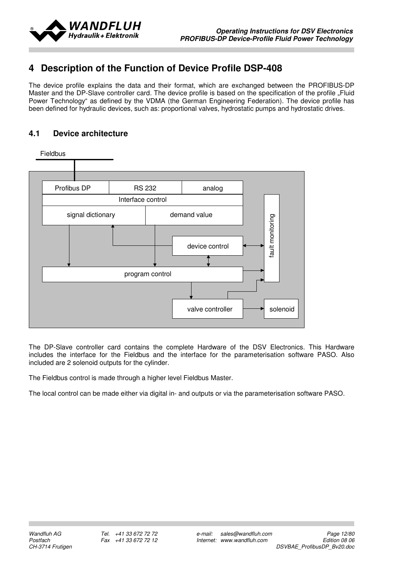

# 4 Description of the Function of Device Profile DSP-408

The device profile explains the data and their format, which are exchanged between the PROFIBUS-DP Master and the DP-Slave controller card. The device profile is based on the specification of the profile . Fluid Power Technology" as defined by the VDMA (the German Engineering Federation). The device profile has been defined for hydraulic devices, such as: proportional valves, hydrostatic pumps and hydrostatic drives.

# 4.1 Device architecture



The DP-Slave controller card contains the complete Hardware of the DSV Electronics. This Hardware includes the interface for the Fieldbus and the interface for the parameterisation software PASO. Also included are 2 solenoid outputs for the cylinder.

The Fieldbus control is made through a higher level Fieldbus Master.

The local control can be made either via digital in- and outputs or via the parameterisation software PASO.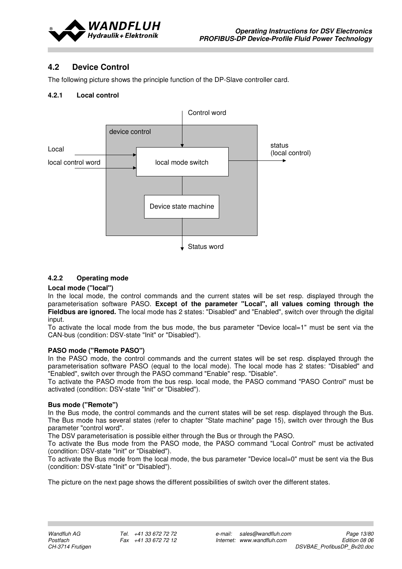

# 4.2 Device Control

The following picture shows the principle function of the DP-Slave controller card.

### 4.2.1 Local control



### 4.2.2 Operating mode

#### Local mode ("local")

In the local mode, the control commands and the current states will be set resp. displayed through the parameterisation software PASO. Except of the parameter "Local", all values coming through the Fieldbus are ignored. The local mode has 2 states: "Disabled" and "Enabled", switch over through the digital input.

To activate the local mode from the bus mode, the bus parameter "Device local=1" must be sent via the CAN-bus (condition: DSV-state "Init" or "Disabled").

#### PASO mode ("Remote PASO")

In the PASO mode, the control commands and the current states will be set resp. displayed through the parameterisation software PASO (equal to the local mode). The local mode has 2 states: "Disabled" and "Enabled", switch over through the PASO command "Enable" resp. "Disable".

To activate the PASO mode from the bus resp. local mode, the PASO command "PASO Control" must be activated (condition: DSV-state "Init" or "Disabled").

#### Bus mode ("Remote")

In the Bus mode, the control commands and the current states will be set resp. displayed through the Bus. The Bus mode has several states (refer to chapter "State machine" page 15), switch over through the Bus parameter "control word".

The DSV parameterisation is possible either through the Bus or through the PASO.

To activate the Bus mode from the PASO mode, the PASO command "Local Control" must be activated (condition: DSV-state "Init" or "Disabled").

To activate the Bus mode from the local mode, the bus parameter "Device local=0" must be sent via the Bus (condition: DSV-state "Init" or "Disabled").

The picture on the next page shows the different possibilities of switch over the different states.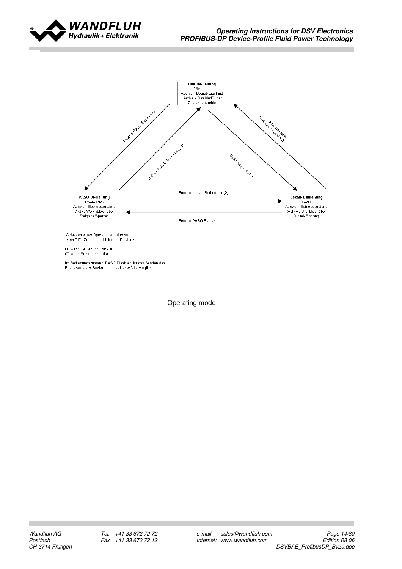



Verlassen eines Operationsmodus nur<br>wenn DSV-Zustand auf Init oder Disabled

(1) wenn Bedienung Lokal = 0<br>(2) wenn Bedienung Lokal = 1

lm Bedienungszustand 'PASO Disabled' ist das Senden des<br>Busparameters 'Bedienung Lokal' ebenfalls möglich

Operating mode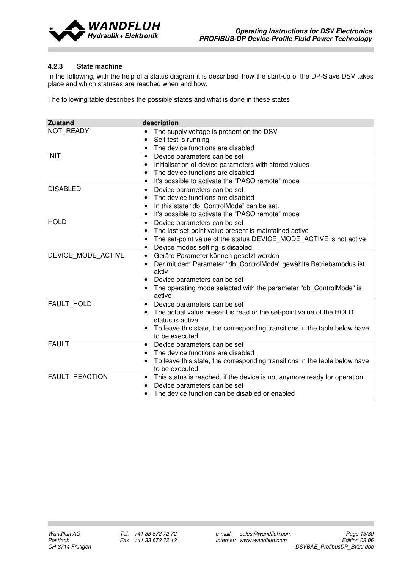

### 4.2.3 State machine

In the following, with the help of a status diagram it is described, how the start-up of the DP-Slave DSV takes place and which statuses are reached when and how.

The following table describes the possible states and what is done in these states:

| <b>Zustand</b>        | description                                                                             |  |  |  |
|-----------------------|-----------------------------------------------------------------------------------------|--|--|--|
| NOT READY             | The supply voltage is present on the DSV<br>$\bullet$                                   |  |  |  |
|                       | Self test is running                                                                    |  |  |  |
|                       | The device functions are disabled                                                       |  |  |  |
| <b>INIT</b>           | Device parameters can be set<br>$\bullet$                                               |  |  |  |
|                       | Initialisation of device parameters with stored values                                  |  |  |  |
|                       | The device functions are disabled                                                       |  |  |  |
|                       | It's possible to activate the "PASO remote" mode                                        |  |  |  |
| <b>DISABLED</b>       | Device parameters can be set                                                            |  |  |  |
|                       | The device functions are disabled<br>٠                                                  |  |  |  |
|                       | In this state "db_ControlMode" can be set.                                              |  |  |  |
|                       | It's possible to activate the "PASO remote" mode                                        |  |  |  |
| <b>HOLD</b>           | Device parameters can be set<br>$\bullet$                                               |  |  |  |
|                       | The last set-point value present is maintained active                                   |  |  |  |
|                       | The set-point value of the status DEVICE_MODE_ACTIVE is not active                      |  |  |  |
|                       | Device modes setting is disabled<br>٠                                                   |  |  |  |
| DEVICE_MODE_ACTIVE    | Geräte Parameter können gesetzt werden<br>$\bullet$                                     |  |  |  |
|                       | Der mit dem Parameter "db_ControlMode" gewählte Betriebsmodus ist                       |  |  |  |
|                       | aktiv                                                                                   |  |  |  |
|                       | Device parameters can be set                                                            |  |  |  |
|                       | The operating mode selected with the parameter "db_ControlMode" is<br>active            |  |  |  |
| <b>FAULT HOLD</b>     | Device parameters can be set<br>$\bullet$                                               |  |  |  |
|                       | The actual value present is read or the set-point value of the HOLD<br>status is active |  |  |  |
|                       | To leave this state, the corresponding transitions in the table below have              |  |  |  |
|                       | to be executed.                                                                         |  |  |  |
| <b>FAULT</b>          | Device parameters can be set<br>$\bullet$                                               |  |  |  |
|                       | The device functions are disabled                                                       |  |  |  |
|                       | To leave this state, the corresponding transitions in the table below have              |  |  |  |
|                       | to be executed                                                                          |  |  |  |
| <b>FAULT REACTION</b> | This status is reached, if the device is not anymore ready for operation<br>$\bullet$   |  |  |  |
|                       | Device parameters can be set<br>٠                                                       |  |  |  |
|                       | The device function can be disabled or enabled                                          |  |  |  |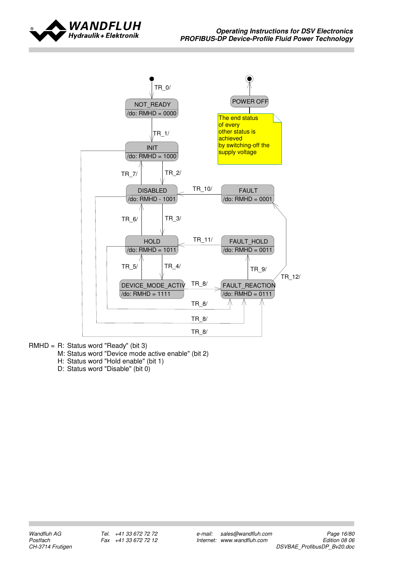



- RMHD = R: Status word "Ready" (bit 3)
	- M: Status word "Device mode active enable" (bit 2)
	- H: Status word "Hold enable" (bit 1)
	- D: Status word "Disable" (bit 0)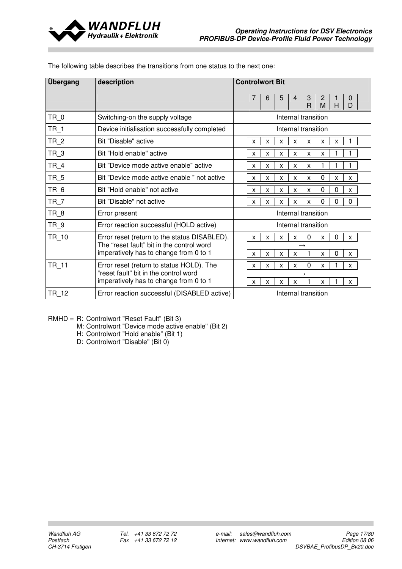

| Übergang<br>description |                                                                                     | <b>Controlwort Bit</b>                                                       |
|-------------------------|-------------------------------------------------------------------------------------|------------------------------------------------------------------------------|
|                         |                                                                                     |                                                                              |
| $TR_0$                  | Switching-on the supply voltage                                                     | Internal transition                                                          |
| $TR_1$                  | Device initialisation successfully completed                                        | Internal transition                                                          |
| $TR_2$                  | Bit "Disable" active                                                                | X<br>X<br>X<br>X<br>X<br>X<br>X                                              |
| $TR_3$                  | Bit "Hold enable" active                                                            | X<br>X<br>X<br>X<br>X<br>X                                                   |
| $TR_4$                  | Bit "Device mode active enable" active                                              | X<br>X<br>X<br>X<br>X                                                        |
| TR_5                    | Bit "Device mode active enable " not active                                         | 0<br>X<br>X<br>X<br>X<br>X<br>X<br>X                                         |
| $TR_6$                  | Bit "Hold enable" not active                                                        | 0<br>$\Omega$<br>X<br>X<br>X<br>X<br>X<br>X                                  |
| $TR_7$                  | Bit "Disable" not active                                                            | 0<br>$\Omega$<br>0<br>X<br>X<br>X<br>X<br>X                                  |
| $TR_8$                  | Error present                                                                       | Internal transition                                                          |
| $TR_9$                  | Error reaction successful (HOLD active)                                             | Internal transition                                                          |
| TR 10                   | Error reset (return to the status DISABLED).                                        | 0<br>$\Omega$<br>$\mathsf{x}$<br>X<br>X<br>X<br>$\mathsf{x}$<br>$\mathsf{X}$ |
|                         | The "reset fault" bit in the control word<br>imperatively has to change from 0 to 1 | 1<br>$\Omega$<br>$\mathsf{x}$<br>X<br>X<br>X<br>X<br>X                       |
| <b>TR 11</b>            | Error reset (return to status HOLD). The                                            | 0<br>$\mathsf{x}$<br>$\mathsf{X}$<br>$\mathsf{x}$<br>X.<br>X<br>X            |
|                         | "reset fault" bit in the control word<br>imperatively has to change from 0 to 1     | X<br>$\mathsf{X}$<br>X<br>X<br>X<br>X                                        |
| TR_12                   | Error reaction successful (DISABLED active)                                         | Internal transition                                                          |

The following table describes the transitions from one status to the next one:

RMHD = R: Controlwort "Reset Fault" (Bit 3)

M: Controlwort "Device mode active enable" (Bit 2)

H: Controlwort "Hold enable" (Bit 1)

D: Controlwort "Disable" (Bit 0)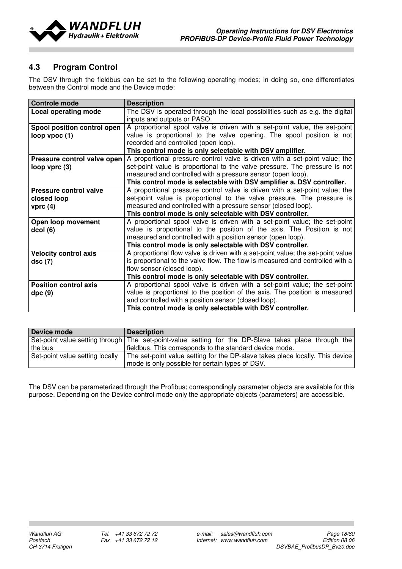

# 4.3 Program Control

The DSV through the fieldbus can be set to the following operating modes; in doing so, one differentiates between the Control mode and the Device mode:

| <b>Controle mode</b>         | <b>Description</b>                                                              |  |  |  |
|------------------------------|---------------------------------------------------------------------------------|--|--|--|
| Local operating mode         | The DSV is operated through the local possibilities such as e.g. the digital    |  |  |  |
|                              | inputs and outputs or PASO.                                                     |  |  |  |
| Spool position control open  | A proportional spool valve is driven with a set-point value, the set-point      |  |  |  |
| loop vpoc (1)                | value is proportional to the valve opening. The spool position is not           |  |  |  |
|                              | recorded and controlled (open loop).                                            |  |  |  |
|                              | This control mode is only selectable with DSV amplifier.                        |  |  |  |
| Pressure control valve open  | A proportional pressure control valve is driven with a set-point value; the     |  |  |  |
| loop vprc (3)                | set-point value is proportional to the valve pressure. The pressure is not      |  |  |  |
|                              | measured and controlled with a pressure sensor (open loop).                     |  |  |  |
|                              | This control mode is selectable with DSV amplifier a. DSV controller.           |  |  |  |
| Pressure control valve       | A proportional pressure control valve is driven with a set-point value; the     |  |  |  |
| closed loop                  | set-point value is proportional to the valve pressure. The pressure is          |  |  |  |
| vprc $(4)$                   | measured and controlled with a pressure sensor (closed loop).                   |  |  |  |
|                              | This control mode is only selectable with DSV controller.                       |  |  |  |
| Open loop movement           | A proportional spool valve is driven with a set-point value; the set-point      |  |  |  |
| dcol(6)                      | value is proportional to the position of the axis. The Position is not          |  |  |  |
|                              | measured and controlled with a position sensor (open loop).                     |  |  |  |
|                              | This control mode is only selectable with DSV controller.                       |  |  |  |
| <b>Velocity control axis</b> | A proportional flow valve is driven with a set-point value; the set-point value |  |  |  |
| dsc(7)                       | is proportional to the valve flow. The flow is measured and controlled with a   |  |  |  |
|                              | flow sensor (closed loop).                                                      |  |  |  |
|                              | This control mode is only selectable with DSV controller.                       |  |  |  |
| <b>Position control axis</b> | A proportional spool valve is driven with a set-point value; the set-point      |  |  |  |
| dpc(9)                       | value is proportional to the position of the axis. The position is measured     |  |  |  |
|                              | and controlled with a position sensor (closed loop).                            |  |  |  |
|                              | This control mode is only selectable with DSV controller.                       |  |  |  |

| Device mode                     | <b>Description</b>                                                                                   |  |  |  |
|---------------------------------|------------------------------------------------------------------------------------------------------|--|--|--|
|                                 | Set-point value setting through The set-point-value setting for the DP-Slave takes place through the |  |  |  |
| the bus                         | fieldbus. This corresponds to the standard device mode.                                              |  |  |  |
| Set-point value setting locally | The set-point value setting for the DP-slave takes place locally. This device                        |  |  |  |
|                                 | mode is only possible for certain types of DSV.                                                      |  |  |  |

The DSV can be parameterized through the Profibus; correspondingly parameter objects are available for this purpose. Depending on the Device control mode only the appropriate objects (parameters) are accessible.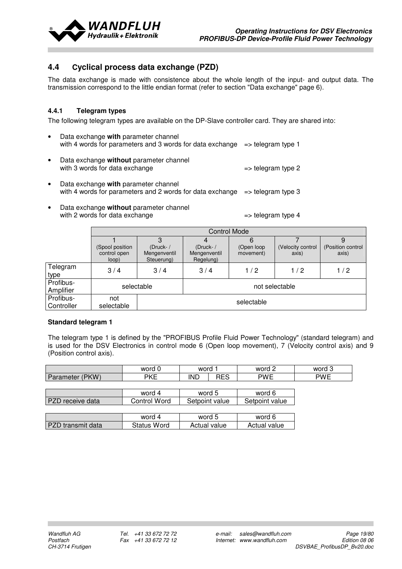

# 4.4 Cyclical process data exchange (PZD)

The data exchange is made with consistence about the whole length of the input- and output data. The transmission correspond to the little endian format (refer to section "Data exchange" page 6).

### 4.4.1 Telegram types

The following telegram types are available on the DP-Slave controller card. They are shared into:

- Data exchange with parameter channel with 4 words for parameters and 3 words for data exchange  $\Rightarrow$  telegram type 1
- Data exchange without parameter channel with 3 words for data exchange  $\Rightarrow$  telegram type 2
- Data exchange with parameter channel with 4 words for parameters and 2 words for data exchange  $\Rightarrow$  telegram type 3
- Data exchange without parameter channel with 2 words for data exchange  $\qquad$  => telegram type 4

|                         |                                          | <b>Control Mode</b>                       |                                        |                               |                            |                            |
|-------------------------|------------------------------------------|-------------------------------------------|----------------------------------------|-------------------------------|----------------------------|----------------------------|
|                         | (Spool position<br>control open<br>loop) | $(Druck- /$<br>Mengenventil<br>Steuerung) | $(Druck-$<br>Mengenventil<br>Regelung) | b<br>(Open loop)<br>movement) | (Velocity control<br>axis) | (Position control<br>axis) |
| Telegram<br>type        | 3/4                                      | 3/4                                       | 3/4                                    | 1/2                           | 1/2                        | 1/2                        |
| Profibus-<br>Amplifier  | selectable                               |                                           | not selectable                         |                               |                            |                            |
| Profibus-<br>Controller | not<br>selectable                        | selectable                                |                                        |                               |                            |                            |

#### Standard telegram 1

The telegram type 1 is defined by the "PROFIBUS Profile Fluid Power Technology" (standard telegram) and is used for the DSV Electronics in control mode 6 (Open loop movement), 7 (Velocity control axis) and 9 (Position control axis).

|                          | word 0             | word 1       |                | word 2         | word 3     |
|--------------------------|--------------------|--------------|----------------|----------------|------------|
| Parameter (PKW)          | <b>PKE</b>         | <b>IND</b>   | <b>RES</b>     | <b>PWE</b>     | <b>PWE</b> |
|                          |                    |              |                |                |            |
|                          | word 4             |              | word 5         | word 6         |            |
| PZD receive data         | Control Word       |              | Setpoint value | Setpoint value |            |
|                          |                    |              |                |                |            |
|                          | word 4             |              | word 5         | word 6         |            |
| <b>PZD</b> transmit data | <b>Status Word</b> | Actual value |                | Actual value   |            |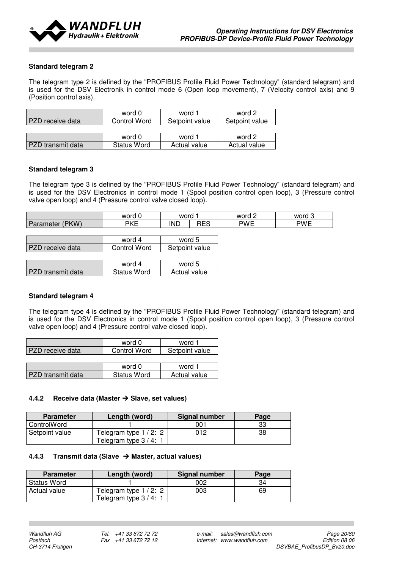

#### Standard telegram 2

The telegram type 2 is defined by the "PROFIBUS Profile Fluid Power Technology" (standard telegram) and is used for the DSV Electronik in control mode 6 (Open loop movement), 7 (Velocity control axis) and 9 (Position control axis).

|                   | word 0             | word 1         | word 2         |
|-------------------|--------------------|----------------|----------------|
| PZD receive data  | Control Word       | Setpoint value | Setpoint value |
|                   |                    |                |                |
|                   | word 0             | word 1         | word 2         |
| PZD transmit data | <b>Status Word</b> | Actual value   | Actual value   |

#### Standard telegram 3

The telegram type 3 is defined by the "PROFIBUS Profile Fluid Power Technology" (standard telegram) and is used for the DSV Electronics in control mode 1 (Spool position control open loop), 3 (Pressure control valve open loop) and 4 (Pressure control valve closed loop).

| word 0             | word                     |  |                  |            | word 2 | word 3 |
|--------------------|--------------------------|--|------------------|------------|--------|--------|
| <b>PKE</b>         | <b>RES</b><br><b>IND</b> |  | <b>PWE</b>       | <b>PWE</b> |        |        |
|                    |                          |  |                  |            |        |        |
| word 4             |                          |  |                  |            |        |        |
| Control Word       | Setpoint value           |  |                  |            |        |        |
|                    |                          |  |                  |            |        |        |
| word 4             |                          |  |                  |            |        |        |
| <b>Status Word</b> | Actual value             |  |                  |            |        |        |
|                    |                          |  | word 5<br>word 5 |            |        |        |

#### Standard telegram 4

The telegram type 4 is defined by the "PROFIBUS Profile Fluid Power Technology" (standard telegram) and is used for the DSV Electronics in control mode 1 (Spool position control open loop), 3 (Pressure control valve open loop) and 4 (Pressure control valve closed loop).

|                  | word 0              | word 1         |
|------------------|---------------------|----------------|
| PZD receive data | <b>Control Word</b> | Setpoint value |
|                  |                     |                |
|                  | word 0              | word 1         |

PZD transmit data Status Word Actual value

| 4.4.2 Receive data (Master $\rightarrow$ Slave, set values) |  |
|-------------------------------------------------------------|--|

| <b>Parameter</b> | Length (word)                                   | <b>Signal number</b> | Page |
|------------------|-------------------------------------------------|----------------------|------|
| ControlWord      |                                                 | 001                  | 33   |
| Setpoint value   | Telegram type $1/2$ : 2<br>Telegram type 3 / 4: | 012                  | 38   |

#### 4.4.3 Transmit data (Slave  $\rightarrow$  Master, actual values)

| <b>Parameter</b> | Signal number<br>Length (word)                 |     | Page |
|------------------|------------------------------------------------|-----|------|
| Status Word      |                                                | 002 | 34   |
| Actual value     | Telegram type 1 / 2: 2<br>Telegram type 3 / 4: | 003 | 69   |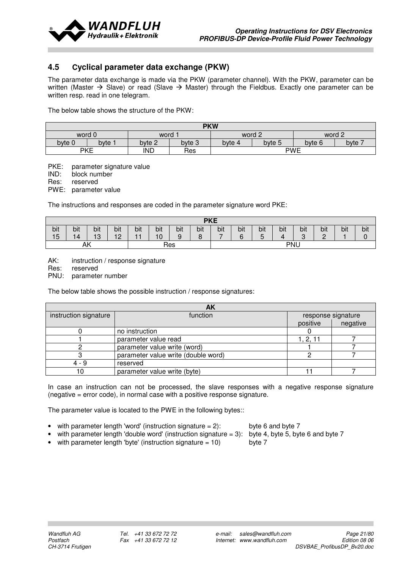

# 4.5 Cyclical parameter data exchange (PKW)

The parameter data exchange is made via the PKW (parameter channel). With the PKW, parameter can be written (Master  $\rightarrow$  Slave) or read (Slave  $\rightarrow$  Master) through the Fieldbus. Exactly one parameter can be written resp. read in one telegram.

The below table shows the structure of the PKW:

| <b>PKW</b>     |                                               |        |        |                            |  |        |        |  |
|----------------|-----------------------------------------------|--------|--------|----------------------------|--|--------|--------|--|
| word 0<br>word |                                               |        |        | word 2                     |  | word 2 |        |  |
| byte 0         | bvte :                                        | byte 2 | byte 3 | byte 5<br>byte 6<br>byte 4 |  |        | byte 7 |  |
|                | <b>PKE</b><br><b>PWE</b><br><b>IND</b><br>Res |        |        |                            |  |        |        |  |

PKE: parameter signature value

IND: block number

Res: reserved

PWE: parameter value

The instructions and responses are coded in the parameter signature word PKE:

| <b>PKE</b> |                         |         |     |     |     |     |     |     |     |     |     |            |     |     |     |
|------------|-------------------------|---------|-----|-----|-----|-----|-----|-----|-----|-----|-----|------------|-----|-----|-----|
| bit        | bit                     | bit     | bit | bit | bit | bit | bit | bit | bit | bit | bit | bit        | bit | bit | bit |
| 15         | 14                      | 10<br>ృ | 12  |     | 10  | 9   | O   | –   | ี่ค | ∽   |     | $\sqrt{2}$ | C   |     |     |
|            | <b>PNU</b><br>AΚ<br>Res |         |     |     |     |     |     |     |     |     |     |            |     |     |     |

AK: instruction / response signature

Res: reserved

PNU: parameter number

The below table shows the possible instruction / response signatures:

| AK                    |                                     |          |                    |  |  |  |  |
|-----------------------|-------------------------------------|----------|--------------------|--|--|--|--|
| instruction signature | function                            |          | response signature |  |  |  |  |
|                       |                                     | positive | negative           |  |  |  |  |
|                       | no instruction                      |          |                    |  |  |  |  |
|                       | parameter value read                | 1, 2, 11 |                    |  |  |  |  |
|                       | parameter value write (word)        |          |                    |  |  |  |  |
|                       | parameter value write (double word) |          |                    |  |  |  |  |
| 4 - 9                 | reserved                            |          |                    |  |  |  |  |
| 10                    | parameter value write (byte)        |          |                    |  |  |  |  |

In case an instruction can not be processed, the slave responses with a negative response signature (negative = error code), in normal case with a positive response signature.

The parameter value is located to the PWE in the following bytes::

- with parameter length 'word' (instruction signature  $= 2$ ): byte 6 and byte 7
- with parameter length 'double word' (instruction signature = 3): byte 4, byte 5, byte 6 and byte 7
- -
- with parameter length 'byte' (instruction signature  $= 10$ ) byte 7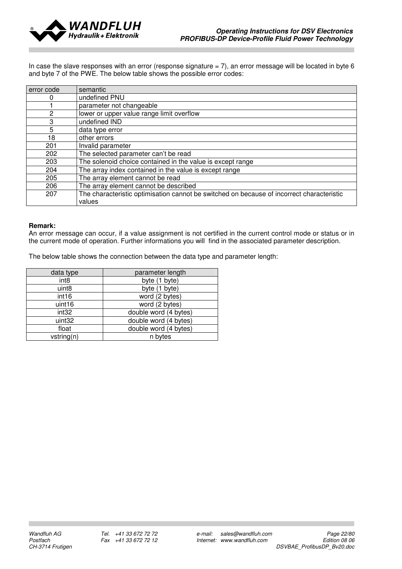

In case the slave responses with an error (response signature = 7), an error message will be located in byte 6 and byte 7 of the PWE. The below table shows the possible error codes:

| error code | semantic                                                                                  |
|------------|-------------------------------------------------------------------------------------------|
|            | undefined PNU                                                                             |
|            | parameter not changeable                                                                  |
| 2          | lower or upper value range limit overflow                                                 |
| 3          | undefined IND                                                                             |
| 5          | data type error                                                                           |
| 18         | other errors                                                                              |
| 201        | Invalid parameter                                                                         |
| 202        | The selected parameter can't be read                                                      |
| 203        | The solenoid choice contained in the value is except range                                |
| 204        | The array index contained in the value is except range                                    |
| 205        | The array element cannot be read                                                          |
| 206        | The array element cannot be described                                                     |
| 207        | The characteristic optimisation cannot be switched on because of incorrect characteristic |
|            | values                                                                                    |

#### Remark:

An error message can occur, if a value assignment is not certified in the current control mode or status or in the current mode of operation. Further informations you will find in the associated parameter description.

The below table shows the connection between the data type and parameter length:

| data type         | parameter length      |
|-------------------|-----------------------|
| int <sub>8</sub>  | byte (1 byte)         |
| uint <sub>8</sub> | byte (1 byte)         |
| int <sub>16</sub> | word (2 bytes)        |
| uint16            | word (2 bytes)        |
| int <sub>32</sub> | double word (4 bytes) |
| uint32            | double word (4 bytes) |
| float             | double word (4 bytes) |
| vstring(n)        | n bytes               |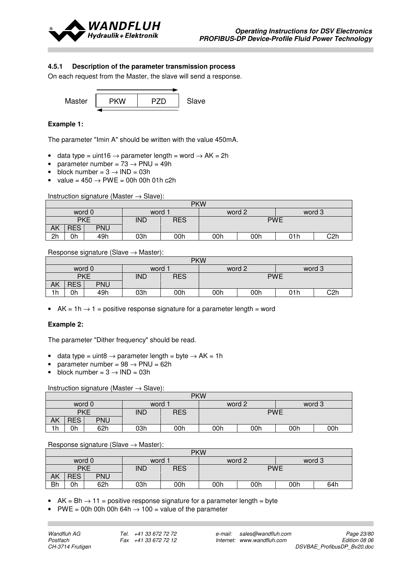

#### 4.5.1 Description of the parameter transmission process

On each request from the Master, the slave will send a response.



#### Example 1:

The parameter "Imin A" should be written with the value 450mA.

- data type = uint16  $\rightarrow$  parameter length = word  $\rightarrow$  AK = 2h
- parameter number =  $73 \rightarrow \text{PNU} = 49h$
- block number =  $3 \rightarrow \text{IND} = 03\text{h}$
- value =  $450 \rightarrow PWE = 00h$  00h 01h c2h

Instruction signature (Master  $\rightarrow$  Slave):

|    | <b>PKW</b> |            |            |            |            |     |        |     |  |
|----|------------|------------|------------|------------|------------|-----|--------|-----|--|
|    | word 0     |            | word       |            | word 2     |     | word 3 |     |  |
|    | <b>PKE</b> |            | <b>IND</b> | <b>RES</b> | <b>PWE</b> |     |        |     |  |
| АK | RES,       | <b>PNU</b> |            |            |            |     |        |     |  |
| 2h | 0h         | 49h        | 03h        | 00h        | 00h        | 00h | 01h    | C2h |  |

Response signature (Slave  $\rightarrow$  Master):

|    | <b>PKW</b> |            |            |            |                          |  |  |        |  |  |
|----|------------|------------|------------|------------|--------------------------|--|--|--------|--|--|
|    | word 0     |            | word       |            | word 2                   |  |  | word 3 |  |  |
|    | <b>PKE</b> |            | <b>IND</b> | <b>RES</b> | <b>PWE</b>               |  |  |        |  |  |
| ΑK | <b>RES</b> | <b>PNU</b> |            |            |                          |  |  |        |  |  |
| 1h | 0h         | 49h        | 03h        | 00h        | C2h<br>00h<br>00h<br>01h |  |  |        |  |  |

• AK = 1h  $\rightarrow$  1 = positive response signature for a parameter length = word

#### Example 2:

The parameter "Dither frequency" should be read.

- data type = uint8  $\rightarrow$  parameter length = byte  $\rightarrow$  AK = 1h
- parameter number =  $98 \rightarrow \text{PNU} = 62h$
- block number =  $3 \rightarrow \text{IND} = 03\text{h}$

#### Instruction signature (Master  $\rightarrow$  Slave):

|                | <b>PKW</b> |            |            |            |            |     |     |        |  |  |
|----------------|------------|------------|------------|------------|------------|-----|-----|--------|--|--|
| word 0<br>word |            |            |            |            | word 2     |     |     | word 3 |  |  |
|                | <b>PKE</b> |            | <b>IND</b> | <b>RES</b> | <b>PWE</b> |     |     |        |  |  |
| АK             | <b>RES</b> | <b>PNU</b> |            |            |            |     |     |        |  |  |
| 1h             | 0h         | 62h        | 03h        | 00h        | 00h        | 00h | 00h | 00h    |  |  |

#### Response signature (Slave  $\rightarrow$  Master):

|    | <b>PKW</b> |            |            |     |                  |     |     |     |  |
|----|------------|------------|------------|-----|------------------|-----|-----|-----|--|
|    | word 0     |            | word       |     | word 2<br>word 3 |     |     |     |  |
|    |            | <b>PKE</b> | <b>IND</b> | RES | <b>PWE</b>       |     |     |     |  |
| ΑK | <b>RES</b> | <b>PNU</b> |            |     |                  |     |     |     |  |
| Bh | 0h         | 62h        | 03h        | 00h | 00h              | 00h | 00h | 64h |  |

• AK = Bh  $\rightarrow$  11 = positive response signature for a parameter length = byte

 $PWE = 00h$  00h 00h 64h  $\rightarrow$  100 = value of the parameter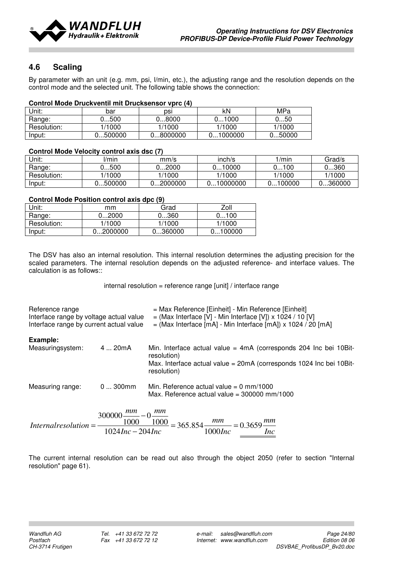

# 4.6 Scaling

By parameter with an unit (e.g. mm, psi, l/min, etc.), the adjusting range and the resolution depends on the control mode and the selected unit. The following table shows the connection:

| <b>Control Mode Druckventil mit Drucksensor vprc (4)</b> |  |
|----------------------------------------------------------|--|
|                                                          |  |

| Jnit:       | bar     | DSI      | kN      | MPa    |
|-------------|---------|----------|---------|--------|
| Range:      | 0500    | 8000. ل  | 01000   | 0…50   |
| Resolution: | 1/1000  | 1/1000   | 1/1000  | 1/1000 |
| Input:      | J500000 | 08000000 | 1000000 | 050000 |

#### Control Mode Velocity control axis dsc (7)

| Unit:       | l/min      | mm/s     | inch/s    | /min      | Grad/s  |
|-------------|------------|----------|-----------|-----------|---------|
| Range:      | 0…500      | 0…2000   | 10000     | 100<br>J' | 0…360   |
| Resolution: | /1000      | 1/1000   | 1/1000    | 1/1000    | 1/1000  |
| Input:      | .500000. ل | )2000000 | .10000000 | 0100000   | .360000 |

#### Control Mode Position control axis dpc (9)

| Unit:       | mm       | Grad    | Zoll    |
|-------------|----------|---------|---------|
| Range:      | 02000    | 0360    | 0100    |
| Resolution: | 1/1000   | 1/1000  | 1/1000  |
| Input:      | 02000000 | 0360000 | 0100000 |

The DSV has also an internal resolution. This internal resolution determines the adjusting precision for the scaled parameters. The internal resolution depends on the adjusted reference- and interface values. The calculation is as follows::

internal resolution = reference range [unit] / interface range

| Reference range<br>Interface range by voltage actual value<br>Interface range by current actual value |             | = Max Reference [Einheit] - Min Reference [Einheit]<br>$=$ (Max Interface [V] - Min Interface [V]) x 1024 / 10 [V]<br>$=$ (Max Interface [mA] - Min Interface [mA]) x 1024 / 20 [mA] |
|-------------------------------------------------------------------------------------------------------|-------------|--------------------------------------------------------------------------------------------------------------------------------------------------------------------------------------|
| Example:                                                                                              |             |                                                                                                                                                                                      |
| Measuringsystem:                                                                                      | 4  20mA     | Min. Interface actual value = $4mA$ (corresponds 204 Inc bei 10 Bit-<br>resolution)                                                                                                  |
|                                                                                                       |             | Max. Interface actual value = $20mA$ (corresponds 1024 Inc bei 10 Bit-<br>resolution)                                                                                                |
| Measuring range:                                                                                      | $0300$ mm   | Min. Reference actual value = $0 \text{ mm}/1000$<br>Max. Reference actual value = $300000$ mm/1000                                                                                  |
|                                                                                                       | $200000$ mm | $\alpha$ mm                                                                                                                                                                          |

 $\overline{Inc}$ mm Inc  $International resolution = \frac{300000 - 1000}{1000} = 365.854 - \frac{mm}{1000} = 0.3659$  $1024$ Inc  $- 204$ Inc 1000  $\frac{1000}{2} = 365.854$  $\overline{0}$ 1000  $300000 \frac{mm}{ }$  –  $= 365.854 \frac{mm}{ }=$  $Internal resolution =$ 

The current internal resolution can be read out also through the object 2050 (refer to section "Internal resolution" page 61).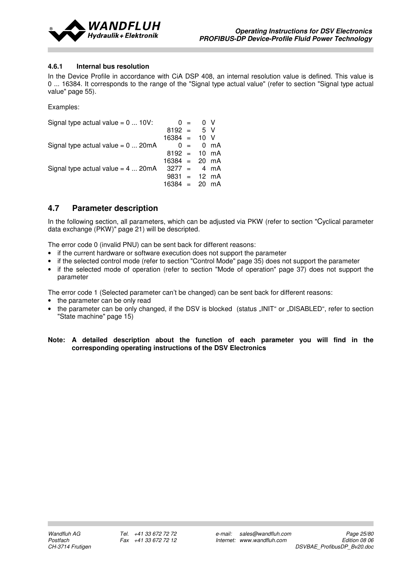

#### 4.6.1 Internal bus resolution

In the Device Profile in accordance with CiA DSP 408, an internal resolution value is defined. This value is 0 ... 16384. It corresponds to the range of the "Signal type actual value" (refer to section "Signal type actual value" page 55).

Examples:

| Signal type actual value = $0 \dots 10V$ :        | $0 =$                   | $\overline{0}$ V |  |
|---------------------------------------------------|-------------------------|------------------|--|
|                                                   | $8192 = 5 V$            |                  |  |
|                                                   | $16384 = 10$ V          |                  |  |
| Signal type actual value = $0 \dots 20 \text{mA}$ |                         | $0 = 0$ mA       |  |
|                                                   | $8192 = 10 \text{ mA}$  |                  |  |
|                                                   | $16384 = 20 \text{ mA}$ |                  |  |
| Signal type actual value $= 4$ 20mA               | $3277 = 4 \text{ mA}$   |                  |  |
|                                                   | $9831 = 12 \text{ mA}$  |                  |  |
|                                                   | $16384 = 20 \text{ mA}$ |                  |  |

# 4.7 Parameter description

In the following section, all parameters, which can be adjusted via PKW (refer to section "Cyclical parameter data exchange (PKW)" page 21) will be descripted.

The error code 0 (invalid PNU) can be sent back for different reasons:

- if the current hardware or software execution does not support the parameter
- if the selected control mode (refer to section "Control Mode" page 35) does not support the parameter
- if the selected mode of operation (refer to section "Mode of operation" page 37) does not support the parameter

The error code 1 (Selected parameter can't be changed) can be sent back for different reasons:

- the parameter can be only read
- the parameter can be only changed, if the DSV is blocked (status ...INIT" or ..DISABLED", refer to section "State machine" page 15)

#### Note: A detailed description about the function of each parameter you will find in the corresponding operating instructions of the DSV Electronics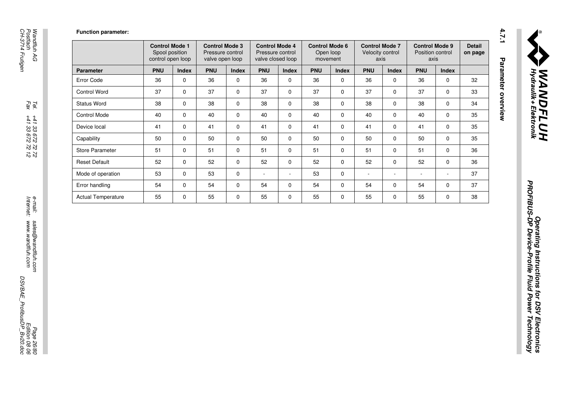Function parameter:

|                           | <b>Control Mode 1</b><br>Spool position<br>control open loop |              | <b>Control Mode 3</b><br>Pressure control<br>valve open loop |              | <b>Control Mode 4</b><br>Pressure control<br>valve closed loop |              | <b>Control Mode 6</b><br>Open loop<br>movement |              | <b>Control Mode 7</b><br>Velocity control<br>axis |              | <b>Control Mode 9</b><br>Position control<br>axis |                          | <b>Detail</b><br>on page |
|---------------------------|--------------------------------------------------------------|--------------|--------------------------------------------------------------|--------------|----------------------------------------------------------------|--------------|------------------------------------------------|--------------|---------------------------------------------------|--------------|---------------------------------------------------|--------------------------|--------------------------|
| <b>Parameter</b>          | <b>PNU</b>                                                   | <b>Index</b> | <b>PNU</b>                                                   | <b>Index</b> | <b>PNU</b>                                                     | <b>Index</b> | <b>PNU</b>                                     | <b>Index</b> | <b>PNU</b>                                        | <b>Index</b> | <b>PNU</b>                                        | <b>Index</b>             |                          |
| Error Code                | 36                                                           | 0            | 36                                                           | $\mathbf 0$  | 36                                                             | 0            | 36                                             | 0            | 36                                                | 0            | 36                                                | $\mathbf 0$              | 32                       |
| <b>Control Word</b>       | 37                                                           | $\mathbf 0$  | 37                                                           | $\mathbf 0$  | 37                                                             | 0            | 37                                             | $\mathbf 0$  | 37                                                | 0            | 37                                                | $\Omega$                 | 33                       |
| <b>Status Word</b>        | 38                                                           | $\mathbf 0$  | 38                                                           | $\mathbf 0$  | 38                                                             | $\Omega$     | 38                                             | $\mathbf 0$  | 38                                                | $\mathbf 0$  | 38                                                | $\Omega$                 | 34                       |
| <b>Control Mode</b>       | 40                                                           | 0            | 40                                                           | $\mathbf 0$  | 40                                                             | $\Omega$     | 40                                             | 0            | 40                                                | 0            | 40                                                | $\Omega$                 | 35                       |
| Device local              | 41                                                           | 0            | 41                                                           | $\mathbf 0$  | 41                                                             | 0            | 41                                             | 0            | 41                                                | $\mathbf 0$  | 41                                                | $\mathbf 0$              | 35                       |
| Capability                | 50                                                           | $\mathbf 0$  | 50                                                           | $\mathbf 0$  | 50                                                             | 0            | 50                                             | 0            | 50                                                | 0            | 50                                                | $\mathbf 0$              | 35                       |
| <b>Store Parameter</b>    | 51                                                           | 0            | 51                                                           | $\Omega$     | 51                                                             | $\Omega$     | 51                                             | 0            | 51                                                | $\Omega$     | 51                                                | $\Omega$                 | 36                       |
| <b>Reset Default</b>      | 52                                                           | $\mathbf 0$  | 52                                                           | $\Omega$     | 52                                                             | $\Omega$     | 52                                             | $\mathbf 0$  | 52                                                | $\mathbf 0$  | 52                                                | $\Omega$                 | 36                       |
| Mode of operation         | 53                                                           | $\mathbf 0$  | 53                                                           | $\mathbf 0$  | $\overline{\phantom{a}}$                                       | ٠            | 53                                             | 0            | ۰                                                 | $\sim$       | ۰                                                 | $\overline{\phantom{a}}$ | 37                       |
| Error handling            | 54                                                           | $\mathbf 0$  | 54                                                           | $\Omega$     | 54                                                             | 0            | 54                                             | $\mathbf 0$  | 54                                                | 0            | 54                                                | $\Omega$                 | 37                       |
| <b>Actual Temperature</b> | 55                                                           | 0            | 55                                                           | $\Omega$     | 55                                                             | $\Omega$     | 55                                             | 0            | 55                                                | 0            | 55                                                | $\Omega$                 | 38                       |

4.7.1 Parameter overview

Tel.<br> $Fax$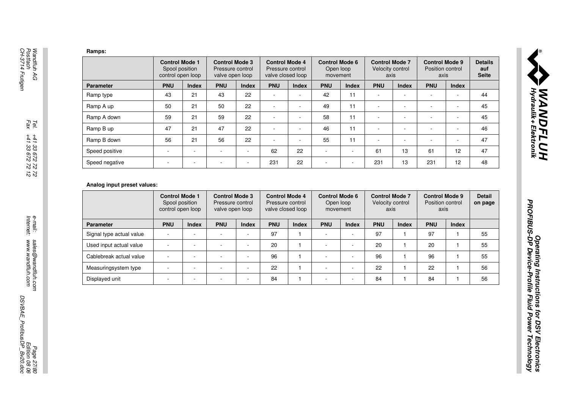| Ramps:                                              |                                                                                             |                          |                                                              |              |                                                                |                              |                                                |                          |                                                   |                              |                                                   |                              |                                |
|-----------------------------------------------------|---------------------------------------------------------------------------------------------|--------------------------|--------------------------------------------------------------|--------------|----------------------------------------------------------------|------------------------------|------------------------------------------------|--------------------------|---------------------------------------------------|------------------------------|---------------------------------------------------|------------------------------|--------------------------------|
|                                                     | <b>Control Mode 1</b><br>Spool position<br>control open loop                                |                          | <b>Control Mode 3</b><br>Pressure control<br>valve open loop |              | <b>Control Mode 4</b><br>Pressure control<br>valve closed loop |                              | <b>Control Mode 6</b><br>Open loop<br>movement |                          | <b>Control Mode 7</b><br>Velocity control<br>axis |                              | <b>Control Mode 9</b><br>Position control<br>axis |                              | <b>Details</b><br><b>Seite</b> |
| <b>Parameter</b>                                    | <b>PNU</b>                                                                                  | Index                    | <b>PNU</b>                                                   | <b>Index</b> | <b>PNU</b>                                                     | Index                        | <b>PNU</b>                                     | Index                    | <b>PNU</b>                                        | <b>Index</b>                 | <b>PNU</b>                                        | <b>Index</b>                 |                                |
| Ramp type                                           | 43                                                                                          | 21                       | 43                                                           | 22           | ÷,                                                             |                              | 42                                             | 11                       | $\overline{\phantom{a}}$                          |                              | ÷,                                                |                              |                                |
| Ramp A up                                           | 50                                                                                          | 21                       | 50                                                           | 22           | ÷,                                                             | $\overline{\phantom{a}}$     | 49                                             | 11                       | $\overline{\phantom{a}}$                          | $\ddot{\phantom{0}}$         | $\overline{\phantom{a}}$                          | $\blacksquare$               |                                |
| Ramp A down                                         | 59                                                                                          | 21                       | 59                                                           | 22           | $\blacksquare$                                                 | $\overline{\phantom{a}}$     | 58                                             | 11                       | $\sim$                                            | $\blacksquare$               | $\sim$                                            | $\blacksquare$               |                                |
| Ramp B up                                           | 47                                                                                          | 21                       | 47                                                           | 22           | ÷,                                                             | ÷,                           | 46                                             | 11                       | $\overline{\phantom{a}}$                          | ÷,                           | $\overline{\phantom{a}}$                          | $\overline{\phantom{a}}$     |                                |
| Ramp B down                                         | 56                                                                                          | 21                       | 56                                                           | 22           |                                                                | ٠                            | 55                                             | 11                       |                                                   | ä,                           |                                                   | ÷                            |                                |
| Speed positive                                      | ä,                                                                                          | $\sim$                   |                                                              | $\sim$       | 62                                                             | 22                           | $\overline{\phantom{a}}$                       | ÷,                       | 61                                                | 13                           | 61                                                | 12                           |                                |
| Speed negative                                      | L,                                                                                          | ÷,                       | $\sim$                                                       |              | 231                                                            | 22                           | $\sim$                                         | ÷,                       | 231                                               | 13                           | 231                                               | 12                           |                                |
|                                                     | Analog input preset values:<br><b>Control Mode 1</b><br>Spool position<br>control open loop |                          | <b>Control Mode 3</b><br>Pressure control<br>valve open loop |              | <b>Control Mode 4</b><br>Pressure control<br>valve closed loop |                              | <b>Control Mode 6</b><br>Open loop<br>movement |                          | <b>Control Mode 7</b><br>Velocity control<br>axis |                              | <b>Control Mode 9</b><br>Position control<br>axis |                              |                                |
|                                                     |                                                                                             |                          |                                                              |              |                                                                |                              |                                                |                          |                                                   |                              |                                                   |                              | <b>Detail</b><br>on page       |
| <b>Parameter</b>                                    | <b>PNU</b><br>ä,                                                                            | Index                    | <b>PNU</b><br>$\sim$                                         | <b>Index</b> | <b>PNU</b><br>97                                               | <b>Index</b><br>$\mathbf{1}$ | <b>PNU</b>                                     | <b>Index</b>             | <b>PNU</b><br>97                                  | <b>Index</b><br>$\mathbf{1}$ | <b>PNU</b><br>97                                  | <b>Index</b><br>$\mathbf{1}$ |                                |
| Signal type actual value<br>Used input actual value | L,                                                                                          | $\overline{\phantom{a}}$ |                                                              |              | 20                                                             | $\mathbf{1}$                 | $\blacksquare$                                 | ÷,                       | 20                                                | $\mathbf{1}$                 | 20                                                | $\mathbf{1}$                 |                                |
| Cablebreak actual value                             | $\sim$                                                                                      | $\sim$                   | $\sim$                                                       | $\sim$       | 96                                                             | $\mathbf{1}$                 | $\overline{\phantom{a}}$                       | $\overline{a}$           | 96                                                | $\mathbf{1}$                 | 96                                                | $\mathbf{1}$                 |                                |
| Measuringsystem type                                | $\blacksquare$                                                                              | $\overline{\phantom{a}}$ | $\sim$                                                       | $\sim$       | 22                                                             | $\mathbf{1}$                 | $\overline{\phantom{a}}$                       | $\overline{\phantom{a}}$ | 22                                                | $\mathbf{1}$                 | 22                                                | $\mathbf{1}$                 |                                |

|                          | <b>Control Mode 1</b><br>Spool position<br>control open loop |              | <b>Control Mode 3</b><br>Pressure control<br>valve open loop |                          | <b>Control Mode 4</b><br>Pressure control<br>valve closed loop |       | <b>Control Mode 6</b><br>Open loop<br>movement |       | <b>Control Mode 7</b><br>Velocity control<br>axis |              | <b>Control Mode 9</b><br>Position control<br>axis |       | <b>Detail</b><br>on page |
|--------------------------|--------------------------------------------------------------|--------------|--------------------------------------------------------------|--------------------------|----------------------------------------------------------------|-------|------------------------------------------------|-------|---------------------------------------------------|--------------|---------------------------------------------------|-------|--------------------------|
| <b>Parameter</b>         | <b>PNU</b>                                                   | <b>Index</b> | <b>PNU</b>                                                   | <b>Index</b>             | <b>PNU</b>                                                     | Index | <b>PNU</b>                                     | Index | <b>PNU</b>                                        | <b>Index</b> | <b>PNU</b>                                        | Index |                          |
| Signal type actual value |                                                              |              |                                                              |                          | 97                                                             |       | $\overline{\phantom{a}}$                       |       | 97                                                |              | 97                                                |       | 55                       |
| Used input actual value  |                                                              |              |                                                              | $\overline{\phantom{a}}$ | 20                                                             |       | -                                              |       | 20                                                |              | 20                                                |       | 55                       |
| Cablebreak actual value  |                                                              |              |                                                              |                          | 96                                                             |       |                                                |       | 96                                                |              | 96                                                |       | 55                       |
| Measuringsystem type     |                                                              |              |                                                              |                          | 22                                                             |       | $\overline{\phantom{a}}$                       |       | 22                                                |              | 22                                                |       | 56                       |
| Displayed unit           |                                                              |              |                                                              |                          | 84                                                             |       |                                                |       | 84                                                |              | 84                                                |       | 56                       |

MANDFLUH<br>F Hydraulik + Elektronik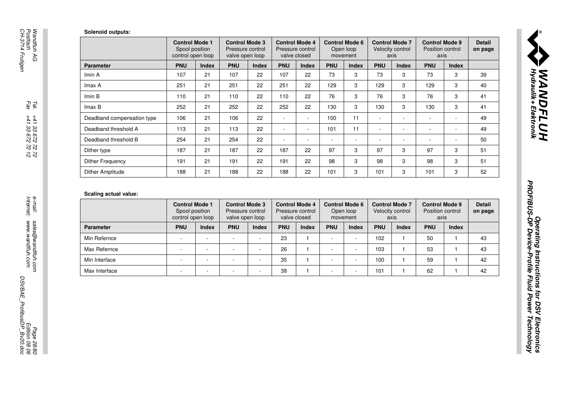|                                                                                            | <b>Control Mode 1</b><br>Spool position                      |                | <b>Control Mode 3</b><br>Pressure control                    |                          |                          | <b>Control Mode 4</b><br>Pressure control                 |                          | <b>Control Mode 6</b><br>Open loop             |                          | <b>Control Mode 7</b><br>Velocity control         | <b>Control Mode 9</b><br>Position control         |                          | <b>Detail</b><br>on page |
|--------------------------------------------------------------------------------------------|--------------------------------------------------------------|----------------|--------------------------------------------------------------|--------------------------|--------------------------|-----------------------------------------------------------|--------------------------|------------------------------------------------|--------------------------|---------------------------------------------------|---------------------------------------------------|--------------------------|--------------------------|
|                                                                                            | control open loop                                            |                | valve open loop                                              |                          |                          | valve closed                                              |                          | movement                                       |                          | axis                                              | axis                                              |                          |                          |
| <b>Parameter</b>                                                                           | <b>PNU</b>                                                   | Index          | <b>PNU</b>                                                   | <b>Index</b>             | <b>PNU</b>               | Index                                                     | <b>PNU</b>               | <b>Index</b>                                   | <b>PNU</b>               | <b>Index</b>                                      | <b>PNU</b>                                        | <b>Index</b>             |                          |
| Imin A                                                                                     | 107                                                          | 21             | 107                                                          | 22                       | 107                      | 22                                                        | 73                       | 3                                              | 73                       | 3                                                 | 73                                                | 3                        |                          |
| Imax A                                                                                     | 251                                                          | 21             | 251                                                          | 22                       | 251                      | 22                                                        | 129                      | 3                                              | 129                      | 3                                                 | 129                                               | 3                        |                          |
| Imin B                                                                                     | 110                                                          | 21             | 110                                                          | 22                       | 110                      | 22                                                        | 76                       | 3                                              | 76                       | 3                                                 | 76                                                | 3                        |                          |
| Imax B                                                                                     | 252                                                          | 21             | 252                                                          | 22                       | 252                      | 22                                                        | 130                      | 3                                              | 130                      | 3                                                 | 130                                               | 3                        |                          |
| Deadband compensation type                                                                 | 106                                                          | 21             | 106                                                          | 22                       | $\blacksquare$           | $\blacksquare$                                            | 100                      | 11                                             | $\blacksquare$           | $\overline{\phantom{a}}$                          | $\overline{\phantom{a}}$                          | $\blacksquare$           |                          |
| Deadband threshold A                                                                       | 113                                                          | 21             | 113                                                          | 22                       | $\overline{\phantom{a}}$ | $\blacksquare$                                            | 101                      | 11                                             | $\blacksquare$           | $\overline{\phantom{a}}$                          | $\sim$                                            | $\overline{\phantom{a}}$ |                          |
| Deadband threshold B                                                                       | 254                                                          | 21             | 254                                                          | 22                       | $\blacksquare$           | $\overline{\phantom{a}}$                                  | $\overline{\phantom{a}}$ | $\overline{\phantom{a}}$                       | $\overline{\phantom{a}}$ | $\overline{\phantom{a}}$                          | $\overline{\phantom{a}}$                          | $\overline{\phantom{a}}$ |                          |
|                                                                                            |                                                              | 21             | 187                                                          | 22                       | 187                      | 22                                                        | 97                       | 3                                              | 97                       | 3                                                 | 97                                                | 3                        |                          |
|                                                                                            | 187                                                          |                |                                                              |                          |                          |                                                           |                          |                                                |                          |                                                   | 98                                                | 3                        |                          |
|                                                                                            | 191                                                          | 21             | 191                                                          | 22                       | 191                      | 22                                                        | 98                       | 3                                              | 98                       | 3                                                 |                                                   |                          |                          |
|                                                                                            | 188                                                          | 21             | 188                                                          | 22                       | 188                      | 22                                                        | 101                      | 3                                              | 101                      | 3                                                 | 101                                               | 3                        |                          |
| Dither type<br><b>Dither Frequency</b><br><b>Dither Amplitude</b><br>Scaling actual value: | <b>Control Mode 1</b><br>Spool position<br>control open loop |                | <b>Control Mode 3</b><br>Pressure control<br>valve open loop |                          |                          | <b>Control Mode 4</b><br>Pressure control<br>valve closed |                          | <b>Control Mode 6</b><br>Open loop<br>movement |                          | <b>Control Mode 7</b><br>Velocity control<br>axis | <b>Control Mode 9</b><br>Position control<br>axis |                          |                          |
| <b>Parameter</b>                                                                           | <b>PNU</b>                                                   | Index          | <b>PNU</b>                                                   | Index                    | <b>PNU</b>               | <b>Index</b>                                              | <b>PNU</b>               | <b>Index</b>                                   | <b>PNU</b>               | <b>Index</b>                                      | <b>PNU</b>                                        | <b>Index</b>             |                          |
| Min Refernce                                                                               | $\sim$                                                       | $\blacksquare$ | $\sim$                                                       |                          | 23                       | $\mathbf{1}$                                              | $\sim$                   | $\overline{\phantom{a}}$                       | 102                      | $\mathbf{1}$                                      | 50                                                | $\mathbf{1}$             |                          |
| Max Refernce                                                                               | $\blacksquare$                                               | ÷,             | L,                                                           | $\sim$                   | 26                       | $\mathbf{1}$                                              | $\sim$                   | $\overline{\phantom{a}}$                       | 103                      | $\mathbf{1}$                                      | 53                                                | $\mathbf{1}$             |                          |
| Min Interface                                                                              | $\overline{\phantom{a}}$                                     | $\sim$         | ÷,                                                           | $\overline{\phantom{a}}$ | 35                       | $\mathbf{1}$                                              | $\mathbf{r}$             | $\bar{a}$                                      | 100                      | $\mathbf{1}$                                      | 59                                                | $\mathbf{1}$             |                          |

|                  | <b>Control Mode 1</b><br>Spool position<br>control open loop |              | <b>Control Mode 3</b><br>Pressure control<br>valve open loop |              | <b>Control Mode 4</b> | Pressure control<br>valve closed |            | <b>Control Mode 6</b><br>Open loop<br>movement |            | <b>Control Mode 7</b><br>Velocity control<br>axis | <b>Control Mode 9</b><br>Position control<br>axis |              | <b>Detail</b><br>on page |
|------------------|--------------------------------------------------------------|--------------|--------------------------------------------------------------|--------------|-----------------------|----------------------------------|------------|------------------------------------------------|------------|---------------------------------------------------|---------------------------------------------------|--------------|--------------------------|
| <b>Parameter</b> | <b>PNU</b>                                                   | <b>Index</b> | <b>PNU</b>                                                   | <b>Index</b> | <b>PNU</b>            | <b>Index</b>                     | <b>PNU</b> | <b>Index</b>                                   | <b>PNU</b> | <b>Index</b>                                      | <b>PNU</b>                                        | <b>Index</b> |                          |
| Min Refernce     |                                                              |              |                                                              |              | 23                    |                                  |            |                                                | 102        |                                                   | 50                                                |              | 43                       |
| Max Refernce     |                                                              |              |                                                              |              | 26                    |                                  |            |                                                | 103        |                                                   | 53                                                |              | 43                       |
| Min Interface    |                                                              |              |                                                              |              | 35                    |                                  |            |                                                | 100        |                                                   | 59                                                |              | 42                       |
| Max Interface    |                                                              |              |                                                              |              | 38                    |                                  |            |                                                | 101        |                                                   | 62                                                |              | 42                       |

Operating Instructions for DSV Electronics

, **WANDFLUH**<br>Fydraulik + Elektronik

PROFIBUS-DP Device-Profile Fluid Power Technology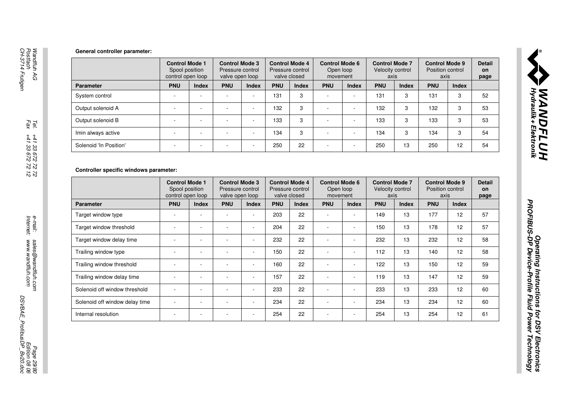|                        | <b>Control Mode 1</b><br>Spool position<br>control open loop |              | <b>Control Mode 3</b><br>Pressure control<br>valve open loop |              |            | <b>Control Mode 4</b><br>Pressure control<br>valve closed | <b>Control Mode 6</b><br>Open loop<br>movement |              | <b>Control Mode 7</b><br>Velocity control<br>axis |              | <b>Control Mode 9</b><br>Position control<br>axis |              | <b>Detail</b><br><b>on</b><br>page |
|------------------------|--------------------------------------------------------------|--------------|--------------------------------------------------------------|--------------|------------|-----------------------------------------------------------|------------------------------------------------|--------------|---------------------------------------------------|--------------|---------------------------------------------------|--------------|------------------------------------|
| <b>Parameter</b>       | <b>PNU</b>                                                   | <b>Index</b> | <b>PNU</b>                                                   | <b>Index</b> | <b>PNU</b> | <b>Index</b>                                              | <b>PNU</b>                                     | <b>Index</b> | <b>PNU</b>                                        | <b>Index</b> | <b>PNU</b>                                        | <b>Index</b> |                                    |
| System control         |                                                              |              | ۰.                                                           | $\sim$       | 131        | 3                                                         |                                                |              | 131                                               | 3            | 131                                               | 3            | 52                                 |
| Output solenoid A      |                                                              |              | ۰                                                            |              | 132        | 3                                                         |                                                |              | 132                                               | 3            | 132                                               | 3            | 53                                 |
| Output solenoid B      |                                                              |              | ۰.                                                           |              | 133        | 3                                                         |                                                |              | 133                                               | 3            | 133                                               | 3            | 53                                 |
| Imin always active     |                                                              |              |                                                              |              | 134        | 3                                                         |                                                |              | 134                                               | 3            | 134                                               | 3            | 54                                 |
| Solenoid 'In Position' |                                                              |              |                                                              |              | 250        | 22                                                        |                                                |              | 250                                               | 13           | 250                                               | 12           | 54                                 |

|                                                                                                                            | <b>Control Mode 1</b><br>Spool position<br>control open loop |                | <b>Control Mode 3</b><br>Pressure control<br>valve open loop |                 |            | <b>Control Mode 4</b><br>Pressure control<br>valve closed | <b>Control Mode 6</b><br>Open loop<br>movement |                             | <b>Control Mode 7</b><br>Velocity control | axis         | <b>Control Mode 9</b><br>Position control<br>axis |                                        |
|----------------------------------------------------------------------------------------------------------------------------|--------------------------------------------------------------|----------------|--------------------------------------------------------------|-----------------|------------|-----------------------------------------------------------|------------------------------------------------|-----------------------------|-------------------------------------------|--------------|---------------------------------------------------|----------------------------------------|
| <b>Parameter</b>                                                                                                           | <b>PNU</b>                                                   | <b>Index</b>   | <b>PNU</b>                                                   | Index           | <b>PNU</b> | Index                                                     | <b>PNU</b>                                     | Index                       | <b>PNU</b>                                | <b>Index</b> | <b>PNU</b>                                        | <b>Index</b>                           |
| System control                                                                                                             | $\blacksquare$                                               |                | $\overline{\phantom{a}}$                                     |                 | 131        | 3                                                         | ÷,                                             |                             | 131                                       | 3            | 131                                               | 3                                      |
| Output solenoid A                                                                                                          | $\blacksquare$                                               | ÷,             | $\overline{\phantom{a}}$                                     | $\mathbb{L}$    | 132        | 3                                                         | ÷,                                             | $\blacksquare$              | 132                                       | 3            | 132                                               | 3                                      |
| Output solenoid B                                                                                                          | $\blacksquare$                                               | ÷              | $\blacksquare$                                               | $\sim$          | 133        | 3                                                         | ÷,                                             | $\overline{\phantom{a}}$    | 133                                       | 3            | 133                                               | $\,3$                                  |
| Imin always active                                                                                                         | $\overline{\phantom{a}}$                                     | $\overline{a}$ | $\overline{\phantom{a}}$                                     | $\sim$          | 134        | 3                                                         | $\overline{a}$                                 | $\sim$                      | 134                                       | 3            | 134                                               | 3                                      |
| Solenoid 'In Position'                                                                                                     | $\blacksquare$                                               | ÷,             |                                                              |                 | 250        | 22                                                        | ÷,                                             |                             | 250                                       | 13           | 250                                               | 12                                     |
|                                                                                                                            |                                                              |                |                                                              | valve open loop |            | valve closed                                              | movement                                       |                             | axis                                      |              | axis                                              |                                        |
| Controller specific windows parameter:                                                                                     | <b>Control Mode 1</b>                                        |                | <b>Control Mode 3</b>                                        |                 |            | <b>Control Mode 4</b>                                     | <b>Control Mode 6</b>                          |                             | <b>Control Mode 7</b>                     |              | <b>Control Mode 9</b>                             |                                        |
|                                                                                                                            | Spool position                                               |                | Pressure control                                             |                 |            | Pressure control                                          | Open loop                                      |                             | Velocity control                          |              | Position control                                  |                                        |
|                                                                                                                            | control open loop                                            |                |                                                              |                 |            |                                                           |                                                |                             |                                           |              |                                                   |                                        |
|                                                                                                                            | <b>PNU</b>                                                   | <b>Index</b>   | <b>PNU</b>                                                   | Index           | <b>PNU</b> | <b>Index</b>                                              | <b>PNU</b>                                     | <b>Index</b>                | <b>PNU</b>                                | <b>Index</b> | <b>PNU</b>                                        | <b>Index</b>                           |
|                                                                                                                            |                                                              |                |                                                              |                 | 203        | 22                                                        |                                                |                             | 149                                       | 13           | 177                                               | 12                                     |
|                                                                                                                            |                                                              | ٠              |                                                              | ÷.              | 204        | 22                                                        | $\overline{a}$                                 |                             | 150                                       | 13           | 178                                               |                                        |
| Parameter<br>Target window type<br>Target window threshold<br>Target window delay time                                     |                                                              | ÷,             | $\overline{\phantom{a}}$                                     | $\sim$          | 232        | 22                                                        | ÷,                                             |                             | 232                                       | 13           | 232                                               |                                        |
| Trailing window type                                                                                                       | $\sim$                                                       | L.             | $\mathbf{r}$                                                 | $\mathcal{L}$   | 150        | 22                                                        | ÷,                                             | $\mathcal{L}^{\mathcal{L}}$ | 112                                       | 13           | 140                                               |                                        |
|                                                                                                                            | $\sim$                                                       | ÷,             | $\overline{\phantom{a}}$                                     | $\sim$          | 160        | 22                                                        | ÷,                                             | $\mathbb{L}$                | 122                                       | 13           | 150                                               |                                        |
|                                                                                                                            | $\blacksquare$                                               | ÷,             | $\blacksquare$                                               | $\sim$          | 157        | 22                                                        | ÷,                                             | $\blacksquare$              | 119                                       | 13           | 147                                               |                                        |
|                                                                                                                            | $\overline{\phantom{a}}$                                     | ÷,             | $\sim$                                                       | $\sim$          | 233        | 22                                                        | ÷,                                             |                             | 233                                       | 13           | 233                                               |                                        |
| Trailing window threshold<br>Trailing window delay time<br>Solenoid off window threshold<br>Solenoid off window delay time | $\sim$                                                       | ÷,             | ÷,                                                           | $\sim$          | 234        | 22                                                        | ÷,                                             | $\sim$                      | 234                                       | 13           | 234                                               | 12<br>12<br>12<br>12<br>12<br>12<br>12 |

Operating Instructions for DSV Electronics

PROFIBUS-DP Device-Profile Fluid Power Technology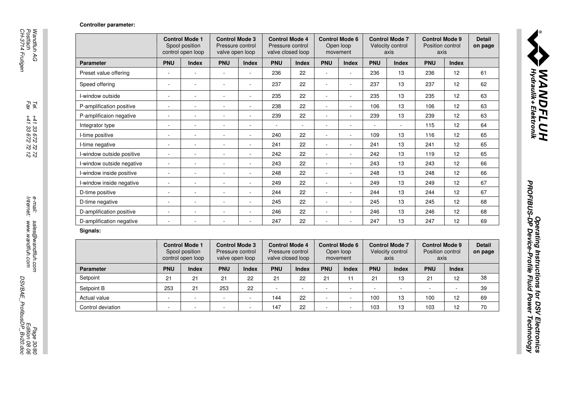#### Controller parameter:

|                           |                          | <b>Control Mode 1</b><br>Spool position<br>control open loop | <b>Control Mode 3</b><br>Pressure control<br>valve open loop |                          | <b>Control Mode 4</b><br>Pressure control<br>valve closed loop |              |                          | <b>Control Mode 6</b><br>Open loop<br>movement |                | <b>Control Mode 7</b><br>Velocity control<br>axis | <b>Control Mode 9</b><br>Position control<br>axis |              |
|---------------------------|--------------------------|--------------------------------------------------------------|--------------------------------------------------------------|--------------------------|----------------------------------------------------------------|--------------|--------------------------|------------------------------------------------|----------------|---------------------------------------------------|---------------------------------------------------|--------------|
| <b>Parameter</b>          | <b>PNU</b>               | <b>Index</b>                                                 | <b>PNU</b>                                                   | <b>Index</b>             | <b>PNU</b>                                                     | <b>Index</b> | <b>PNU</b>               | <b>Index</b>                                   | <b>PNU</b>     | <b>Index</b>                                      | <b>PNU</b>                                        | <b>Index</b> |
| Preset value offering     | ÷,                       |                                                              |                                                              |                          | 236                                                            | 22           |                          |                                                | 236            | 13                                                | 236                                               | 12           |
| Speed offering            | $\overline{\phantom{a}}$ |                                                              |                                                              | ÷,                       | 237                                                            | 22           |                          |                                                | 237            | 13                                                | 237                                               | 12           |
| I-window outside          | $\overline{\phantom{a}}$ |                                                              |                                                              | $\overline{\phantom{a}}$ | 235                                                            | 22           |                          |                                                | 235            | 13                                                | 235                                               | 12           |
| P-amplification positive  | $\overline{\phantom{a}}$ | $\sim$                                                       |                                                              | $\overline{a}$           | 238                                                            | 22           |                          | $\sim$                                         | 106            | 13                                                | 106                                               | 12           |
| P-amplificaion negative   | $\sim$                   | $\sim$                                                       |                                                              | ÷,                       | 239                                                            | 22           | $\sim$                   |                                                | 239            | 13                                                | 239                                               | 12           |
| Integrator type           | $\overline{\phantom{a}}$ | $\sim$                                                       | $\sim$                                                       | $\overline{\phantom{a}}$ | ×.                                                             | $\sim$       | $\sim$                   | $\overline{\phantom{a}}$                       | $\sim$         | $\sim$                                            | 115                                               | 12           |
| I-time positive           | $\blacksquare$           | $\sim$                                                       |                                                              | $\overline{\phantom{a}}$ | 240                                                            | 22           |                          |                                                | 109            | 13                                                | 116                                               | 12           |
| I-time negative           | $\overline{\phantom{a}}$ | $\overline{\phantom{a}}$                                     | $\sim$                                                       | $\sim$                   | 241                                                            | 22           | $\sim$                   | $\overline{\phantom{a}}$                       | 241            | 13                                                | 241                                               | 12           |
| I-window outside positive | $\overline{a}$           | $\blacksquare$                                               |                                                              | $\overline{\phantom{a}}$ | 242                                                            | 22           | $\sim$                   | $\blacksquare$                                 | 242            | 13                                                | 119                                               | 12           |
| I-window outside negative | $\overline{\phantom{a}}$ | $\blacksquare$                                               |                                                              | $\overline{\phantom{a}}$ | 243                                                            | 22           | $\sim$                   |                                                | 243            | 13                                                | 243                                               | 12           |
| I-window inside positive  | $\overline{\phantom{a}}$ | $\sim$                                                       | $\sim$                                                       | $\overline{a}$           | 248                                                            | 22           | $\sim$                   | $\sim$                                         | 248            | 13                                                | 248                                               | 12           |
| I-window inside negative  | ÷,                       |                                                              |                                                              | ÷,                       | 249                                                            | 22           |                          |                                                | 249            | 13                                                | 249                                               | 12           |
| D-time positive           | $\blacksquare$           | $\blacksquare$                                               | $\sim$                                                       | $\sim$                   | 244                                                            | 22           | $\sim$                   | $\overline{\phantom{a}}$                       | 244            | 13                                                | 244                                               | 12           |
| D-time negative           | ÷,                       | $\sim$                                                       | $\sim$                                                       | $\sim$                   | 245                                                            | 22           | $\sim$                   | $\sim$                                         | 245            | 13                                                | 245                                               | 12           |
| D-amplification positive  | $\blacksquare$           | $\blacksquare$                                               |                                                              | $\blacksquare$           | 246                                                            | 22           | $\sim$                   |                                                | 246            | 13                                                | 246                                               | 12           |
| D-amplification negative  | $\overline{a}$           | $\sim$                                                       | $\sim$                                                       | $\sim$                   | 247                                                            | 22           | $\sim$                   |                                                | 247            | 13                                                | 247                                               | 12           |
| Signals:                  |                          |                                                              |                                                              |                          |                                                                |              |                          |                                                |                |                                                   |                                                   |              |
|                           |                          | <b>Control Mode 1</b><br>Spool position<br>control open loop | <b>Control Mode 3</b><br>Pressure control<br>valve open loop |                          | <b>Control Mode 4</b><br>Pressure control<br>valve closed loop |              |                          | <b>Control Mode 6</b><br>Open loop<br>movement |                | <b>Control Mode 7</b><br>Velocity control<br>axis | <b>Control Mode 9</b><br>Position control<br>axis |              |
| <b>Parameter</b>          | <b>PNU</b>               | <b>Index</b>                                                 | <b>PNU</b>                                                   | <b>Index</b>             | <b>PNU</b>                                                     | <b>Index</b> | <b>PNU</b>               | Index                                          | <b>PNU</b>     | <b>Index</b>                                      | <b>PNU</b>                                        | Index        |
| Setpoint                  | 21                       | 21                                                           | 21                                                           | 22                       | 21                                                             | 22           | 21                       | 11                                             | 21             | 13                                                | 21                                                | 12           |
| Setpoint B                | 253                      | 21                                                           | 253                                                          | 22                       | $\mathbf{r}$                                                   | $\sim$       | $\sim$                   | $\blacksquare$                                 | $\blacksquare$ | $\sim$                                            | $\overline{\phantom{0}}$                          | $\bar{a}$    |
| Actual value              | $\blacksquare$           | $\overline{\phantom{a}}$                                     |                                                              | $\blacksquare$           | 144                                                            | 22           | $\sim$                   | $\overline{\phantom{a}}$                       | 100            | 13                                                | 100                                               | 12           |
|                           |                          |                                                              | $\overline{\phantom{a}}$                                     | $\overline{\phantom{a}}$ | 147                                                            | 22           | $\overline{\phantom{a}}$ |                                                | 103            | 13                                                | 103                                               | 12           |

#### Signals:

|                   |            | <b>Control Mode 1</b><br>Spool position<br>control open loop | <b>Control Mode 3</b><br>Pressure control<br>valve open loop |              | <b>Control Mode 4</b><br>Pressure control<br>valve closed loop |              | <b>Control Mode 6</b> | Open loop<br>movement |            | <b>Control Mode 7</b><br>Velocity control<br>axis | <b>Control Mode 9</b><br>Position control<br>axis |              | <b>Detail</b><br>on page |
|-------------------|------------|--------------------------------------------------------------|--------------------------------------------------------------|--------------|----------------------------------------------------------------|--------------|-----------------------|-----------------------|------------|---------------------------------------------------|---------------------------------------------------|--------------|--------------------------|
| <b>Parameter</b>  | <b>PNU</b> | <b>Index</b>                                                 | <b>PNU</b>                                                   | <b>Index</b> | <b>PNU</b>                                                     | <b>Index</b> | <b>PNU</b>            | <b>Index</b>          | <b>PNU</b> | <b>Index</b>                                      | <b>PNU</b>                                        | <b>Index</b> |                          |
| Setpoint          | 21         | 21                                                           | 21                                                           | 22           | 21                                                             | 22           | 21                    | 11                    | 21         | 13                                                | 21                                                | 12           | 38                       |
| Setpoint B        | 253        | 21                                                           | 253                                                          | 22           |                                                                |              |                       |                       |            | $\overline{\phantom{a}}$                          |                                                   |              | 39                       |
| Actual value      |            |                                                              |                                                              |              | 144                                                            | 22           |                       |                       | 100        | 13                                                | 100                                               | 12           | 69                       |
| Control deviation |            |                                                              |                                                              |              | 147                                                            | 22           |                       |                       | 103        | 13                                                | 103                                               | 12           | 70                       |

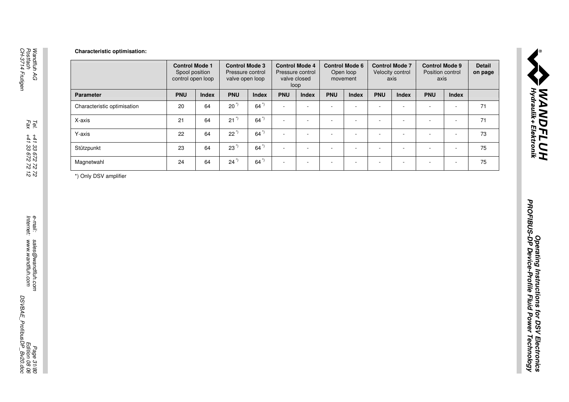|                             | <b>Control Mode 1</b><br>Spool position<br>control open loop |       | <b>Control Mode 3</b><br>Pressure control<br>valve open loop |                    | <b>Control Mode 4</b><br>Pressure control<br>valve closed<br>loop |                          | <b>Control Mode 6</b><br>Open loop<br>movement |                          | <b>Control Mode 7</b><br>Velocity control<br>axis |                          | <b>Control Mode 9</b><br>Position control<br>axis |                | <b>Detail</b><br>on page |  |
|-----------------------------|--------------------------------------------------------------|-------|--------------------------------------------------------------|--------------------|-------------------------------------------------------------------|--------------------------|------------------------------------------------|--------------------------|---------------------------------------------------|--------------------------|---------------------------------------------------|----------------|--------------------------|--|
| Parameter                   | <b>PNU</b>                                                   | Index | <b>PNU</b>                                                   | Index              | <b>PNU</b>                                                        | Index                    | <b>PNU</b>                                     | Index                    | <b>PNU</b>                                        | Index                    | <b>PNU</b>                                        | Index          |                          |  |
| Characteristic optimisation | $20\,$                                                       | 64    | $20^{\prime\prime}$                                          | $64$ <sup>*)</sup> | $\omega$                                                          | $\blacksquare$           | $\sim$                                         | $\overline{\phantom{a}}$ | $\blacksquare$                                    | $\overline{\phantom{a}}$ | $\blacksquare$                                    | $\sim$         | 71                       |  |
| X-axis                      | 21                                                           | 64    | $21^{\prime\prime}$                                          | $64$ <sup>*)</sup> | $\mathcal{L}_{\mathcal{A}}$                                       | $\overline{\phantom{a}}$ | $\overline{\phantom{a}}$                       | $\overline{\phantom{a}}$ | $\overline{\phantom{a}}$                          | $\frac{1}{2}$            | $\blacksquare$                                    | $\sim$         | $71$                     |  |
| Y-axis                      | 22                                                           | 64    | $22^{\prime}$                                                | $64^{\degree}$     | $\mathcal{L}_{\mathcal{A}}$                                       | $\blacksquare$           | $\overline{a}$                                 | $\blacksquare$           | ä,                                                | $\Box$                   | $\blacksquare$                                    | $\sim$         | 73                       |  |
| Stützpunkt                  | 23                                                           | 64    | $23^{\prime}$                                                | $64^{\degree}$     | $\mathcal{L}_{\mathcal{A}}$                                       | $\sim$                   | $\ddot{\phantom{a}}$                           | $\overline{\phantom{a}}$ | $\blacksquare$                                    | $\frac{1}{2}$            | $\blacksquare$                                    | $\blacksquare$ | 75                       |  |
| Magnetwahl                  | 24                                                           | 64    | $24^{\prime\prime}$                                          | 64"                | $\sim$                                                            | $\overline{\phantom{a}}$ | $\blacksquare$                                 | $\overline{\phantom{a}}$ | $\overline{\phantom{a}}$                          | $\blacksquare$           | $\overline{\phantom{a}}$                          | $\sim$         | 75                       |  |
|                             |                                                              |       |                                                              |                    |                                                                   |                          |                                                |                          |                                                   |                          |                                                   |                |                          |  |
|                             |                                                              |       |                                                              |                    |                                                                   |                          |                                                |                          |                                                   |                          |                                                   |                |                          |  |

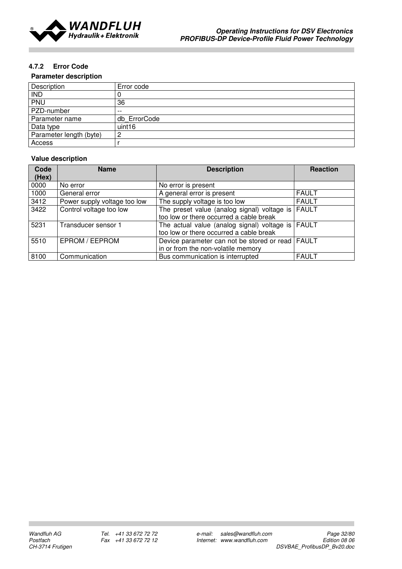

### 4.7.2 Error Code

#### Parameter description

| Description             | Error code   |
|-------------------------|--------------|
| <b>IND</b>              |              |
| PNU                     | 36           |
| PZD-number              | $- -$        |
| Parameter name          | db ErrorCode |
| Data type               | uint16       |
| Parameter length (byte) | റ            |
| Access                  |              |

#### Value description

| Code  | <b>Name</b>                  | <b>Description</b>                                 | <b>Reaction</b> |
|-------|------------------------------|----------------------------------------------------|-----------------|
| (Hex) |                              |                                                    |                 |
| 0000  | No error                     | No error is present                                |                 |
| 1000  | General error                | A general error is present                         | <b>FAULT</b>    |
| 3412  | Power supply voltage too low | The supply voltage is too low                      | <b>FAULT</b>    |
| 3422  | Control voltage too low      | The preset value (analog signal) voltage is        | <b>FAULT</b>    |
|       |                              | too low or there occurred a cable break            |                 |
| 5231  | Transducer sensor 1          | The actual value (analog signal) voltage is FAULT  |                 |
|       |                              | too low or there occurred a cable break            |                 |
| 5510  | EPROM / EEPROM               | Device parameter can not be stored or read   FAULT |                 |
|       |                              | in or from the non-volatile memory                 |                 |
| 8100  | Communication                | Bus communication is interrupted                   | <b>FAULT</b>    |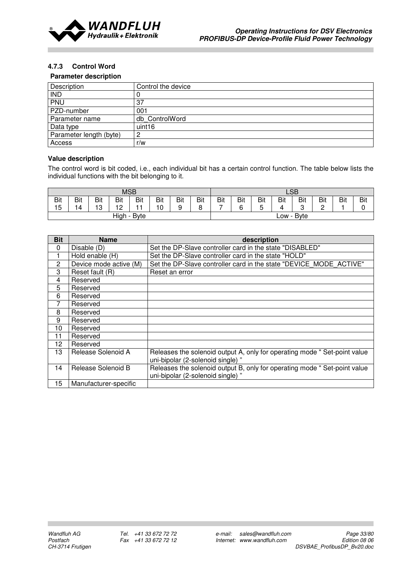

#### 4.7.3 Control Word

#### Parameter description

| Description             | Control the device |
|-------------------------|--------------------|
| <b>IND</b>              |                    |
| PNU                     | 37                 |
| PZD-number              | 001                |
| Parameter name          | db ControlWord     |
| Data type               | uint <sub>16</sub> |
| Parameter length (byte) |                    |
| Access                  | r/w                |

#### Value description

The control word is bit coded, i.e., each individual bit has a certain control function. The table below lists the individual functions with the bit belonging to it.

| <b>MSB</b> |              |     |           |     |     | LSB |            |               |     |        |     |             |     |     |     |
|------------|--------------|-----|-----------|-----|-----|-----|------------|---------------|-----|--------|-----|-------------|-----|-----|-----|
| Bit        | <b>Bit</b>   | Bit | Bit       | Bit | Bit | Bit | <b>Bit</b> | Bit           | Bit | Bit    | Bit | <b>Bit</b>  | Bit | Bit | Bit |
| 15         | 14           | 13  | 12<br>' ~ |     | 10  | 9   | ິ          | $\rightarrow$ | ĥ   | -<br>∽ |     | ◠<br>u      |     |     |     |
|            | High<br>Byte |     |           |     |     |     |            |               |     |        | LOW | <b>Byte</b> |     |     |     |

| <b>Bit</b> | <b>Name</b>            | description                                                                                                   |
|------------|------------------------|---------------------------------------------------------------------------------------------------------------|
| 0          | Disable (D)            | Set the DP-Slave controller card in the state "DISABLED"                                                      |
|            | Hold enable (H)        | Set the DP-Slave controller card in the state "HOLD"                                                          |
| 2          | Device mode active (M) | Set the DP-Slave controller card in the state "DEVICE MODE ACTIVE"                                            |
| 3          | Reset fault (R)        | Reset an error                                                                                                |
| 4          | Reserved               |                                                                                                               |
| 5          | Reserved               |                                                                                                               |
| 6          | Reserved               |                                                                                                               |
| 7          | Reserved               |                                                                                                               |
| 8          | Reserved               |                                                                                                               |
| 9          | Reserved               |                                                                                                               |
| 10         | Reserved               |                                                                                                               |
| 11         | Reserved               |                                                                                                               |
| 12         | Reserved               |                                                                                                               |
| 13         | Release Solenoid A     | Releases the solenoid output A, only for operating mode "Set-point value<br>uni-bipolar (2-solenoid single) " |
| 14         | Release Solenoid B     | Releases the solenoid output B, only for operating mode " Set-point value                                     |
|            |                        | uni-bipolar (2-solenoid single) "                                                                             |
| 15         | Manufacturer-specific  |                                                                                                               |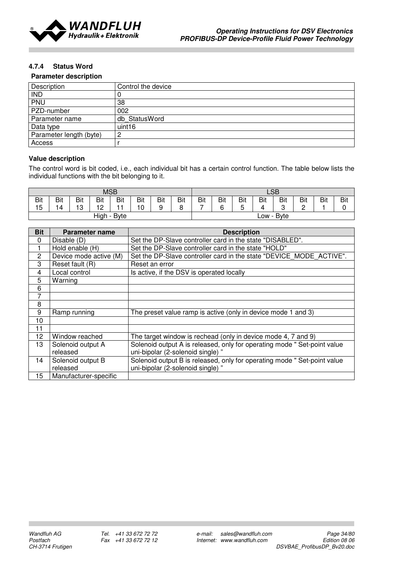

### 4.7.4 Status Word

#### Parameter description

| Description             | Control the device |
|-------------------------|--------------------|
| <b>IND</b>              | C                  |
| PNU                     | 38                 |
| PZD-number              | 002                |
| Parameter name          | db StatusWord      |
| Data type               | uint <sub>16</sub> |
| Parameter length (byte) | ာ<br>∸             |
| Access                  |                    |

#### Value description

The control word is bit coded, i.e., each individual bit has a certain control function. The table below lists the individual functions with the bit belonging to it.

|     | <b>MSB</b>     |     |           |     |     |     | LSB |            |     |     |           |             |     |     |     |
|-----|----------------|-----|-----------|-----|-----|-----|-----|------------|-----|-----|-----------|-------------|-----|-----|-----|
| Bit | Bit            | Bit | Bit       | Bit | Bit | Bit | Bit | <b>Bit</b> | Bit | Bit | Bit       | Bit         | Bit | Bit | Bit |
| 15  | 14             | 13  | 12<br>. . |     | '0  | 9   |     | -          | ี   |     |           | $\sim$<br>u |     |     |     |
|     | High -<br>Byte |     |           |     |     |     |     |            |     |     | $LOW - T$ | Byte        |     |     |     |

| <b>Bit</b>   | Parameter name         | <b>Description</b>                                                       |
|--------------|------------------------|--------------------------------------------------------------------------|
| 0            | Disable (D)            | Set the DP-Slave controller card in the state "DISABLED".                |
|              | Hold enable (H)        | Set the DP-Slave controller card in the state "HOLD"                     |
| $\mathbf{2}$ | Device mode active (M) | Set the DP-Slave controller card in the state "DEVICE MODE ACTIVE".      |
| 3            | Reset fault (R)        | Reset an error                                                           |
| 4            | Local control          | Is active, if the DSV is operated locally                                |
| 5            | Warning                |                                                                          |
| 6            |                        |                                                                          |
| 7            |                        |                                                                          |
| 8            |                        |                                                                          |
| 9            | Ramp running           | The preset value ramp is active (only in device mode 1 and 3)            |
| 10           |                        |                                                                          |
| 11           |                        |                                                                          |
| 12           | Window reached         | The target window is rechead (only in device mode 4, 7 and 9)            |
| 13           | Solenoid output A      | Solenoid output A is released, only for operating mode " Set-point value |
|              | released               | uni-bipolar (2-solenoid single) "                                        |
| 14           | Solenoid output B      | Solenoid output B is released, only for operating mode "Set-point value  |
|              | released               | uni-bipolar (2-solenoid single) "                                        |
| 15           | Manufacturer-specific  |                                                                          |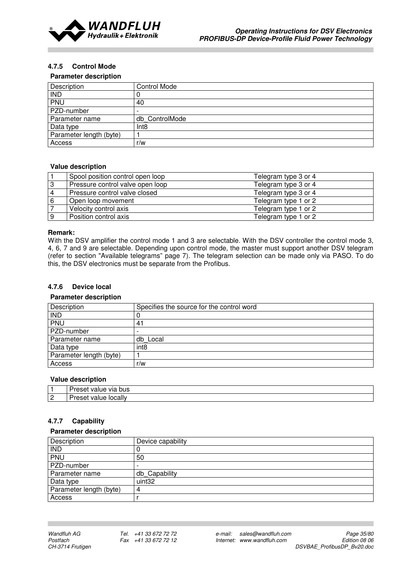

#### 4.7.5 Control Mode

#### Parameter description

| Description             | <b>Control Mode</b>      |
|-------------------------|--------------------------|
| <b>IND</b>              |                          |
| PNU                     | 40                       |
| PZD-number              | $\overline{\phantom{a}}$ |
| Parameter name          | db ControlMode           |
| Data type               | Int <sub>8</sub>         |
| Parameter length (byte) |                          |
| Access                  | r/w                      |

#### Value description

|    | Spool position control open loop | Telegram type 3 or 4 |
|----|----------------------------------|----------------------|
| -3 | Pressure control valve open loop | Telegram type 3 or 4 |
| 4  | Pressure control valve closed    | Telegram type 3 or 4 |
| 6  | Open loop movement               | Telegram type 1 or 2 |
|    | Velocity control axis            | Telegram type 1 or 2 |
| 9  | Position control axis            | Telegram type 1 or 2 |

#### Remark:

With the DSV amplifier the control mode 1 and 3 are selectable. With the DSV controller the control mode 3, 4, 6, 7 and 9 are selectable. Depending upon control mode, the master must support another DSV telegram (refer to section "Available telegrams" page 7). The telegram selection can be made only via PASO. To do this, the DSV electronics must be separate from the Profibus.

#### 4.7.6 Device local

#### Parameter description

| Description             | Specifies the source for the control word |
|-------------------------|-------------------------------------------|
| <b>IND</b>              |                                           |
| <b>PNU</b>              | 41                                        |
| PZD-number              |                                           |
| Parameter name          | db Local                                  |
| Data type               | int <sub>8</sub>                          |
| Parameter length (byte) |                                           |
| Access                  | r/w                                       |

#### Value description

|                  | bus<br><br>.<br>via                   |
|------------------|---------------------------------------|
| $\sim$<br>$\geq$ | <b>locally</b><br>. .<br><b>VALLE</b> |

#### 4.7.7 Capability

#### Parameter description

| Description             | Device capability        |  |
|-------------------------|--------------------------|--|
| <b>IND</b>              |                          |  |
| <b>PNU</b>              | 50                       |  |
| PZD-number              | $\overline{\phantom{0}}$ |  |
| Parameter name          | db Capability            |  |
| Data type               | uint <sub>32</sub>       |  |
| Parameter length (byte) | 4                        |  |
| Access                  |                          |  |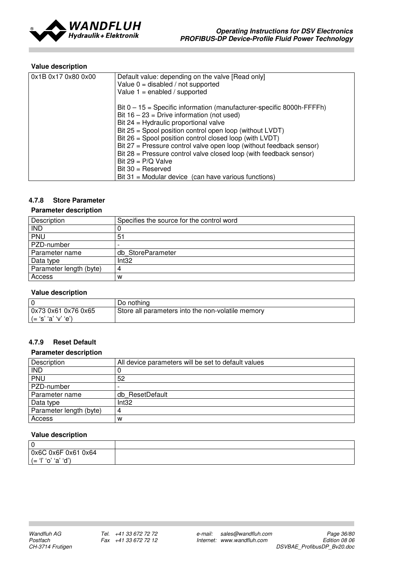

### Value description

| 0x1B 0x17 0x80 0x00 | Default value: depending on the valve [Read only]<br>Value $0 =$ disabled / not supported<br>Value $1 =$ enabled / supported                                                                                                                                                                                                                                                                                                                                                                                                                          |
|---------------------|-------------------------------------------------------------------------------------------------------------------------------------------------------------------------------------------------------------------------------------------------------------------------------------------------------------------------------------------------------------------------------------------------------------------------------------------------------------------------------------------------------------------------------------------------------|
|                     | Bit $0 - 15$ = Specific information (manufacturer-specific 8000h-FFFFh)<br>Bit $16 - 23$ = Drive information (not used)<br>Bit $24$ = Hydraulic proportional valve<br>Bit $25$ = Spool position control open loop (without LVDT)<br>Bit $26$ = Spool position control closed loop (with LVDT)<br>Bit 27 = Pressure control valve open loop (without feedback sensor)<br>Bit $28$ = Pressure control valve closed loop (with feedback sensor)<br>Bit $29 = P/Q$ Valve<br>$Bit 30 = Reserved$<br>$Bit 31 = Modular device$ (can have various functions) |

### 4.7.8 Store Parameter

#### Parameter description

| Description             | Specifies the source for the control word |
|-------------------------|-------------------------------------------|
| IND                     |                                           |
| PNU                     | 51                                        |
| PZD-number              | $\overline{\phantom{0}}$                  |
| Parameter name          | db StoreParameter                         |
| Data type               | Int32                                     |
| Parameter length (byte) |                                           |
| Access                  | w                                         |

#### Value description

|                       | Do nothing                                        |
|-----------------------|---------------------------------------------------|
| 0x73 0x61 0x76 0x65   | Store all parameters into the non-volatile memory |
| ' (= 's' 'a' 'v' 'e') |                                                   |

### 4.7.9 Reset Default

#### Parameter description

| Description             | All device parameters will be set to default values |
|-------------------------|-----------------------------------------------------|
| <b>IND</b>              |                                                     |
| PNU                     | 52                                                  |
| PZD-number              |                                                     |
| Parameter name          | db ResetDefault                                     |
| Data type               | Int32                                               |
| Parameter length (byte) | 4                                                   |
| Access                  | W                                                   |

#### Value description

| 0                          |  |
|----------------------------|--|
| 0x6C 0x6F 0x61 0x64        |  |
| $\sim$<br>(<br>$\sim$<br>а |  |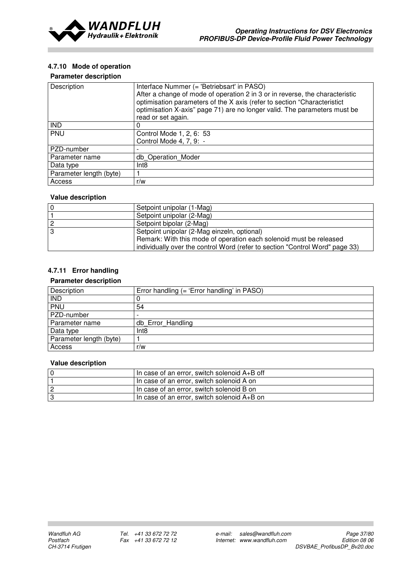

## 4.7.10 Mode of operation

### Parameter description

| Description             | Interface Nummer (= 'Betriebsart' in PASO)<br>After a change of mode of operation 2 in 3 or in reverse, the characteristic<br>optimisation parameters of the X axis (refer to section "Characteristict<br>optimisation X-axis" page 71) are no longer valid. The parameters must be<br>read or set again. |  |
|-------------------------|-----------------------------------------------------------------------------------------------------------------------------------------------------------------------------------------------------------------------------------------------------------------------------------------------------------|--|
| <b>IND</b>              | 0                                                                                                                                                                                                                                                                                                         |  |
| PNU                     | Control Mode 1, 2, 6: 53                                                                                                                                                                                                                                                                                  |  |
|                         | Control Mode 4, 7, 9: -                                                                                                                                                                                                                                                                                   |  |
| PZD-number              |                                                                                                                                                                                                                                                                                                           |  |
| Parameter name          | db Operation Moder                                                                                                                                                                                                                                                                                        |  |
| Data type               | Int8                                                                                                                                                                                                                                                                                                      |  |
| Parameter length (byte) |                                                                                                                                                                                                                                                                                                           |  |
| Access                  | r/w                                                                                                                                                                                                                                                                                                       |  |

### Value description

| l 0      | Setpoint unipolar (1-Mag)                                                                                                                          |
|----------|----------------------------------------------------------------------------------------------------------------------------------------------------|
|          | Setpoint unipolar (2-Mag)                                                                                                                          |
| <u>2</u> | Setpoint bipolar (2-Mag)                                                                                                                           |
| IЗ       | Setpoint unipolar (2-Mag einzeln, optional)                                                                                                        |
|          | Remark: With this mode of operation each solenoid must be released<br>individually over the control Word (refer to section "Control Word" page 33) |

# 4.7.11 Error handling

## Parameter description

| Description             | Error handling (= 'Error handling' in PASO) |
|-------------------------|---------------------------------------------|
| <b>IND</b>              |                                             |
| PNU                     | 54                                          |
| PZD-number              |                                             |
| Parameter name          | db Error Handling                           |
| Data type               | Int8                                        |
| Parameter length (byte) |                                             |
| Access                  | r/w                                         |

| In case of an error, switch solenoid A+B off  |
|-----------------------------------------------|
| In case of an error, switch solenoid A on     |
| In case of an error, switch solenoid B on     |
| I In case of an error, switch solenoid A+B on |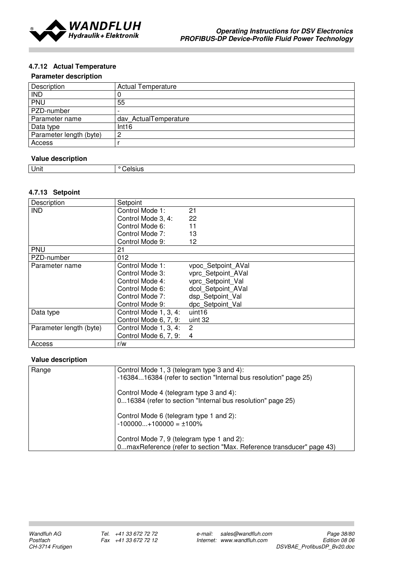

## 4.7.12 Actual Temperature

### Parameter description

| Description             | <b>Actual Temperature</b> |
|-------------------------|---------------------------|
| <b>IND</b>              |                           |
| PNU                     | 55                        |
| PZD-number              | $\overline{\phantom{0}}$  |
| Parameter name          | dav ActualTemperature     |
| Data type               | Int16                     |
| Parameter length (byte) | റ<br>∸                    |
| Access                  |                           |

## Value description

| . .<br>Unit | <br>- 11 |
|-------------|----------|
|             |          |

### 4.7.13 Setpoint

| Description             | Setpoint              |                    |
|-------------------------|-----------------------|--------------------|
| <b>IND</b>              | Control Mode 1:       | 21                 |
|                         | Control Mode 3, 4:    | 22                 |
|                         | Control Mode 6:       | 11                 |
|                         | Control Mode 7:       | 13                 |
|                         | Control Mode 9:       | 12                 |
| <b>PNU</b>              | 21                    |                    |
| PZD-number              | 012                   |                    |
| Parameter name          | Control Mode 1:       | vpoc Setpoint AVal |
|                         | Control Mode 3:       | vprc_Setpoint_AVal |
|                         | Control Mode 4:       | vprc Setpoint Val  |
|                         | Control Mode 6:       | dcol Setpoint AVal |
|                         | Control Mode 7:       | dsp Setpoint Val   |
|                         | Control Mode 9:       | dpc Setpoint Val   |
| Data type               | Control Mode 1, 3, 4: | uint16             |
|                         | Control Mode 6, 7, 9: | uint 32            |
| Parameter length (byte) | Control Mode 1, 3, 4: | $\overline{2}$     |
|                         | Control Mode 6, 7, 9: | 4                  |
| Access                  | r/w                   |                    |

| Range | Control Mode 1, 3 (telegram type 3 and 4):<br>-1638416384 (refer to section "Internal bus resolution" page 25)     |
|-------|--------------------------------------------------------------------------------------------------------------------|
|       | Control Mode 4 (telegram type 3 and 4):<br>016384 (refer to section "Internal bus resolution" page 25)             |
|       | Control Mode 6 (telegram type 1 and 2):<br>$-100000+100000 = \pm 100\%$                                            |
|       | Control Mode 7, 9 (telegram type 1 and 2):<br>0maxReference (refer to section "Max. Reference transducer" page 43) |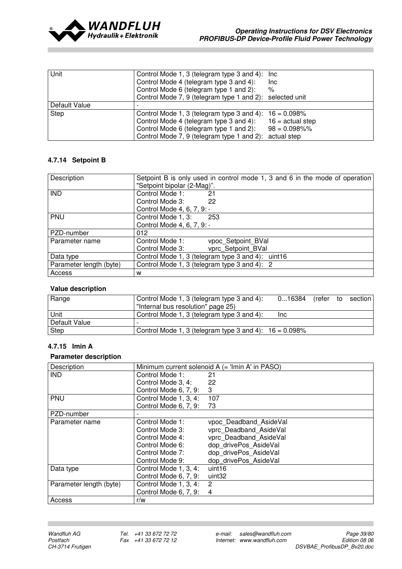

| Unit          | Control Mode 1, 3 (telegram type 3 and 4): Inc.           |                    |
|---------------|-----------------------------------------------------------|--------------------|
|               | Control Mode 4 (telegram type 3 and 4):                   | Inc.               |
|               | Control Mode 6 (telegram type 1 and 2):                   | %                  |
|               | Control Mode 7, 9 (telegram type 1 and 2): selected unit  |                    |
| Default Value |                                                           |                    |
| <b>Step</b>   | Control Mode 1, 3 (telegram type 3 and 4): $16 = 0.098\%$ |                    |
|               | Control Mode 4 (telegram type 3 and 4):                   | $16 = actual step$ |
|               | Control Mode 6 (telegram type 1 and 2):                   | $98 = 0.098\%$ %   |
|               | Control Mode 7, 9 (telegram type 1 and 2):                | actual step        |

## 4.7.14 Setpoint B

| Description             | Setpoint B is only used in control mode 1, 3 and 6 in the mode of operation |  |  |
|-------------------------|-----------------------------------------------------------------------------|--|--|
|                         | "Setpoint bipolar (2-Mag)".                                                 |  |  |
| <b>IND</b>              | Control Mode 1:<br>21                                                       |  |  |
|                         | Control Mode 3:<br>22                                                       |  |  |
|                         | Control Mode 4, 6, 7, 9: -                                                  |  |  |
| PNU                     | Control Mode 1, 3:<br>253                                                   |  |  |
|                         | Control Mode 4, 6, 7, 9: -                                                  |  |  |
| PZD-number              | 012                                                                         |  |  |
| Parameter name          | Control Mode 1:<br>vpoc Setpoint BVal                                       |  |  |
|                         | vprc Setpoint BVal<br>Control Mode 3:                                       |  |  |
| Data type               | Control Mode 1, 3 (telegram type 3 and 4): uint16                           |  |  |
| Parameter length (byte) | Control Mode 1, 3 (telegram type 3 and 4): 2                                |  |  |
| Access                  | w                                                                           |  |  |

## Value description

| Range         | Control Mode 1, 3 (telegram type 3 and 4):<br>"Internal bus resolution" page 25) | $016384$ (refer to section) |  |  |
|---------------|----------------------------------------------------------------------------------|-----------------------------|--|--|
| Unit          | Control Mode 1, 3 (telegram type 3 and 4):                                       | Inc.                        |  |  |
| Default Value | $\overline{\phantom{0}}$                                                         |                             |  |  |
| Step          | Control Mode 1, 3 (telegram type 3 and 4): $16 = 0.098\%$                        |                             |  |  |

## 4.7.15 Imin A

| Description             | Minimum current solenoid A (= 'Imin A' in PASO) |                        |
|-------------------------|-------------------------------------------------|------------------------|
| <b>IND</b>              | Control Mode 1:                                 | 21                     |
|                         | Control Mode 3, 4:                              | 22                     |
|                         | Control Mode 6, 7, 9:                           | 3                      |
| PNU                     | Control Mode 1, 3, 4:                           | 107                    |
|                         | Control Mode 6, 7, 9:                           | 73                     |
| PZD-number              |                                                 |                        |
| Parameter name          | Control Mode 1:                                 | vpoc Deadband_AsideVal |
|                         | Control Mode 3:                                 | vprc Deadband AsideVal |
|                         | Control Mode 4:                                 | vprc Deadband AsideVal |
|                         | Control Mode 6:                                 | dop drivePos AsideVal  |
|                         | Control Mode 7:                                 | dop drivePos AsideVal  |
|                         | Control Mode 9:                                 | dop drivePos AsideVal  |
| Data type               | Control Mode 1, 3, 4:                           | uint <sub>16</sub>     |
|                         | Control Mode 6, 7, 9:                           | uint32                 |
| Parameter length (byte) | Control Mode 1, 3, 4:                           | $\overline{2}$         |
|                         | Control Mode 6, 7, 9:                           | 4                      |
| Access                  | r/w                                             |                        |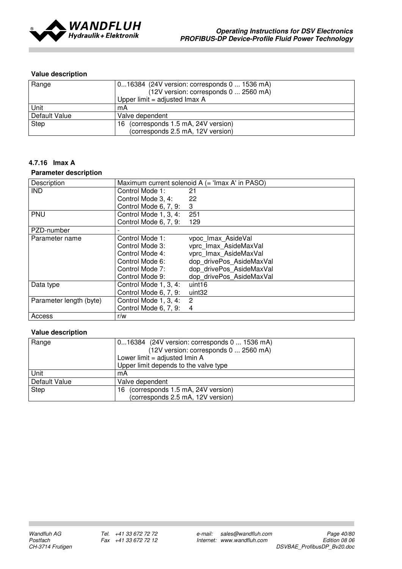

| Range         | 016384 (24V version: corresponds 0  1536 mA) |  |  |
|---------------|----------------------------------------------|--|--|
|               | (12V version: corresponds 0  2560 mA)        |  |  |
|               | Upper limit = adjusted $\text{Imax A}$       |  |  |
| Unit          | mA                                           |  |  |
| Default Value | Valve dependent                              |  |  |
| Step          | 16 (corresponds 1.5 mA, 24V version)         |  |  |
|               | (corresponds 2.5 mA, 12V version)            |  |  |

## 4.7.16 Imax A

#### Parameter description

| Description             |                       | Maximum current solenoid A (= 'Imax A' in PASO) |
|-------------------------|-----------------------|-------------------------------------------------|
| <b>IND</b>              | Control Mode 1:       | 21                                              |
|                         | Control Mode 3, 4:    | 22                                              |
|                         | Control Mode 6, 7, 9: | 3                                               |
| PNU                     | Control Mode 1, 3, 4: | 251                                             |
|                         | Control Mode 6, 7, 9: | 129                                             |
| PZD-number              |                       |                                                 |
| Parameter name          | Control Mode 1:       | vpoc Imax AsideVal                              |
|                         | Control Mode 3:       | vprc Imax AsideMaxVal                           |
|                         | Control Mode 4:       | vprc Imax AsideMaxVal                           |
|                         | Control Mode 6:       | dop drivePos AsideMaxVal                        |
|                         | Control Mode 7:       | dop drivePos AsideMaxVal                        |
|                         | Control Mode 9:       | dop drivePos AsideMaxVal                        |
| Data type               | Control Mode 1, 3, 4: | uint <sub>16</sub>                              |
|                         | Control Mode 6, 7, 9: | uint32                                          |
| Parameter length (byte) | Control Mode 1, 3, 4: | $\overline{2}$                                  |
|                         | Control Mode 6, 7, 9: | $\overline{4}$                                  |
| Access                  | r/w                   |                                                 |

| Range         | 016384 (24V version: corresponds 0  1536 mA) |  |  |
|---------------|----------------------------------------------|--|--|
|               | (12V version: corresponds 0  2560 mA)        |  |  |
|               | Lower limit = adjusted $I$ min A             |  |  |
|               | Upper limit depends to the valve type        |  |  |
| l Unit        | mA                                           |  |  |
| Default Value | Valve dependent                              |  |  |
| Step          | (corresponds 1.5 mA, 24V version)<br>16.     |  |  |
|               | (corresponds 2.5 mA, 12V version)            |  |  |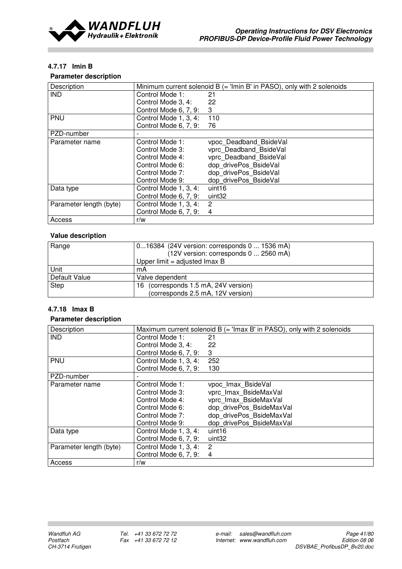

## 4.7.17 Imin B

## Parameter description

| Description             |                       | Minimum current solenoid $B =$ 'Imin B' in PASO), only with 2 solenoids |
|-------------------------|-----------------------|-------------------------------------------------------------------------|
| <b>IND</b>              | Control Mode 1:       | 21                                                                      |
|                         | Control Mode 3, 4:    | 22                                                                      |
|                         | Control Mode 6, 7, 9: | 3                                                                       |
| <b>PNU</b>              | Control Mode 1, 3, 4: | 110                                                                     |
|                         | Control Mode 6, 7, 9: | 76                                                                      |
| PZD-number              |                       |                                                                         |
| Parameter name          | Control Mode 1:       | vpoc Deadband BsideVal                                                  |
|                         | Control Mode 3:       | vprc Deadband BsideVal                                                  |
|                         | Control Mode 4:       | vprc Deadband BsideVal                                                  |
|                         | Control Mode 6:       | dop drivePos BsideVal                                                   |
|                         | Control Mode 7:       | dop drivePos BsideVal                                                   |
|                         | Control Mode 9:       | dop drivePos BsideVal                                                   |
| Data type               | Control Mode 1, 3, 4: | uint16                                                                  |
|                         | Control Mode 6, 7, 9: | uint32                                                                  |
| Parameter length (byte) | Control Mode 1, 3, 4: | 2                                                                       |
|                         | Control Mode 6, 7, 9: | 4                                                                       |
| Access                  | r/w                   |                                                                         |

## Value description

| Range         | 016384 (24V version: corresponds 0  1536 mA) |  |  |
|---------------|----------------------------------------------|--|--|
|               | (12V version: corresponds 0  2560 mA)        |  |  |
|               | Upper $limit = adjusted Imax B$              |  |  |
| <b>Unit</b>   | mA                                           |  |  |
| Default Value | Valve dependent                              |  |  |
| Step          | 16 (corresponds 1.5 mA, 24V version)         |  |  |
|               | (corresponds 2.5 mA, 12V version)            |  |  |

## 4.7.18 Imax B

| Description             |                       | Maximum current solenoid $B = I \text{max } B'$ in PASO), only with 2 solenoids |
|-------------------------|-----------------------|---------------------------------------------------------------------------------|
| <b>IND</b>              | Control Mode 1:       | 21                                                                              |
|                         | Control Mode 3, 4:    | 22                                                                              |
|                         | Control Mode 6, 7, 9: | 3                                                                               |
| PNU                     | Control Mode 1, 3, 4: | 252                                                                             |
|                         | Control Mode 6, 7, 9: | 130                                                                             |
| PZD-number              |                       |                                                                                 |
| Parameter name          | Control Mode 1:       | vpoc Imax BsideVal                                                              |
|                         | Control Mode 3:       | vprc Imax BsideMaxVal                                                           |
|                         | Control Mode 4:       | vprc Imax BsideMaxVal                                                           |
|                         | Control Mode 6:       | dop_drivePos_BsideMaxVal                                                        |
|                         | Control Mode 7:       | dop drivePos BsideMaxVal                                                        |
|                         | Control Mode 9:       | dop drivePos BsideMaxVal                                                        |
| Data type               | Control Mode 1, 3, 4: | uint <sub>16</sub>                                                              |
|                         | Control Mode 6, 7, 9: | uint32                                                                          |
| Parameter length (byte) | Control Mode 1, 3, 4: | 2                                                                               |
|                         | Control Mode 6, 7, 9: | $\overline{4}$                                                                  |
| Access                  | r/w                   |                                                                                 |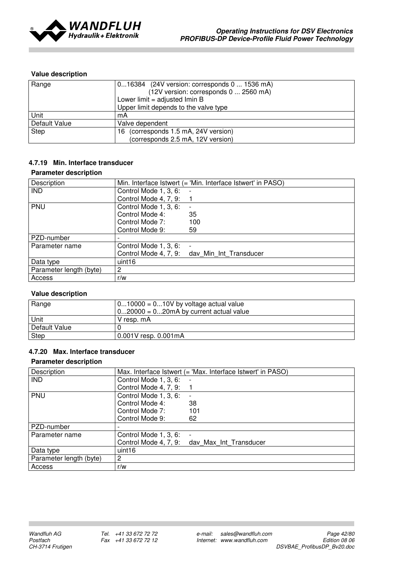

| Range         | 016384 (24V version: corresponds 0  1536 mA) |  |  |
|---------------|----------------------------------------------|--|--|
|               | (12V version: corresponds 0  2560 mA)        |  |  |
|               | Lower limit = adjusted $I$ min B             |  |  |
|               | Upper limit depends to the valve type        |  |  |
| <b>Unit</b>   | mA                                           |  |  |
| Default Value | Valve dependent                              |  |  |
| Step          | 16 (corresponds 1.5 mA, 24V version)         |  |  |
|               | (corresponds 2.5 mA, 12V version)            |  |  |

## 4.7.19 Min. Interface transducer

#### Parameter description

| Description             |                       | Min. Interface Istwert (= 'Min. Interface Istwert' in PASO) |
|-------------------------|-----------------------|-------------------------------------------------------------|
| <b>IND</b>              | Control Mode 1, 3, 6: |                                                             |
|                         | Control Mode 4, 7, 9: |                                                             |
| PNU                     | Control Mode 1, 3, 6: |                                                             |
|                         | Control Mode 4:       | 35                                                          |
|                         | Control Mode 7:       | 100                                                         |
|                         | Control Mode 9:       | 59                                                          |
| PZD-number              |                       |                                                             |
| Parameter name          | Control Mode 1, 3, 6: |                                                             |
|                         |                       | Control Mode 4, 7, 9: day Min Int Transducer                |
| Data type               | uint <sub>16</sub>    |                                                             |
| Parameter length (byte) | 2                     |                                                             |
| Access                  | r/w                   |                                                             |

## Value description

| Range         | $010000 = 010V$ by voltage actual value<br>$020000 = 020mA$ by current actual value |
|---------------|-------------------------------------------------------------------------------------|
| Unit          | V resp. mA                                                                          |
| Default Value |                                                                                     |
| <b>Step</b>   | $0.001V$ resp. $0.001mA$                                                            |

## 4.7.20 Max. Interface transducer

| Description             |                       | Max. Interface Istwert (= 'Max. Interface Istwert' in PASO) |
|-------------------------|-----------------------|-------------------------------------------------------------|
| <b>IND</b>              | Control Mode 1, 3, 6: |                                                             |
|                         | Control Mode 4, 7, 9: |                                                             |
| PNU                     | Control Mode 1, 3, 6: |                                                             |
|                         | Control Mode 4:       | 38                                                          |
|                         | Control Mode 7:       | 101                                                         |
|                         | Control Mode 9:       | 62                                                          |
| PZD-number              |                       |                                                             |
| Parameter name          | Control Mode 1, 3, 6: |                                                             |
|                         |                       | Control Mode 4, 7, 9: day Max Int Transducer                |
| Data type               | uint <sub>16</sub>    |                                                             |
| Parameter length (byte) | $\overline{2}$        |                                                             |
| Access                  | r/w                   |                                                             |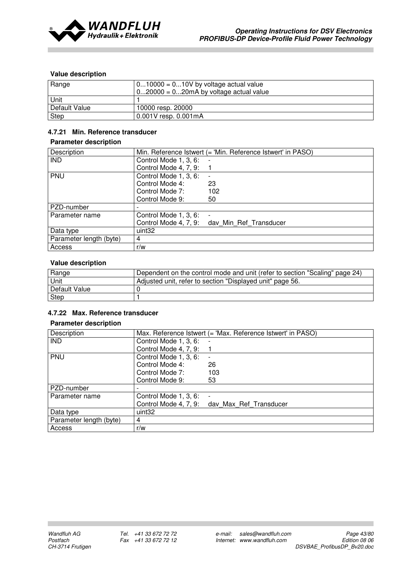

| Range         | $010000 = 010V$ by voltage actual value<br>$020000 = 020mA$ by voltage actual value |
|---------------|-------------------------------------------------------------------------------------|
| <b>Unit</b>   |                                                                                     |
| Default Value | 10000 resp. 20000                                                                   |
| Step          | 0.001V resp. 0.001mA                                                                |

## 4.7.21 Min. Reference transducer

#### Parameter description

| Description             |                       | Min. Reference Istwert (= 'Min. Reference Istwert' in PASO) |
|-------------------------|-----------------------|-------------------------------------------------------------|
| <b>IND</b>              | Control Mode 1, 3, 6: |                                                             |
|                         | Control Mode 4, 7, 9: |                                                             |
| PNU                     | Control Mode 1, 3, 6: |                                                             |
|                         | Control Mode 4:       | 23                                                          |
|                         | Control Mode 7:       | 102                                                         |
|                         | Control Mode 9:       | 50                                                          |
| PZD-number              |                       |                                                             |
| Parameter name          | Control Mode 1, 3, 6: |                                                             |
|                         |                       | Control Mode 4, 7, 9: day Min Ref Transducer                |
| Data type               | uint <sub>32</sub>    |                                                             |
| Parameter length (byte) | 4                     |                                                             |
| Access                  | r/w                   |                                                             |

## Value description

| Range         | Dependent on the control mode and unit (refer to section "Scaling" page 24) |
|---------------|-----------------------------------------------------------------------------|
| Unit          | Adjusted unit, refer to section "Displayed unit" page 56.                   |
| Default Value |                                                                             |
| Step          |                                                                             |

## 4.7.22 Max. Reference transducer

| Description             |                       | Max. Reference Istwert (= 'Max. Reference Istwert' in PASO) |
|-------------------------|-----------------------|-------------------------------------------------------------|
| <b>IND</b>              | Control Mode 1, 3, 6: |                                                             |
|                         | Control Mode 4, 7, 9: |                                                             |
| PNU                     | Control Mode 1, 3, 6: |                                                             |
|                         | Control Mode 4:       | 26                                                          |
|                         | Control Mode 7:       | 103                                                         |
|                         | Control Mode 9:       | 53                                                          |
| PZD-number              |                       |                                                             |
| Parameter name          | Control Mode 1, 3, 6: |                                                             |
|                         |                       | Control Mode 4, 7, 9: day Max Ref Transducer                |
| Data type               | uint32                |                                                             |
| Parameter length (byte) | 4                     |                                                             |
| Access                  | r/w                   |                                                             |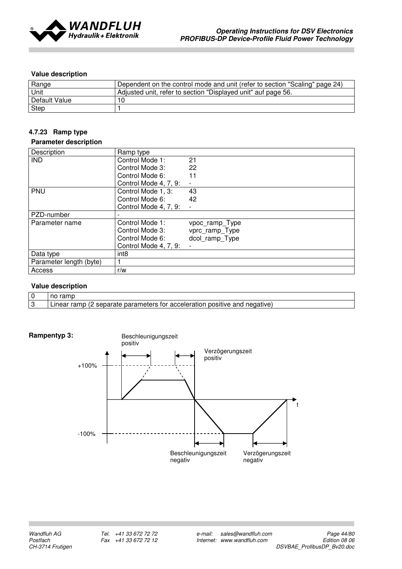

| Range         | Dependent on the control mode and unit (refer to section "Scaling" page 24) |
|---------------|-----------------------------------------------------------------------------|
| Unit          | Adjusted unit, refer to section "Displayed unit" auf page 56.               |
| Default Value |                                                                             |
| Step          |                                                                             |

## 4.7.23 Ramp type

#### Parameter description

| Description             | Ramp type             |                |
|-------------------------|-----------------------|----------------|
| <b>IND</b>              | Control Mode 1:       | 21             |
|                         | Control Mode 3:       | 22             |
|                         | Control Mode 6:       | 11             |
|                         | Control Mode 4, 7, 9: |                |
| PNU                     | Control Mode 1, 3:    | 43             |
|                         | Control Mode 6:       | 42             |
|                         | Control Mode 4, 7, 9: |                |
| PZD-number              |                       |                |
| Parameter name          | Control Mode 1:       | vpoc_ramp_Type |
|                         | Control Mode 3:       | vprc_ramp_Type |
|                         | Control Mode 6:       | dcol_ramp_Type |
|                         | Control Mode 4, 7, 9: |                |
| Data type               | int <sub>8</sub>      |                |
| Parameter length (byte) |                       |                |
| Access                  | r/w                   |                |

| $\sim$       | rome<br>no<br>anno                                                                                          |
|--------------|-------------------------------------------------------------------------------------------------------------|
| $\sim$<br>ັບ | parameters<br>ramp<br>oositive.<br>negative,<br>--------<br>; for acceleration<br>∟ınear<br>and<br>separate |

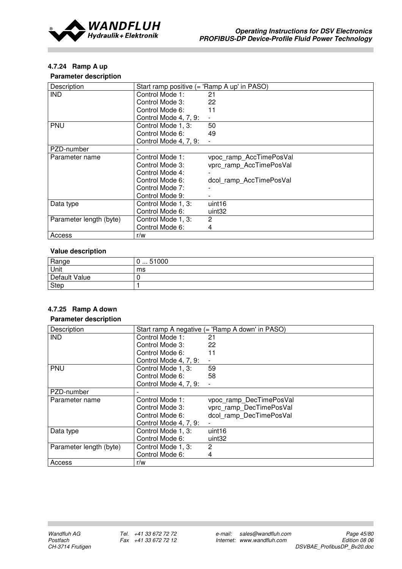

## 4.7.24 Ramp A up

### Parameter description

| Description             | Start ramp positive (= 'Ramp A up' in PASO) |                         |
|-------------------------|---------------------------------------------|-------------------------|
| <b>IND</b>              | Control Mode 1:                             | 21                      |
|                         | Control Mode 3:                             | 22                      |
|                         | Control Mode 6:                             | 11                      |
|                         | Control Mode 4, 7, 9:                       |                         |
| <b>PNU</b>              | Control Mode 1, 3:                          | 50                      |
|                         | Control Mode 6:                             | 49                      |
|                         | Control Mode 4, 7, 9:                       |                         |
| PZD-number              |                                             |                         |
| Parameter name          | Control Mode 1:                             | vpoc_ramp_AccTimePosVal |
|                         | Control Mode 3:                             | vprc ramp AccTimePosVal |
|                         | Control Mode 4:                             |                         |
|                         | Control Mode 6:                             | dcol_ramp_AccTimePosVal |
|                         | Control Mode 7:                             |                         |
|                         | Control Mode 9:                             |                         |
| Data type               | Control Mode 1, 3:                          | uint <sub>16</sub>      |
|                         | Control Mode 6:                             | uint <sub>32</sub>      |
| Parameter length (byte) | Control Mode 1, 3:                          | 2                       |
|                         | Control Mode 6:                             | 4                       |
| Access                  | r/w                                         |                         |

## Value description

| Range         | 51000<br><br>ັ |
|---------------|----------------|
| Unit          | ms             |
| Default Value |                |
| <b>Step</b>   |                |

# 4.7.25 Ramp A down

| Description             |                       | Start ramp A negative (= 'Ramp A down' in PASO) |
|-------------------------|-----------------------|-------------------------------------------------|
| <b>IND</b>              | Control Mode 1:       | 21                                              |
|                         | Control Mode 3:       | 22                                              |
|                         | Control Mode 6:       | 11                                              |
|                         | Control Mode 4, 7, 9: |                                                 |
| <b>PNU</b>              | Control Mode 1, 3:    | 59                                              |
|                         | Control Mode 6:       | 58                                              |
|                         | Control Mode 4, 7, 9: |                                                 |
| PZD-number              |                       |                                                 |
| Parameter name          | Control Mode 1:       | vpoc ramp DecTimePosVal                         |
|                         | Control Mode 3:       | vprc ramp DecTimePosVal                         |
|                         | Control Mode 6:       | dcol ramp DecTimePosVal                         |
|                         | Control Mode 4, 7, 9: |                                                 |
| Data type               | Control Mode 1, 3:    | uint <sub>16</sub>                              |
|                         | Control Mode 6:       | uint32                                          |
| Parameter length (byte) | Control Mode 1, 3:    | 2                                               |
|                         | Control Mode 6:       | 4                                               |
| Access                  | r/w                   |                                                 |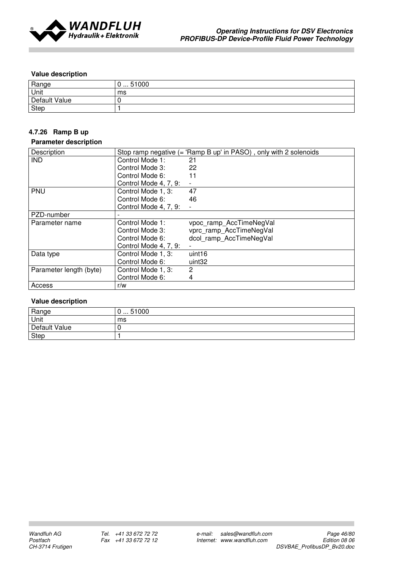

| Range         | 51000<br>v<br>$\sim$ $\sim$ $\sim$ |
|---------------|------------------------------------|
| Unit          | ms                                 |
| Default Value |                                    |
| <b>Step</b>   |                                    |

## 4.7.26 Ramp B up

#### Parameter description

| Description             |                       | Stop ramp negative (= 'Ramp B up' in PASO), only with 2 solenoids |
|-------------------------|-----------------------|-------------------------------------------------------------------|
| <b>IND</b>              | Control Mode 1:       | 21                                                                |
|                         | Control Mode 3:       | 22                                                                |
|                         | Control Mode 6:       | 11                                                                |
|                         | Control Mode 4, 7, 9: |                                                                   |
| PNU                     | Control Mode 1, 3:    | 47                                                                |
|                         | Control Mode 6:       | 46                                                                |
|                         | Control Mode 4, 7, 9: |                                                                   |
| PZD-number              |                       |                                                                   |
| Parameter name          | Control Mode 1:       | vpoc_ramp_AccTimeNegVal                                           |
|                         | Control Mode 3:       | vprc ramp AccTimeNegVal                                           |
|                         | Control Mode 6:       | dcol ramp AccTimeNegVal                                           |
|                         | Control Mode 4, 7, 9: |                                                                   |
| Data type               | Control Mode 1, 3:    | uint16                                                            |
|                         | Control Mode 6:       | uint <sub>32</sub>                                                |
| Parameter length (byte) | Control Mode 1, 3:    | 2                                                                 |
|                         | Control Mode 6:       | 4                                                                 |
| Access                  | r/w                   |                                                                   |

| Range         | 51000<br>. |
|---------------|------------|
| Unit          | ms         |
| Default Value |            |
| Step          |            |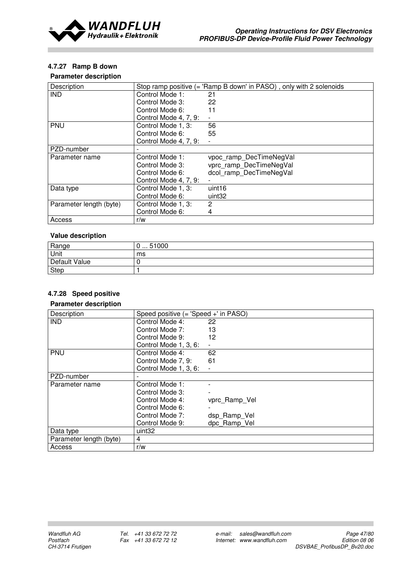

## 4.7.27 Ramp B down

## Parameter description

| Description             |                       | Stop ramp positive (= 'Ramp B down' in PASO), only with 2 solenoids |
|-------------------------|-----------------------|---------------------------------------------------------------------|
| <b>IND</b>              | Control Mode 1:       | 21                                                                  |
|                         | Control Mode 3:       | 22                                                                  |
|                         | Control Mode 6:       | 11                                                                  |
|                         | Control Mode 4, 7, 9: |                                                                     |
| <b>PNU</b>              | Control Mode 1, 3:    | 56                                                                  |
|                         | Control Mode 6:       | 55                                                                  |
|                         | Control Mode 4, 7, 9: |                                                                     |
| PZD-number              |                       |                                                                     |
| Parameter name          | Control Mode 1:       | vpoc ramp DecTimeNegVal                                             |
|                         | Control Mode 3:       | vprc ramp DecTimeNegVal                                             |
|                         | Control Mode 6:       | dcol ramp DecTimeNegVal                                             |
|                         | Control Mode 4, 7, 9: |                                                                     |
| Data type               | Control Mode 1, 3:    | uint16                                                              |
|                         | Control Mode 6:       | uint32                                                              |
| Parameter length (byte) | Control Mode 1, 3:    | 2                                                                   |
|                         | Control Mode 6:       | 4                                                                   |
| Access                  | r/w                   |                                                                     |

## Value description

| Range         | 51000<br>.<br>ັ |
|---------------|-----------------|
| Unit          | ms              |
| Default Value |                 |
| Step          |                 |

## 4.7.28 Speed positive

| Description             | Speed positive (= 'Speed +' in PASO) |               |
|-------------------------|--------------------------------------|---------------|
| <b>IND</b>              | Control Mode 4:                      | 22            |
|                         | Control Mode 7:                      | 13            |
|                         | Control Mode 9:                      | 12            |
|                         | Control Mode 1, 3, 6:                |               |
| <b>PNU</b>              | Control Mode 4:                      | 62            |
|                         | Control Mode 7, 9:                   | 61            |
|                         | Control Mode 1, 3, 6:                |               |
| PZD-number              |                                      |               |
| Parameter name          | Control Mode 1:                      |               |
|                         | Control Mode 3:                      |               |
|                         | Control Mode 4:                      | vprc_Ramp_Vel |
|                         | Control Mode 6:                      |               |
|                         | Control Mode 7:                      | dsp Ramp Vel  |
|                         | Control Mode 9:                      | dpc Ramp Vel  |
| Data type               | uint <sub>32</sub>                   |               |
| Parameter length (byte) | 4                                    |               |
| Access                  | r/w                                  |               |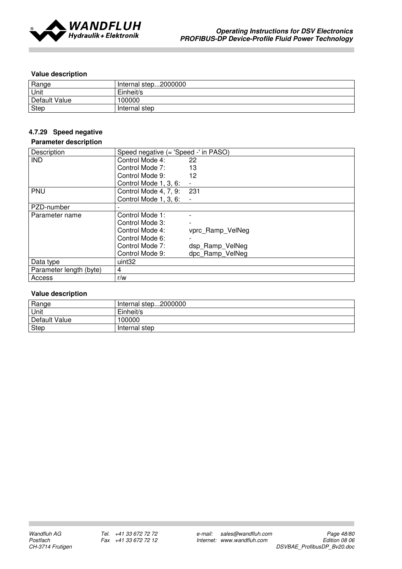

| Range         | Internal step2000000 |
|---------------|----------------------|
| Unit          | Einheit/s            |
| Default Value | 100000               |
| Step          | Internal step        |

## 4.7.29 Speed negative

## Parameter description

| Description             | Speed negative (= 'Speed -' in PASO) |                  |
|-------------------------|--------------------------------------|------------------|
| <b>IND</b>              | Control Mode 4:                      | 22               |
|                         | Control Mode 7:                      | 13               |
|                         | Control Mode 9:                      | 12               |
|                         | Control Mode 1, 3, 6:                |                  |
| PNU                     | Control Mode 4, 7, 9:                | 231              |
|                         | Control Mode 1, 3, 6:                |                  |
| PZD-number              |                                      |                  |
| Parameter name          | Control Mode 1:                      |                  |
|                         | Control Mode 3:                      |                  |
|                         | Control Mode 4:                      | vprc_Ramp_VelNeg |
|                         | Control Mode 6:                      |                  |
|                         | Control Mode 7:                      | dsp Ramp VelNeg  |
|                         | Control Mode 9:                      | dpc Ramp VelNeg  |
| Data type               | uint32                               |                  |
| Parameter length (byte) | 4                                    |                  |
| Access                  | r/w                                  |                  |

| Range         | Internal step2000000 |
|---------------|----------------------|
| <b>Unit</b>   | Einheit/s            |
| Default Value | 100000               |
| Step          | Internal step        |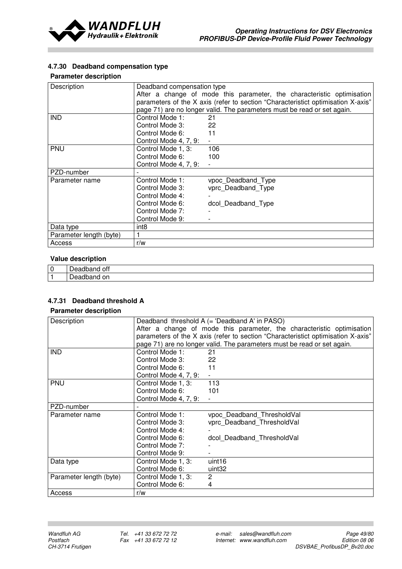

## 4.7.30 Deadband compensation type

### Parameter description

| Description             | Deadband compensation type                                                                                     | After a change of mode this parameter, the characteristic optimisation<br>parameters of the X axis (refer to section "Characteristict optimisation X-axis"<br>page 71) are no longer valid. The parameters must be read or set again. |
|-------------------------|----------------------------------------------------------------------------------------------------------------|---------------------------------------------------------------------------------------------------------------------------------------------------------------------------------------------------------------------------------------|
| <b>IND</b>              | Control Mode 1:<br>Control Mode 3:<br>Control Mode 6:<br>Control Mode 4, 7, 9:                                 | 21<br>22<br>11                                                                                                                                                                                                                        |
| PNU                     | Control Mode 1, 3:<br>Control Mode 6:<br>Control Mode 4, 7, 9:                                                 | 106<br>100                                                                                                                                                                                                                            |
| PZD-number              |                                                                                                                |                                                                                                                                                                                                                                       |
| Parameter name          | Control Mode 1:<br>Control Mode 3:<br>Control Mode 4:<br>Control Mode 6:<br>Control Mode 7:<br>Control Mode 9: | vpoc_Deadband_Type<br>vprc Deadband Type<br>dcol Deadband Type                                                                                                                                                                        |
| Data type               | int <sub>8</sub>                                                                                               |                                                                                                                                                                                                                                       |
| Parameter length (byte) |                                                                                                                |                                                                                                                                                                                                                                       |
| Access                  | r/w                                                                                                            |                                                                                                                                                                                                                                       |

#### Value description

| ັ | ott<br>HU. |
|---|------------|
|   | on<br>HU.  |

## 4.7.31 Deadband threshold A

| Description             | Deadband threshold A (= 'Deadband A' in PASO) |                                                                                  |  |
|-------------------------|-----------------------------------------------|----------------------------------------------------------------------------------|--|
|                         |                                               | After a change of mode this parameter, the characteristic optimisation           |  |
|                         |                                               | parameters of the X axis (refer to section "Characteristict optimisation X-axis" |  |
|                         |                                               | page 71) are no longer valid. The parameters must be read or set again.          |  |
| <b>IND</b>              | Control Mode 1:                               | 21                                                                               |  |
|                         | Control Mode 3:                               | 22                                                                               |  |
|                         | Control Mode 6:                               | 11                                                                               |  |
|                         | Control Mode 4, 7, 9:                         |                                                                                  |  |
| PNU                     | Control Mode 1, 3:                            | 113                                                                              |  |
|                         | Control Mode 6:                               | 101                                                                              |  |
|                         | Control Mode 4, 7, 9:                         |                                                                                  |  |
| PZD-number              |                                               |                                                                                  |  |
| Parameter name          | Control Mode 1:                               | vpoc_Deadband_ThresholdVal                                                       |  |
|                         | Control Mode 3:                               | vprc Deadband ThresholdVal                                                       |  |
|                         | Control Mode 4:                               |                                                                                  |  |
|                         | Control Mode 6:                               | dcol_Deadband_ThresholdVal                                                       |  |
|                         | Control Mode 7:                               |                                                                                  |  |
|                         | Control Mode 9:                               |                                                                                  |  |
| Data type               | Control Mode 1, 3:                            | uint <sub>16</sub>                                                               |  |
|                         | Control Mode 6:                               | uint <sub>32</sub>                                                               |  |
| Parameter length (byte) | Control Mode 1, 3:                            | $\overline{2}$                                                                   |  |
|                         | Control Mode 6:                               | 4                                                                                |  |
| Access                  | r/w                                           |                                                                                  |  |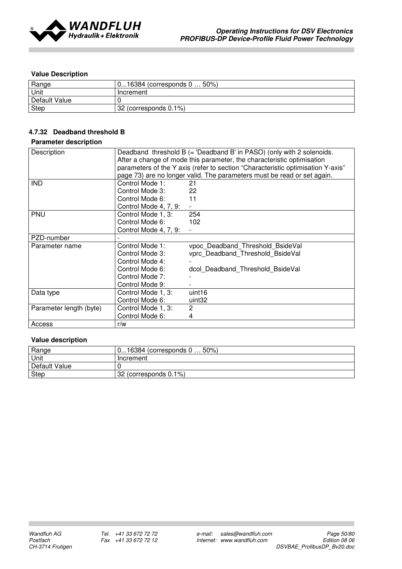

| Range         | 016384 (corresponds 0 50%) |
|---------------|----------------------------|
| Unit          | Increment                  |
| Default Value |                            |
| Step          | 32 (corresponds 0.1%)      |

## 4.7.32 Deadband threshold B

## Parameter description

| Description             | Deadband threshold B (= 'Deadband B' in PASO) (only with 2 solenoids.           |                                  |  |
|-------------------------|---------------------------------------------------------------------------------|----------------------------------|--|
|                         | After a change of mode this parameter, the characteristic optimisation          |                                  |  |
|                         | parameters of the Y axis (refer to section "Characteristic optimisation Y-axis" |                                  |  |
|                         | page 73) are no longer valid. The parameters must be read or set again.         |                                  |  |
| ind                     | Control Mode 1:                                                                 | 21                               |  |
|                         | Control Mode 3:                                                                 | 22                               |  |
|                         | Control Mode 6:                                                                 | 11                               |  |
|                         | Control Mode 4, 7, 9:                                                           |                                  |  |
| PNU                     | Control Mode 1, 3:                                                              | 254                              |  |
|                         | Control Mode 6:                                                                 | 102                              |  |
|                         | Control Mode 4, 7, 9:                                                           |                                  |  |
| PZD-number              |                                                                                 |                                  |  |
| Parameter name          | Control Mode 1:                                                                 | vpoc Deadband Threshold BsideVal |  |
|                         | Control Mode 3:                                                                 | vprc Deadband Threshold BsideVal |  |
|                         | Control Mode 4:                                                                 |                                  |  |
|                         | Control Mode 6:                                                                 | dcol Deadband Threshold BsideVal |  |
|                         | Control Mode 7:                                                                 |                                  |  |
|                         | Control Mode 9:                                                                 |                                  |  |
| Data type               | Control Mode 1, 3:                                                              | uint <sub>16</sub>               |  |
|                         | Control Mode 6:                                                                 | uint32                           |  |
| Parameter length (byte) | Control Mode 1, 3:                                                              | 2                                |  |
|                         | Control Mode 6:                                                                 | 4                                |  |
| Access                  | r/w                                                                             |                                  |  |

| Range         | 016384 (corresponds 0  50%) |  |  |
|---------------|-----------------------------|--|--|
| <b>Unit</b>   | Increment                   |  |  |
| Default Value |                             |  |  |
| Step          | 32 (corresponds 0.1%)       |  |  |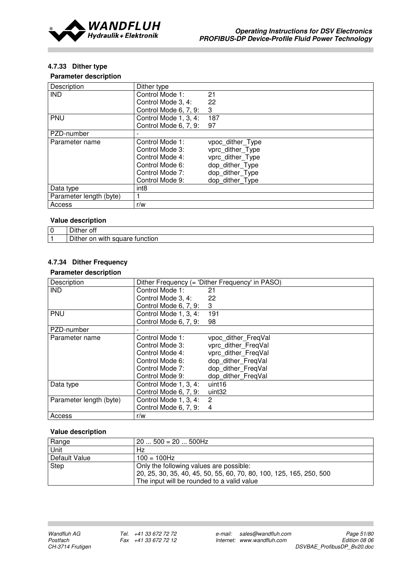

## 4.7.33 Dither type

### Parameter description

| Description             | Dither type           |                  |
|-------------------------|-----------------------|------------------|
| <b>IND</b>              | Control Mode 1:       | 21               |
|                         | Control Mode 3, 4:    | 22               |
|                         | Control Mode 6, 7, 9: | 3                |
| <b>PNU</b>              | Control Mode 1, 3, 4: | 187              |
|                         | Control Mode 6, 7, 9: | 97               |
| PZD-number              |                       |                  |
| Parameter name          | Control Mode 1:       | vpoc_dither_Type |
|                         | Control Mode 3:       | vprc dither Type |
|                         | Control Mode 4:       | vprc_dither_Type |
|                         | Control Mode 6:       | dop_dither_Type  |
|                         | Control Mode 7:       | dop dither Type  |
|                         | Control Mode 9:       | dop dither Type  |
| Data type               | int <sub>8</sub>      |                  |
| Parameter length (byte) |                       |                  |
| Access                  | r/w                   |                  |

## Value description

| $\sim \cdots$<br>ott<br>ышег                                  |
|---------------------------------------------------------------|
| --<br>ונ<br>on<br>∩er<br>wit.<br>saua<br>TUNCTION<br>⊢<br>ייש |

# 4.7.34 Dither Frequency

## Parameter description

| Description             |                       | Dither Frequency (= 'Dither Frequency' in PASO) |  |  |
|-------------------------|-----------------------|-------------------------------------------------|--|--|
| <b>IND</b>              | Control Mode 1:       | 21                                              |  |  |
|                         | Control Mode 3, 4:    | 22                                              |  |  |
|                         | Control Mode 6, 7, 9: | 3                                               |  |  |
| PNU                     | Control Mode 1, 3, 4: | 191                                             |  |  |
|                         | Control Mode 6, 7, 9: | 98                                              |  |  |
| PZD-number              |                       |                                                 |  |  |
| Parameter name          | Control Mode 1:       | vpoc dither FreqVal                             |  |  |
|                         | Control Mode 3:       | vprc dither FreqVal                             |  |  |
|                         | Control Mode 4:       | vprc dither FreqVal                             |  |  |
|                         | Control Mode 6:       | dop_dither_FreqVal                              |  |  |
|                         | Control Mode 7:       | dop dither_FreqVal                              |  |  |
|                         | Control Mode 9:       | dop dither FreqVal                              |  |  |
| Data type               | Control Mode 1, 3, 4: | uint16                                          |  |  |
|                         | Control Mode 6, 7, 9: | uint32                                          |  |  |
| Parameter length (byte) | Control Mode 1, 3, 4: | 2                                               |  |  |
|                         | Control Mode 6, 7, 9: | 4                                               |  |  |
| Access                  | r/w                   |                                                 |  |  |

| Range         | $20500 = 20500$ Hz                                                  |
|---------------|---------------------------------------------------------------------|
| <b>Unit</b>   | Hz                                                                  |
| Default Value | $100 = 100$ Hz                                                      |
| Step          | Only the following values are possible:                             |
|               | 20, 25, 30, 35, 40, 45, 50, 55, 60, 70, 80, 100, 125, 165, 250, 500 |
|               | The input will be rounded to a valid value                          |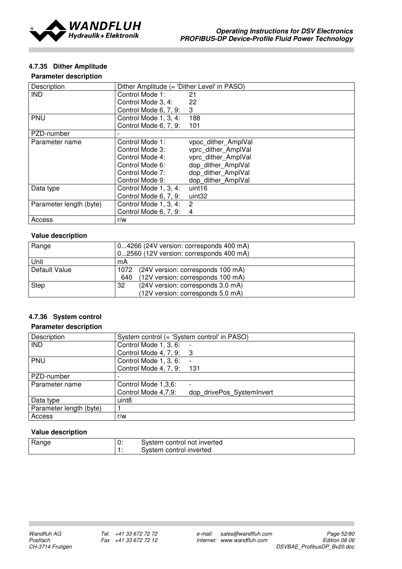

## 4.7.35 Dither Amplitude

### Parameter description

| Description             | Dither Amplitude (= 'Dither Level' in PASO) |                     |  |
|-------------------------|---------------------------------------------|---------------------|--|
| <b>IND</b>              | Control Mode 1:                             | 21                  |  |
|                         | Control Mode 3, 4:                          | 22                  |  |
|                         | Control Mode 6, 7, 9:                       | 3                   |  |
| PNU                     | Control Mode 1, 3, 4:                       | 188                 |  |
|                         | Control Mode 6, 7, 9:                       | 101                 |  |
| PZD-number              |                                             |                     |  |
| Parameter name          | Control Mode 1:                             | vpoc dither AmplVal |  |
|                         | Control Mode 3:                             | vprc dither AmplVal |  |
|                         | Control Mode 4:                             | vprc_dither_AmplVal |  |
|                         | Control Mode 6:                             | dop dither AmplVal  |  |
|                         | Control Mode 7:                             | dop dither AmplVal  |  |
|                         | Control Mode 9:                             | dop dither AmplVal  |  |
| Data type               | Control Mode 1, 3, 4:                       | uint16              |  |
|                         | Control Mode 6, 7, 9:                       | uint32              |  |
| Parameter length (byte) | Control Mode 1, 3, 4:                       | $\overline{2}$      |  |
|                         | Control Mode 6, 7, 9:                       | $\overline{4}$      |  |
| Access                  | r/w                                         |                     |  |

## Value description

| Range         | 04266 (24V version: corresponds 400 mA)   |  |  |
|---------------|-------------------------------------------|--|--|
|               | 02560 (12V version: corresponds 400 mA)   |  |  |
| Unit          | mA                                        |  |  |
| Default Value | (24V version: corresponds 100 mA)<br>1072 |  |  |
|               | (12V version: corresponds 100 mA)<br>640  |  |  |
| Step          | (24V version: corresponds 3.0 mA)<br>32   |  |  |
|               | (12V version: corresponds 5.0 mA)         |  |  |

## 4.7.36 System control

### Parameter description

| Description             | System control (= 'System control' in PASO) |                           |  |
|-------------------------|---------------------------------------------|---------------------------|--|
| <b>IND</b>              | Control Mode 1, 3, 6:                       |                           |  |
|                         | Control Mode 4, 7, 9: 3                     |                           |  |
| PNU                     | Control Mode 1, 3, 6:                       |                           |  |
|                         | Control Mode 4, 7, 9: 131                   |                           |  |
| PZD-number              |                                             |                           |  |
| Parameter name          | Control Mode 1,3,6:                         |                           |  |
|                         | Control Mode 4,7,9:                         | dop drivePos SystemInvert |  |
| Data type               | uint8                                       |                           |  |
| Parameter length (byte) |                                             |                           |  |
| Access                  | r/w                                         |                           |  |

| Range | $\cdots$<br>v. | i control not inverted<br>vstem rخ |
|-------|----------------|------------------------------------|
|       |                | control inverted<br>vstem۔         |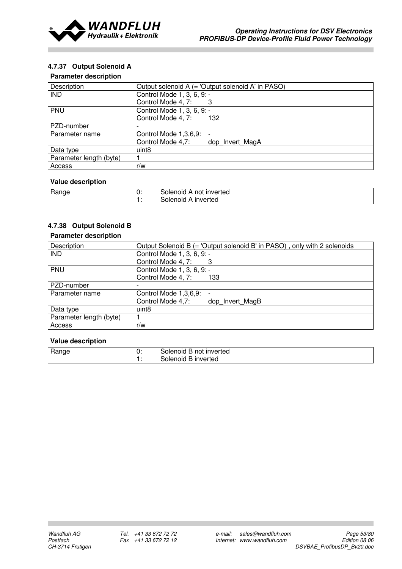

## 4.7.37 Output Solenoid A

#### Parameter description

| Description             | Output solenoid A (= 'Output solenoid A' in PASO) |  |  |
|-------------------------|---------------------------------------------------|--|--|
| <b>IND</b>              | Control Mode 1, 3, 6, 9: -                        |  |  |
|                         | Control Mode 4, 7:                                |  |  |
| PNU                     | Control Mode 1, 3, 6, 9: -                        |  |  |
|                         | Control Mode 4, 7:<br>132                         |  |  |
| PZD-number              |                                                   |  |  |
| Parameter name          | Control Mode 1,3,6,9:<br>$\overline{\phantom{0}}$ |  |  |
|                         | Control Mode 4,7:<br>dop Invert MagA              |  |  |
| Data type               | uint8                                             |  |  |
| Parameter length (byte) |                                                   |  |  |
| Access                  | r/w                                               |  |  |

## Value description

| Range | 0: | not inverted<br>Solenoid A |
|-------|----|----------------------------|
|       |    | ' A inverted<br>30lenoid   |

# 4.7.38 Output Solenoid B

### Parameter description

| Description             | Output Solenoid B (= 'Output solenoid B' in PASO), only with 2 solenoids |
|-------------------------|--------------------------------------------------------------------------|
| <b>IND</b>              | Control Mode 1, 3, 6, 9: -                                               |
|                         | Control Mode 4, 7:                                                       |
| PNU                     | Control Mode 1, 3, 6, 9: -                                               |
|                         | Control Mode 4, 7:<br>133                                                |
| PZD-number              |                                                                          |
| Parameter name          | Control Mode 1,3,6,9:                                                    |
|                         | Control Mode 4,7:<br>dop Invert MagB                                     |
| Data type               | uint <sub>8</sub>                                                        |
| Parameter length (byte) |                                                                          |
| Access                  | r/w                                                                      |

| Range | 0: | Solenoid B not inverted |
|-------|----|-------------------------|
|       |    | Solenoid B inverted     |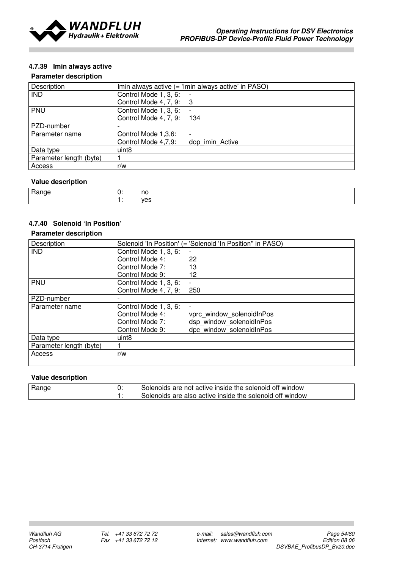

## 4.7.39 Imin always active

### Parameter description

| Description             | Imin always active (= 'Imin always active' in PASO) |  |  |
|-------------------------|-----------------------------------------------------|--|--|
| <b>IND</b>              | Control Mode 1, 3, 6:                               |  |  |
|                         | Control Mode 4, 7, 9: 3                             |  |  |
| PNU                     | Control Mode 1, 3, 6:                               |  |  |
|                         | Control Mode 4, 7, 9:<br>134                        |  |  |
| PZD-number              |                                                     |  |  |
| Parameter name          | Control Mode 1,3,6:<br>$\overline{\phantom{0}}$     |  |  |
|                         | Control Mode 4,7,9:<br>dop imin Active              |  |  |
| Data type               | uint <sub>8</sub>                                   |  |  |
| Parameter length (byte) |                                                     |  |  |
| Access                  | r/w                                                 |  |  |

## Value description

| ີ | ٦C<br>__                                             |
|---|------------------------------------------------------|
|   | $\overline{\phantom{a}}$<br>$\overline{\phantom{a}}$ |

# 4.7.40 Solenoid 'In Position'

## Parameter description

| Description             |                       | Solenoid 'In Position' (= 'Solenoid 'In Position'' in PASO) |
|-------------------------|-----------------------|-------------------------------------------------------------|
| <b>IND</b>              | Control Mode 1, 3, 6: |                                                             |
|                         | Control Mode 4:       | 22                                                          |
|                         | Control Mode 7:       | 13                                                          |
|                         | Control Mode 9:       | 12                                                          |
| <b>PNU</b>              | Control Mode 1, 3, 6: | $\blacksquare$                                              |
|                         | Control Mode 4, 7, 9: | 250                                                         |
| PZD-number              |                       |                                                             |
| Parameter name          | Control Mode 1, 3, 6: | $\blacksquare$                                              |
|                         | Control Mode 4:       | vprc window solenoidInPos                                   |
|                         | Control Mode 7:       | dsp window solenoidInPos                                    |
|                         | Control Mode 9:       | dpc window solenoidInPos                                    |
| Data type               | uint <sub>8</sub>     |                                                             |
| Parameter length (byte) |                       |                                                             |
| Access                  | r/w                   |                                                             |
|                         |                       |                                                             |

| Range | 0 | Solenoids are not active inside the solenoid off window  |
|-------|---|----------------------------------------------------------|
|       |   | Solenoids are also active inside the solenoid off window |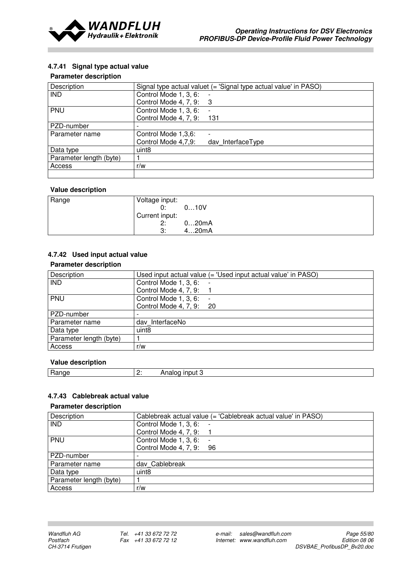

## 4.7.41 Signal type actual value

### Parameter description

| Description             | Signal type actual valuet $($ = 'Signal type actual value' in PASO $)$ |
|-------------------------|------------------------------------------------------------------------|
| <b>IND</b>              | Control Mode 1, 3, 6:                                                  |
|                         | Control Mode 4, 7, 9:<br>- 3                                           |
| PNU                     | Control Mode 1, 3, 6:                                                  |
|                         | Control Mode 4, 7, 9:<br>131                                           |
| PZD-number              |                                                                        |
| Parameter name          | Control Mode 1,3,6:<br>$\overline{\phantom{0}}$                        |
|                         | Control Mode 4,7,9:<br>day InterfaceType                               |
| Data type               | uint <sub>8</sub>                                                      |
| Parameter length (byte) |                                                                        |
| Access                  | r/w                                                                    |
|                         |                                                                        |

## Value description

| Range | Voltage input: |       |
|-------|----------------|-------|
|       | 0:             | 010V  |
|       | Current input: |       |
|       | 2:             | 020mA |
|       | 3:             | 420mA |

## 4.7.42 Used input actual value

## Parameter description

| Description             | Used input actual value (= 'Used input actual value' in PASO) |
|-------------------------|---------------------------------------------------------------|
| <b>IND</b>              | Control Mode 1, 3, 6:                                         |
|                         | Control Mode 4, 7, 9:                                         |
| PNU                     | Control Mode 1, 3, 6:                                         |
|                         | Control Mode 4, 7, 9: 20                                      |
| PZD-number              |                                                               |
| Parameter name          | dav InterfaceNo                                               |
| Data type               | uint <sub>8</sub>                                             |
| Parameter length (byte) |                                                               |
| Access                  | r/w                                                           |

## Value description

| . .<br>ו וני ו<br>--<br>-- | . .<br>-- | .<br>. . |
|----------------------------|-----------|----------|
|                            |           |          |

## 4.7.43 Cablebreak actual value

| Description             | Cablebreak actual value (= 'Cablebreak actual value' in PASO) |
|-------------------------|---------------------------------------------------------------|
| <b>IND</b>              | Control Mode 1, 3, 6:                                         |
|                         | Control Mode 4, 7, 9:                                         |
| <b>PNU</b>              | Control Mode 1, 3, 6:                                         |
|                         | Control Mode 4, 7, 9:<br>96                                   |
| PZD-number              |                                                               |
| Parameter name          | dav Cablebreak                                                |
| Data type               | uint8                                                         |
| Parameter length (byte) |                                                               |
| Access                  | r/w                                                           |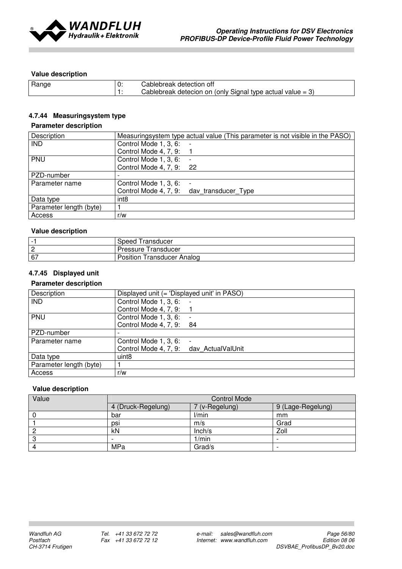

| Range | Cablebreak detection off<br>Cablebreak detecion on (only Signal type actual value $= 3$ ) |
|-------|-------------------------------------------------------------------------------------------|
|       |                                                                                           |

## 4.7.44 Measuringsystem type

## Parameter description

| Description             | Measuringsystem type actual value (This parameter is not visible in the PASO) |
|-------------------------|-------------------------------------------------------------------------------|
| <b>IND</b>              | Control Mode 1, 3, 6:                                                         |
|                         | Control Mode 4, 7, 9:                                                         |
| <b>PNU</b>              | Control Mode 1, 3, 6:                                                         |
|                         | Control Mode 4, 7, 9: 22                                                      |
| PZD-number              |                                                                               |
| Parameter name          | Control Mode 1, 3, 6:<br>$\overline{\phantom{a}}$                             |
|                         | Control Mode 4, 7, 9: day transducer Type                                     |
| Data type               | int <sub>8</sub>                                                              |
| Parameter length (byte) |                                                                               |
| Access                  | r/w                                                                           |

## Value description

| $\overline{\phantom{0}}$ | ransducer<br>Speed           |
|--------------------------|------------------------------|
| $\sqrt{2}$<br>∠          | ransducer<br>Pressure        |
| 67                       | Position<br>ransducer Analog |

## 4.7.45 Displayed unit

## Parameter description

| Description             | Displayed unit (= 'Displayed unit' in PASO) |
|-------------------------|---------------------------------------------|
| <b>IND</b>              | Control Mode 1, 3, 6:                       |
|                         | Control Mode 4, 7, 9:                       |
| PNU                     | Control Mode 1, 3, 6:                       |
|                         | Control Mode 4, 7, 9: 84                    |
| PZD-number              |                                             |
| Parameter name          | Control Mode 1, 3, 6:<br>$\overline{a}$     |
|                         | Control Mode 4, 7, 9: dav ActualValUnit     |
| Data type               | uint8                                       |
| Parameter length (byte) |                                             |
| Access                  | r/w                                         |

| Value | <b>Control Mode</b> |                |                   |
|-------|---------------------|----------------|-------------------|
|       | 4 (Druck-Regelung)  | 7 (v-Regelung) | 9 (Lage-Regelung) |
|       | bar                 | l/min          | mm                |
|       | psi                 | m/s            | Grad              |
|       | kN                  | Inch/s         | Zoll              |
|       | -                   | 1/min          |                   |
|       | MPa                 | Grad/s         |                   |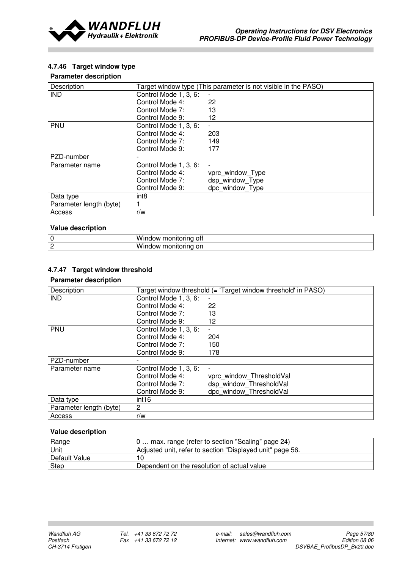

## 4.7.46 Target window type

#### Parameter description

| Description             |                       | Target window type (This parameter is not visible in the PASO) |
|-------------------------|-----------------------|----------------------------------------------------------------|
| <b>IND</b>              | Control Mode 1, 3, 6: | $\overline{\phantom{a}}$                                       |
|                         | Control Mode 4:       | 22                                                             |
|                         | Control Mode 7:       | 13                                                             |
|                         | Control Mode 9:       | 12                                                             |
| <b>PNU</b>              | Control Mode 1, 3, 6: |                                                                |
|                         | Control Mode 4:       | 203                                                            |
|                         | Control Mode 7:       | 149                                                            |
|                         | Control Mode 9:       | 177                                                            |
| PZD-number              |                       |                                                                |
| Parameter name          | Control Mode 1, 3, 6: |                                                                |
|                         | Control Mode 4:       | vprc window_Type                                               |
|                         | Control Mode 7:       | dsp window Type                                                |
|                         | Control Mode 9:       | dpc window Type                                                |
| Data type               | int <sub>8</sub>      |                                                                |
| Parameter length (byte) | 1                     |                                                                |
| Access                  | r/w                   |                                                                |

#### Value description

| $\sim$<br>u | 'NW<br>7 I I I<br>11 I I<br>.<br>Ш<br>UII |
|-------------|-------------------------------------------|
| $\sim$      | - --<br>'NW<br>ЧЩС<br>лн<br>וט '          |

## 4.7.47 Target window threshold

## Parameter description

| Description             |                       | Target window threshold (= 'Target window threshold' in PASO) |
|-------------------------|-----------------------|---------------------------------------------------------------|
| <b>IND</b>              | Control Mode 1, 3, 6: | $\blacksquare$                                                |
|                         | Control Mode 4:       | 22                                                            |
|                         | Control Mode 7:       | 13                                                            |
|                         | Control Mode 9:       | 12                                                            |
| PNU                     | Control Mode 1, 3, 6: |                                                               |
|                         | Control Mode 4:       | 204                                                           |
|                         | Control Mode 7:       | 150                                                           |
|                         | Control Mode 9:       | 178                                                           |
| PZD-number              |                       |                                                               |
| Parameter name          | Control Mode 1, 3, 6: |                                                               |
|                         | Control Mode 4:       | vprc window ThresholdVal                                      |
|                         | Control Mode 7:       | dsp window ThresholdVal                                       |
|                         | Control Mode 9:       | dpc window ThresholdVal                                       |
| Data type               | int <sub>16</sub>     |                                                               |
| Parameter length (byte) | 2                     |                                                               |
| Access                  | r/w                   |                                                               |

| Range         | 0 max. range (refer to section "Scaling" page 24)         |
|---------------|-----------------------------------------------------------|
| <b>Unit</b>   | Adjusted unit, refer to section "Displayed unit" page 56. |
| Default Value |                                                           |
| Step          | Dependent on the resolution of actual value               |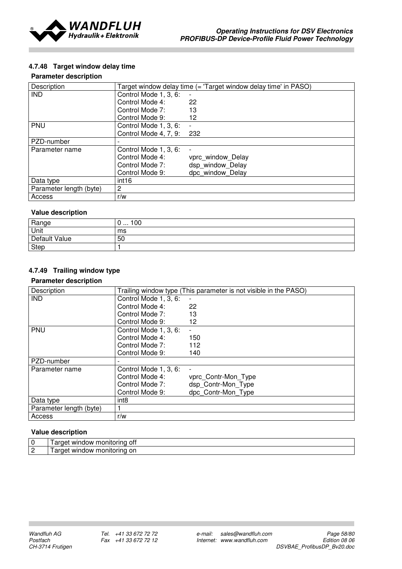

## 4.7.48 Target window delay time

### Parameter description

| Description             |                       | Target window delay time (= 'Target window delay time' in PASO) |
|-------------------------|-----------------------|-----------------------------------------------------------------|
| <b>IND</b>              | Control Mode 1, 3, 6: | $\overline{\phantom{a}}$                                        |
|                         | Control Mode 4:       | 22                                                              |
|                         | Control Mode 7:       | 13                                                              |
|                         | Control Mode 9:       | 12                                                              |
| PNU                     | Control Mode 1, 3, 6: |                                                                 |
|                         | Control Mode 4, 7, 9: | 232                                                             |
| PZD-number              |                       |                                                                 |
| Parameter name          | Control Mode 1, 3, 6: |                                                                 |
|                         | Control Mode 4:       | vprc window Delay                                               |
|                         | Control Mode 7:       | dsp window Delay                                                |
|                         | Control Mode 9:       | dpc window Delay                                                |
| Data type               | int <sub>16</sub>     |                                                                 |
| Parameter length (byte) | $\overline{2}$        |                                                                 |
| Access                  | r/w                   |                                                                 |

## Value description

| Range         | 00<br>◡ |
|---------------|---------|
| Unit          | ms      |
| Default Value | 50      |
| <b>Step</b>   |         |

# 4.7.49 Trailing window type

#### Parameter description

| Description             |                       | Trailing window type (This parameter is not visible in the PASO) |
|-------------------------|-----------------------|------------------------------------------------------------------|
| <b>IND</b>              | Control Mode 1, 3, 6: | $\blacksquare$                                                   |
|                         | Control Mode 4:       | 22                                                               |
|                         | Control Mode 7:       | 13                                                               |
|                         | Control Mode 9:       | 12                                                               |
| PNU                     | Control Mode 1, 3, 6: |                                                                  |
|                         | Control Mode 4:       | 150                                                              |
|                         | Control Mode 7:       | 112                                                              |
|                         | Control Mode 9:       | 140                                                              |
| PZD-number              |                       |                                                                  |
| Parameter name          | Control Mode 1, 3, 6: | $\overline{\phantom{a}}$                                         |
|                         | Control Mode 4:       | vprc Contr-Mon Type                                              |
|                         | Control Mode 7:       | dsp Contr-Mon Type                                               |
|                         | Control Mode 9:       | dpc Contr-Mon Type                                               |
| Data type               | int <sub>8</sub>      |                                                                  |
| Parameter length (byte) |                       |                                                                  |
| Access                  | r/w                   |                                                                  |

| 0 ا                  | 0Ħ<br><br>WIL<br>ווונ<br>าตาตางงา<br>ш<br>пи<br>. . ⊯  |
|----------------------|--------------------------------------------------------|
| $\sim$<br>$\epsilon$ | on<br>`วnitu<br><b>MII</b><br>אטרזרזו<br>ш<br>ш<br>. ت |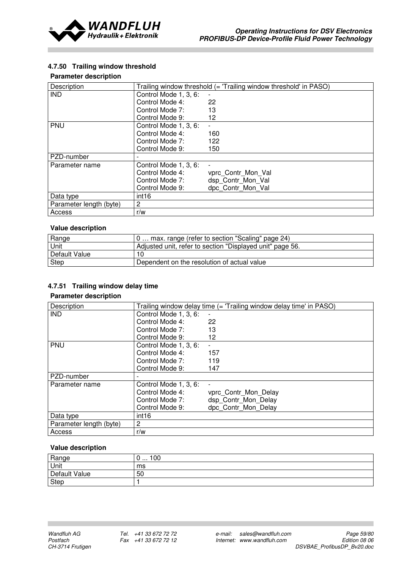

## 4.7.50 Trailing window threshold

### Parameter description

| Description             |                       | Trailing window threshold (= 'Trailing window threshold' in PASO) |
|-------------------------|-----------------------|-------------------------------------------------------------------|
| <b>IND</b>              | Control Mode 1, 3, 6: |                                                                   |
|                         | Control Mode 4:       | 22                                                                |
|                         | Control Mode 7:       | 13                                                                |
|                         | Control Mode 9:       | 12                                                                |
| <b>PNU</b>              | Control Mode 1, 3, 6: |                                                                   |
|                         | Control Mode 4:       | 160                                                               |
|                         | Control Mode 7:       | 122                                                               |
|                         | Control Mode 9:       | 150                                                               |
| PZD-number              |                       |                                                                   |
| Parameter name          | Control Mode 1, 3, 6: |                                                                   |
|                         | Control Mode 4:       | vprc Contr Mon Val                                                |
|                         | Control Mode 7:       | dsp Contr_Mon_Val                                                 |
|                         | Control Mode 9:       | dpc Contr Mon Val                                                 |
| Data type               | int <sub>16</sub>     |                                                                   |
| Parameter length (byte) | $\overline{2}$        |                                                                   |
| Access                  | r/w                   |                                                                   |

### Value description

| Range         | 10  max. range (refer to section "Scaling" page 24)       |
|---------------|-----------------------------------------------------------|
| Unit          | Adjusted unit, refer to section "Displayed unit" page 56. |
| Default Value |                                                           |
| Step          | Dependent on the resolution of actual value               |

## 4.7.51 Trailing window delay time

## Parameter description

| Description             |                       | Trailing window delay time (= 'Trailing window delay time' in PASO) |
|-------------------------|-----------------------|---------------------------------------------------------------------|
| <b>IND</b>              | Control Mode 1, 3, 6: |                                                                     |
|                         | Control Mode 4:       | 22                                                                  |
|                         | Control Mode 7:       | 13                                                                  |
|                         | Control Mode 9:       | 12                                                                  |
| <b>PNU</b>              | Control Mode 1, 3, 6: |                                                                     |
|                         | Control Mode 4:       | 157                                                                 |
|                         | Control Mode 7:       | 119                                                                 |
|                         | Control Mode 9:       | 147                                                                 |
| PZD-number              |                       |                                                                     |
| Parameter name          | Control Mode 1, 3, 6: | $\overline{\phantom{a}}$                                            |
|                         | Control Mode 4:       | vprc Contr Mon Delay                                                |
|                         | Control Mode 7:       | dsp Contr Mon Delay                                                 |
|                         | Control Mode 9:       | dpc Contr Mon Delay                                                 |
| Data type               | int <sub>16</sub>     |                                                                     |
| Parameter length (byte) | 2                     |                                                                     |
| Access                  | r/w                   |                                                                     |

| Range         | 100<br>U<br>. |
|---------------|---------------|
| Unit          | ms            |
| Default Value | 50            |
| Step          |               |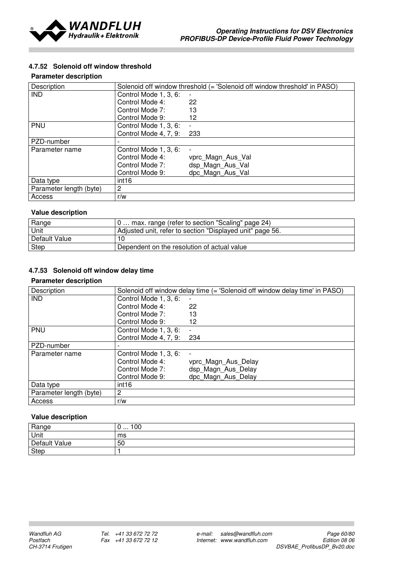

## 4.7.52 Solenoid off window threshold

### Parameter description

| Description             | Solenoid off window threshold (= 'Solenoid off window threshold' in PASO) |                   |  |
|-------------------------|---------------------------------------------------------------------------|-------------------|--|
| <b>IND</b>              | Control Mode 1, 3, 6:                                                     | $\blacksquare$    |  |
|                         | Control Mode 4:                                                           | 22                |  |
|                         | Control Mode 7:                                                           | 13                |  |
|                         | Control Mode 9:                                                           | 12                |  |
| <b>PNU</b>              | Control Mode 1, 3, 6:                                                     |                   |  |
|                         | Control Mode 4, 7, 9:                                                     | 233               |  |
| PZD-number              |                                                                           |                   |  |
| Parameter name          | Control Mode 1, 3, 6:                                                     |                   |  |
|                         | Control Mode 4:                                                           | vprc Magn Aus Val |  |
|                         | Control Mode 7:                                                           | dsp Magn Aus Val  |  |
|                         | Control Mode 9:                                                           | dpc Magn_Aus_Val  |  |
| Data type               | int <sub>16</sub>                                                         |                   |  |
| Parameter length (byte) | 2                                                                         |                   |  |
| Access                  | r/w                                                                       |                   |  |

## Value description

| Range         | 0 max. range (refer to section "Scaling" page 24)         |
|---------------|-----------------------------------------------------------|
| <b>Unit</b>   | Adjusted unit, refer to section "Displayed unit" page 56. |
| Default Value |                                                           |
| Step          | Dependent on the resolution of actual value               |

## 4.7.53 Solenoid off window delay time

#### Parameter description

| Description             |                       | Solenoid off window delay time (= 'Solenoid off window delay time' in PASO) |
|-------------------------|-----------------------|-----------------------------------------------------------------------------|
| <b>IND</b>              | Control Mode 1, 3, 6: |                                                                             |
|                         | Control Mode 4:       | 22                                                                          |
|                         | Control Mode 7:       | 13                                                                          |
|                         | Control Mode 9:       | 12                                                                          |
| <b>PNU</b>              | Control Mode 1, 3, 6: |                                                                             |
|                         | Control Mode 4, 7, 9: | 234                                                                         |
| PZD-number              |                       |                                                                             |
| Parameter name          | Control Mode 1, 3, 6: |                                                                             |
|                         | Control Mode 4:       | vprc Magn Aus Delay                                                         |
|                         | Control Mode 7:       | dsp Magn Aus Delay                                                          |
|                         | Control Mode 9:       | dpc Magn Aus Delay                                                          |
| Data type               | int16                 |                                                                             |
| Parameter length (byte) | $\overline{2}$        |                                                                             |
| Access                  | r/w                   |                                                                             |

| Range         | 100<br>ັບ<br>. |
|---------------|----------------|
| Unit          | ms             |
| Default Value | 50             |
| Step          |                |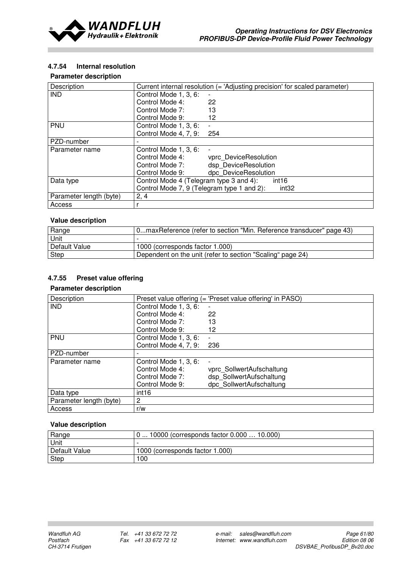

## 4.7.54 Internal resolution

### Parameter description

| Description             | Current internal resolution (= 'Adjusting precision' for scaled parameter) |                       |
|-------------------------|----------------------------------------------------------------------------|-----------------------|
| <b>IND</b>              | Control Mode 1, 3, 6:                                                      | $\blacksquare$        |
|                         | Control Mode 4:                                                            | 22                    |
|                         | Control Mode 7:                                                            | 13                    |
|                         | Control Mode 9:                                                            | 12                    |
| <b>PNU</b>              | Control Mode 1, 3, 6:                                                      |                       |
|                         | Control Mode 4, 7, 9:                                                      | 254                   |
| PZD-number              |                                                                            |                       |
| Parameter name          | Control Mode 1, 3, 6:                                                      | $\blacksquare$        |
|                         | Control Mode 4:                                                            | vprc DeviceResolution |
|                         | Control Mode 7:                                                            | dsp DeviceResolution  |
|                         | Control Mode 9:                                                            | dpc DeviceResolution  |
| Data type               | Control Mode 4 (Telegram type 3 and 4):<br>int <sub>16</sub>               |                       |
|                         | Control Mode 7, 9 (Telegram type 1 and 2):<br>int <sub>32</sub>            |                       |
| Parameter length (byte) | 2, 4                                                                       |                       |
| Access                  |                                                                            |                       |

# Value description

| Range         | 0maxReference (refer to section "Min. Reference transducer" page 43) |
|---------------|----------------------------------------------------------------------|
| Unit          |                                                                      |
| Default Value | 1000 (corresponds factor 1.000)                                      |
| Step          | Dependent on the unit (refer to section "Scaling" page 24)           |

## 4.7.55 Preset value offering

## Parameter description

| Description             |                       | Preset value offering (= 'Preset value offering' in PASO) |
|-------------------------|-----------------------|-----------------------------------------------------------|
| <b>IND</b>              | Control Mode 1, 3, 6: |                                                           |
|                         | Control Mode 4:       | 22                                                        |
|                         | Control Mode 7:       | 13                                                        |
|                         | Control Mode 9:       | 12                                                        |
| <b>PNU</b>              | Control Mode 1, 3, 6: |                                                           |
|                         | Control Mode 4, 7, 9: | 236                                                       |
| PZD-number              |                       |                                                           |
| Parameter name          | Control Mode 1, 3, 6: |                                                           |
|                         | Control Mode 4:       | vprc SollwertAufschaltung                                 |
|                         | Control Mode 7:       | dsp SollwertAufschaltung                                  |
|                         | Control Mode 9:       | dpc SollwertAufschaltung                                  |
| Data type               | int16                 |                                                           |
| Parameter length (byte) | 2                     |                                                           |
| Access                  | r/w                   |                                                           |

| Range         | 10000 (corresponds factor 0.000  10.000) |  |
|---------------|------------------------------------------|--|
| Unit          |                                          |  |
| Default Value | 1000 (corresponds factor 1.000)          |  |
| Step          | 00 I                                     |  |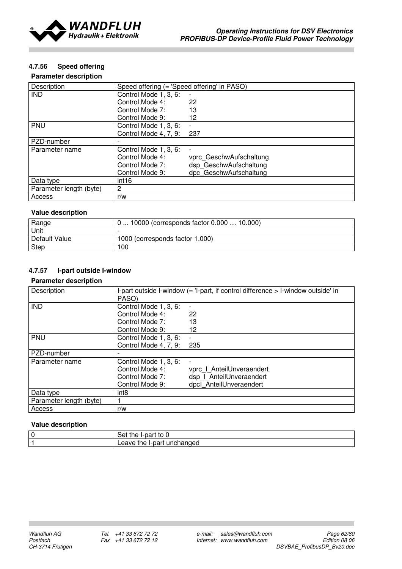

## 4.7.56 Speed offering

### Parameter description

| Description             | Speed offering (= 'Speed offering' in PASO) |                         |
|-------------------------|---------------------------------------------|-------------------------|
| <b>IND</b>              | Control Mode 1, 3, 6:                       |                         |
|                         | Control Mode 4:                             | 22                      |
|                         | Control Mode 7:                             | 13                      |
|                         | Control Mode 9:                             | 12                      |
| <b>PNU</b>              | Control Mode 1, 3, 6:                       | -                       |
|                         | Control Mode 4, 7, 9:                       | 237                     |
| PZD-number              |                                             |                         |
| Parameter name          | Control Mode 1, 3, 6:                       |                         |
|                         | Control Mode 4:                             | vprc GeschwAufschaltung |
|                         | Control Mode 7:                             | dsp GeschwAufschaltung  |
|                         | Control Mode 9:                             | dpc GeschwAufschaltung  |
| Data type               | int <sub>16</sub>                           |                         |
| Parameter length (byte) | $\overline{2}$                              |                         |
| Access                  | r/w                                         |                         |

#### Value description

| Range         | 10000 (corresponds factor 0.000  10.000) |
|---------------|------------------------------------------|
| Unit          |                                          |
| Default Value | 1000 (corresponds factor 1.000)          |
| Step          | 100                                      |

# 4.7.57 I-part outside I-window

#### Parameter description

| Description             |                       | I-part outside I-window (= 'I-part, if control difference > I-window outside' in |
|-------------------------|-----------------------|----------------------------------------------------------------------------------|
|                         | PASO)                 |                                                                                  |
|                         |                       |                                                                                  |
| <b>IND</b>              | Control Mode 1, 3, 6: | $\overline{\phantom{a}}$                                                         |
|                         | Control Mode 4:       | 22                                                                               |
|                         | Control Mode 7:       | 13                                                                               |
|                         | Control Mode 9:       | 12                                                                               |
| <b>PNU</b>              | Control Mode 1, 3, 6: | $\blacksquare$                                                                   |
|                         | Control Mode 4, 7, 9: | 235                                                                              |
| PZD-number              |                       |                                                                                  |
| Parameter name          | Control Mode 1, 3, 6: | $\overline{a}$                                                                   |
|                         | Control Mode 4:       | vprc   AnteilUnveraendert                                                        |
|                         | Control Mode 7:       | dsp   AnteilUnveraendert                                                         |
|                         | Control Mode 9:       | dpcl AnteilUnveraendert                                                          |
| Data type               | int <sub>8</sub>      |                                                                                  |
| Parameter length (byte) |                       |                                                                                  |
| Access                  | r/w                   |                                                                                  |

| $\overline{0}$ | . .<br>--<br>пe<br>יר<br>.<br>Jа                  |
|----------------|---------------------------------------------------|
| -4             | .<br>---<br>.eave<br>ndec<br>11 IC<br>ure<br>. Id |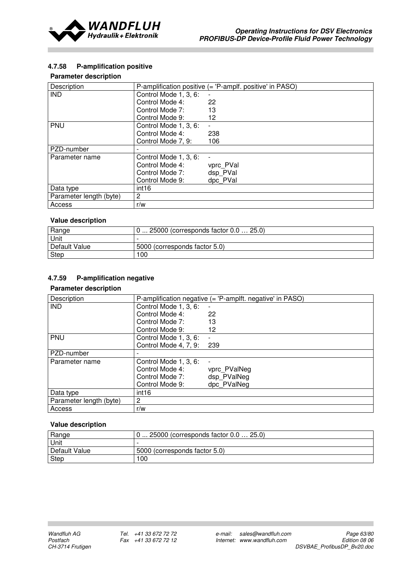

## 4.7.58 P-amplification positive

## Parameter description

| Description             | P-amplification positive (= 'P-amplf. positive' in PASO) |                          |
|-------------------------|----------------------------------------------------------|--------------------------|
| <b>IND</b>              | Control Mode 1, 3, 6:                                    | $\overline{\phantom{0}}$ |
|                         | Control Mode 4:                                          | 22                       |
|                         | Control Mode 7:                                          | 13                       |
|                         | Control Mode 9:                                          | 12                       |
| <b>PNU</b>              | Control Mode 1, 3, 6:                                    | ٠                        |
|                         | Control Mode 4:                                          | 238                      |
|                         | Control Mode 7, 9:                                       | 106                      |
| PZD-number              |                                                          |                          |
| Parameter name          | Control Mode 1, 3, 6:                                    |                          |
|                         | Control Mode 4:                                          | vprc PVal                |
|                         | Control Mode 7:                                          | dsp PVal                 |
|                         | Control Mode 9:                                          | dpc PVal                 |
| Data type               | int <sub>16</sub>                                        |                          |
| Parameter length (byte) | $\overline{c}$                                           |                          |
| Access                  | r/w                                                      |                          |

## Value description

| Range         | $0 25000$ (corresponds factor $0.0 25.0$ ) |
|---------------|--------------------------------------------|
| Unit          |                                            |
| Default Value | 5000 (corresponds factor 5.0)              |
| Step          | 100                                        |

## 4.7.59 P-amplification negative

### Parameter description

| Description             | P-amplification negative $(=$ 'P-amplft. negative' in PASO) |              |
|-------------------------|-------------------------------------------------------------|--------------|
| <b>IND</b>              | Control Mode 1, 3, 6:                                       |              |
|                         | Control Mode 4:                                             | 22           |
|                         | Control Mode 7:                                             | 13           |
|                         | Control Mode 9:                                             | 12           |
| PNU                     | Control Mode 1, 3, 6:                                       |              |
|                         | Control Mode 4, 7, 9:                                       | 239          |
| PZD-number              |                                                             |              |
| Parameter name          | Control Mode 1, 3, 6:                                       |              |
|                         | Control Mode 4:                                             | vprc PValNeg |
|                         | Control Mode 7:                                             | dsp PValNeg  |
|                         | Control Mode 9:                                             | dpc PValNeg  |
| Data type               | int16                                                       |              |
| Parameter length (byte) | 2                                                           |              |
| Access                  | r/w                                                         |              |

| Range         | 0  25000 (corresponds factor 0.0  25.0) |
|---------------|-----------------------------------------|
| Unit          |                                         |
| Default Value | 5000 (corresponds factor 5.0)           |
| Step          | 00 I                                    |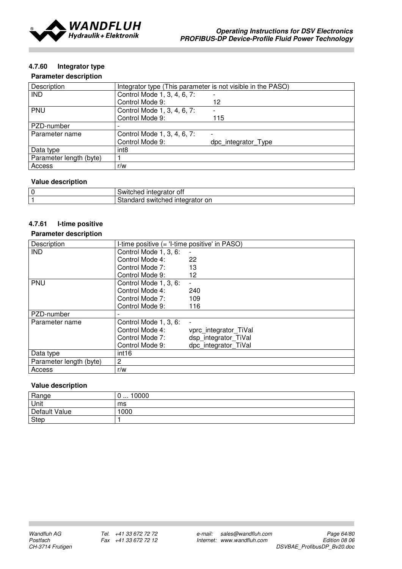

## 4.7.60 Integrator type

### Parameter description

| Description             | Integrator type (This parameter is not visible in the PASO) |                     |
|-------------------------|-------------------------------------------------------------|---------------------|
| <b>IND</b>              | Control Mode 1, 3, 4, 6, 7:                                 |                     |
|                         | Control Mode 9:                                             | 12                  |
| <b>PNU</b>              | Control Mode 1, 3, 4, 6, 7:                                 | Ξ.                  |
|                         | Control Mode 9:                                             | 115                 |
| PZD-number              |                                                             |                     |
| Parameter name          | Control Mode 1, 3, 4, 6, 7:                                 |                     |
|                         | Control Mode 9:                                             | dpc integrator Type |
| Data type               | int <sub>8</sub>                                            |                     |
| Parameter length (byte) |                                                             |                     |
| Access                  | r/w                                                         |                     |

## Value description

| $\overline{0}$ | .<br>∵oti<br>SWIL.<br>cneo<br>alui<br>.            |
|----------------|----------------------------------------------------|
| - 4            | ---<br>$\sim$<br>on<br>----<br>SWIT.<br>ence<br>ше |

### 4.7.61 I-time positive

#### Parameter description

| Description             | I-time positive (= 'I-time positive' in PASO) |                       |
|-------------------------|-----------------------------------------------|-----------------------|
| <b>IND</b>              | Control Mode 1, 3, 6:                         |                       |
|                         | Control Mode 4:                               | 22                    |
|                         | Control Mode 7:                               | 13                    |
|                         | Control Mode 9:                               | 12                    |
| PNU                     | Control Mode 1, 3, 6:                         |                       |
|                         | Control Mode 4:                               | 240                   |
|                         | Control Mode 7:                               | 109                   |
|                         | Control Mode 9:                               | 116                   |
| PZD-number              | $\overline{\phantom{a}}$                      |                       |
| Parameter name          | Control Mode 1, 3, 6:                         | $\overline{a}$        |
|                         | Control Mode 4:                               | vprc integrator TiVal |
|                         | Control Mode 7:                               | dsp integrator TiVal  |
|                         | Control Mode 9:                               | dpc_integrator TiVal  |
| Data type               | int <sub>16</sub>                             |                       |
| Parameter length (byte) | $\overline{2}$                                |                       |
| Access                  | r/w                                           |                       |

| Range         | 0000<br>.<br>ັ |
|---------------|----------------|
| Unit          | ms             |
| Default Value | 1000           |
| <b>Step</b>   |                |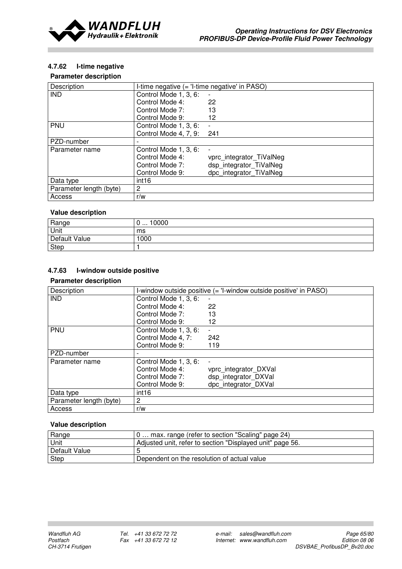

## 4.7.62 I-time negative

#### Parameter description

| Description             | I-time negative (= 'I-time negative' in PASO) |                          |
|-------------------------|-----------------------------------------------|--------------------------|
| <b>IND</b>              | Control Mode 1, 3, 6:                         |                          |
|                         | Control Mode 4:                               | 22                       |
|                         | Control Mode 7:                               | 13                       |
|                         | Control Mode 9:                               | 12                       |
| <b>PNU</b>              | Control Mode 1, 3, 6:                         |                          |
|                         | Control Mode 4, 7, 9:                         | 241                      |
| PZD-number              |                                               |                          |
| Parameter name          | Control Mode 1, 3, 6:                         |                          |
|                         | Control Mode 4:                               | vprc_integrator_TiValNeg |
|                         | Control Mode 7:                               | dsp integrator TiValNeg  |
|                         | Control Mode 9:                               | dpc_integrator_TiValNeg  |
| Data type               | int <sub>16</sub>                             |                          |
| Parameter length (byte) | 2                                             |                          |
| Access                  | r/w                                           |                          |

#### Value description

| Range         | 10000<br>ν<br> |
|---------------|----------------|
| Unit          | ms             |
| Default Value | 1000           |
| Step          |                |

## 4.7.63 I-window outside positive

#### Parameter description

| Description             | I-window outside positive (= 'I-window outside positive' in PASO) |                          |
|-------------------------|-------------------------------------------------------------------|--------------------------|
| <b>IND</b>              | Control Mode 1, 3, 6:                                             | $\overline{\phantom{a}}$ |
|                         | Control Mode 4:                                                   | 22                       |
|                         | Control Mode 7:                                                   | 13                       |
|                         | Control Mode 9:                                                   | 12                       |
| <b>PNU</b>              | Control Mode 1, 3, 6:                                             |                          |
|                         | Control Mode 4, 7:                                                | 242                      |
|                         | Control Mode 9:                                                   | 119                      |
| PZD-number              |                                                                   |                          |
| Parameter name          | Control Mode 1, 3, 6:                                             |                          |
|                         | Control Mode 4:                                                   | vprc integrator DXVal    |
|                         | Control Mode 7:                                                   | dsp_integrator_DXVal     |
|                         | Control Mode 9:                                                   | dpc integrator DXVal     |
| Data type               | int <sub>16</sub>                                                 |                          |
| Parameter length (byte) | $\overline{2}$                                                    |                          |
| Access                  | r/w                                                               |                          |

| Range         | 0 max. range (refer to section "Scaling" page 24)         |
|---------------|-----------------------------------------------------------|
| Unit          | Adjusted unit, refer to section "Displayed unit" page 56. |
| Default Value |                                                           |
| Step          | Dependent on the resolution of actual value               |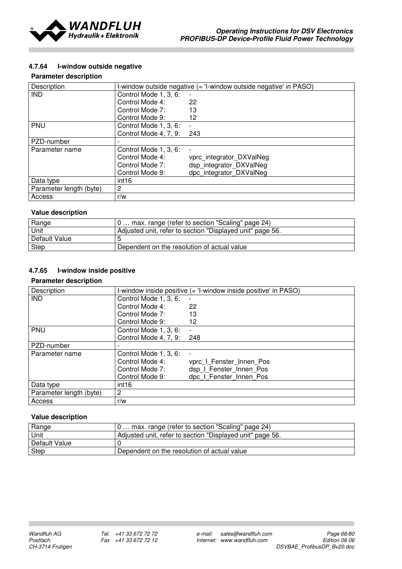

## 4.7.64 I-window outside negative

### Parameter description

| Description             | I-window outside negative (= 'I-window outside negative' in PASO) |                          |
|-------------------------|-------------------------------------------------------------------|--------------------------|
| <b>IND</b>              | Control Mode 1, 3, 6:                                             |                          |
|                         | Control Mode 4:                                                   | 22                       |
|                         | Control Mode 7:                                                   | 13                       |
|                         | Control Mode 9:                                                   | 12                       |
| <b>PNU</b>              | Control Mode 1, 3, 6:                                             |                          |
|                         | Control Mode 4, 7, 9: 243                                         |                          |
| PZD-number              |                                                                   |                          |
| Parameter name          | Control Mode 1, 3, 6:                                             |                          |
|                         | Control Mode 4:                                                   | vprc integrator DXValNeg |
|                         | Control Mode 7:                                                   | dsp integrator DXValNeg  |
|                         | Control Mode 9:                                                   | dpc integrator DXValNeg  |
| Data type               | int16                                                             |                          |
| Parameter length (byte) | $\overline{2}$                                                    |                          |
| Access                  | r/w                                                               |                          |

#### Value description

| Range         | 0 max. range (refer to section "Scaling" page 24)         |
|---------------|-----------------------------------------------------------|
| Unit          | Adjusted unit, refer to section "Displayed unit" page 56. |
| Default Value |                                                           |
| Step          | Dependent on the resolution of actual value               |

## 4.7.65 I-window inside positive

#### Parameter description

| Description             |                       | I-window inside positive (= 'I-window inside positive' in PASO) |
|-------------------------|-----------------------|-----------------------------------------------------------------|
| <b>IND</b>              | Control Mode 1, 3, 6: |                                                                 |
|                         | Control Mode 4:       | 22                                                              |
|                         | Control Mode 7:       | 13                                                              |
|                         | Control Mode 9:       | 12                                                              |
| <b>PNU</b>              | Control Mode 1, 3, 6: |                                                                 |
|                         | Control Mode 4, 7, 9: | 248                                                             |
| PZD-number              |                       |                                                                 |
| Parameter name          | Control Mode 1, 3, 6: |                                                                 |
|                         | Control Mode 4:       | vprc I Fenster Innen Pos                                        |
|                         | Control Mode 7:       | dsp I Fenster Innen Pos                                         |
|                         | Control Mode 9:       | dpc I Fenster Innen Pos                                         |
| Data type               | int16                 |                                                                 |
| Parameter length (byte) | $\overline{2}$        |                                                                 |
| Access                  | r/w                   |                                                                 |

| Range         | 0 max. range (refer to section "Scaling" page 24)         |
|---------------|-----------------------------------------------------------|
| Unit          | Adjusted unit, refer to section "Displayed unit" page 56. |
| Default Value |                                                           |
| <b>Step</b>   | Dependent on the resolution of actual value               |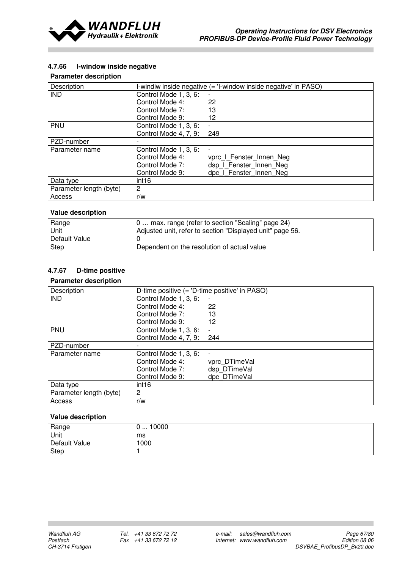

## 4.7.66 I-window inside negative

### Parameter description

| Description             |                       | I-windiw inside negative (= 'I-window inside negative' in PASO) |
|-------------------------|-----------------------|-----------------------------------------------------------------|
| <b>IND</b>              | Control Mode 1, 3, 6: |                                                                 |
|                         | Control Mode 4:       | 22                                                              |
|                         | Control Mode 7:       | 13                                                              |
|                         | Control Mode 9:       | 12                                                              |
| PNU                     | Control Mode 1, 3, 6: |                                                                 |
|                         | Control Mode 4, 7, 9: | 249                                                             |
| PZD-number              |                       |                                                                 |
| Parameter name          | Control Mode 1, 3, 6: | $\overline{\phantom{0}}$                                        |
|                         | Control Mode 4:       | vprc I Fenster Innen Neg                                        |
|                         | Control Mode 7:       | dsp I Fenster Innen Neg                                         |
|                         | Control Mode 9:       | dpc I Fenster Innen Neg                                         |
| Data type               | int <sub>16</sub>     |                                                                 |
| Parameter length (byte) | $\overline{2}$        |                                                                 |
| Access                  | r/w                   |                                                                 |

#### Value description

| Range         | 0 max. range (refer to section "Scaling" page 24)         |
|---------------|-----------------------------------------------------------|
| Unit          | Adjusted unit, refer to section "Displayed unit" page 56. |
| Default Value |                                                           |
| Step          | Dependent on the resolution of actual value               |

# 4.7.67 D-time positive

#### Parameter description

| Description             | D-time positive (= 'D-time positive' in PASO) |                |
|-------------------------|-----------------------------------------------|----------------|
| <b>IND</b>              | Control Mode 1, 3, 6:                         |                |
|                         | Control Mode 4:                               | 22             |
|                         | Control Mode 7:                               | 13             |
|                         | Control Mode 9:                               | 12             |
| PNU                     | Control Mode 1, 3, 6:                         |                |
|                         | Control Mode 4, 7, 9:                         | 244            |
| PZD-number              |                                               |                |
| Parameter name          | Control Mode 1, 3, 6:                         | $\overline{a}$ |
|                         | Control Mode 4:                               | vprc DTimeVal  |
|                         | Control Mode 7:                               | dsp DTimeVal   |
|                         | Control Mode 9:                               | dpc DTimeVal   |
| Data type               | int <sub>16</sub>                             |                |
| Parameter length (byte) | $\overline{c}$                                |                |
| Access                  | r/w                                           |                |

| Range         | 10000<br>ັ<br>$\cdots$ |
|---------------|------------------------|
| Unit          | ms                     |
| Default Value | 1000                   |
| Step          |                        |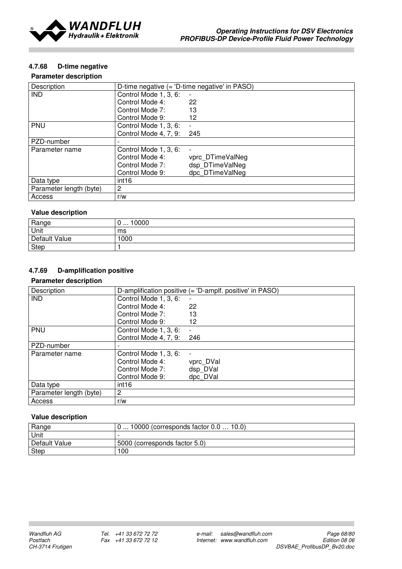

## 4.7.68 D-time negative

## Parameter description

| Description             | D-time negative (= 'D-time negative' in PASO) |                  |
|-------------------------|-----------------------------------------------|------------------|
| <b>IND</b>              | Control Mode 1, 3, 6:                         | -                |
|                         | Control Mode 4:                               | 22               |
|                         | Control Mode 7:                               | 13               |
|                         | Control Mode 9:                               | 12               |
| <b>PNU</b>              | Control Mode 1, 3, 6:                         |                  |
|                         | Control Mode 4, 7, 9:                         | 245              |
| PZD-number              |                                               |                  |
| Parameter name          | Control Mode 1, 3, 6:                         |                  |
|                         | Control Mode 4:                               | vprc DTimeValNeg |
|                         | Control Mode 7:                               | dsp DTimeValNeg  |
|                         | Control Mode 9:                               | dpc DTimeValNeg  |
| Data type               | int16                                         |                  |
| Parameter length (byte) | $\overline{2}$                                |                  |
| Access                  | r/w                                           |                  |

## Value description

| Range         | 0000<br>ັບ |
|---------------|------------|
| Unit          | ms         |
| Default Value | 1000       |
| <b>Step</b>   |            |

## 4.7.69 D-amplification positive

#### Parameter description

| Description             | D-amplification positive (= 'D-amplf. positive' in PASO) |                          |
|-------------------------|----------------------------------------------------------|--------------------------|
| <b>IND</b>              | Control Mode 1, 3, 6:                                    | $\overline{\phantom{a}}$ |
|                         | Control Mode 4:                                          | 22                       |
|                         | Control Mode 7:                                          | 13                       |
|                         | Control Mode 9:                                          | 12                       |
| PNU                     | Control Mode 1, 3, 6:                                    | $\blacksquare$           |
|                         | Control Mode 4, 7, 9:                                    | 246                      |
| PZD-number              |                                                          |                          |
| Parameter name          | Control Mode 1, 3, 6:                                    | $\blacksquare$           |
|                         | Control Mode 4:                                          | vprc DVal                |
|                         | Control Mode 7:                                          | dsp DVal                 |
|                         | Control Mode 9:                                          | dpc DVal                 |
| Data type               | int <sub>16</sub>                                        |                          |
| Parameter length (byte) | $\overline{2}$                                           |                          |
| Access                  | r/w                                                      |                          |

| Range         | 0  10000 (corresponds factor 0.0  10.0) |  |  |
|---------------|-----------------------------------------|--|--|
| Unit          |                                         |  |  |
| Default Value | 5000 (corresponds factor 5.0)           |  |  |
| <b>Step</b>   | 100                                     |  |  |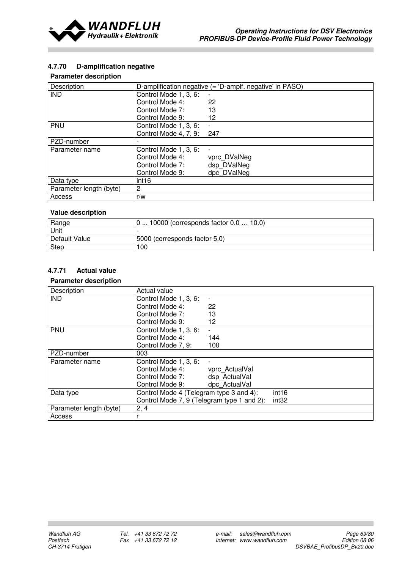

## 4.7.70 D-amplification negative

### Parameter description

| Description             | D-amplification negative (= 'D-amplf. negative' in PASO) |              |  |
|-------------------------|----------------------------------------------------------|--------------|--|
| <b>IND</b>              | Control Mode 1, 3, 6:                                    |              |  |
|                         | Control Mode 4:                                          | 22           |  |
|                         | Control Mode 7:                                          | 13           |  |
|                         | Control Mode 9:                                          | 12           |  |
| <b>PNU</b>              | Control Mode 1, 3, 6:                                    |              |  |
|                         | Control Mode 4, 7, 9:                                    | 247          |  |
| PZD-number              |                                                          |              |  |
| Parameter name          | Control Mode 1, 3, 6:                                    |              |  |
|                         | Control Mode 4:                                          | vprc DValNeg |  |
|                         | Control Mode 7:                                          | dsp DValNeg  |  |
|                         | Control Mode 9:                                          | dpc DValNeg  |  |
| Data type               | int <sub>16</sub>                                        |              |  |
| Parameter length (byte) | $\overline{2}$                                           |              |  |
| Access                  | r/w                                                      |              |  |

#### Value description

| Range         | 10000 (corresponds factor 0.0  10.0) |
|---------------|--------------------------------------|
| Unit          |                                      |
| Default Value | 5000 (corresponds factor 5.0)        |
| Step          | 100                                  |

# 4.7.71 Actual value

| Description             | Actual value                                                 |                          |                   |
|-------------------------|--------------------------------------------------------------|--------------------------|-------------------|
| <b>IND</b>              | Control Mode 1, 3, 6:                                        | $\overline{\phantom{a}}$ |                   |
|                         | Control Mode 4:                                              | 22                       |                   |
|                         | Control Mode 7:                                              | 13                       |                   |
|                         | Control Mode 9:                                              | 12                       |                   |
| <b>PNU</b>              | Control Mode 1, 3, 6:                                        |                          |                   |
|                         | Control Mode 4:                                              | 144                      |                   |
|                         | Control Mode 7, 9:                                           | 100                      |                   |
| PZD-number              | 003                                                          |                          |                   |
| Parameter name          | Control Mode 1, 3, 6:                                        |                          |                   |
|                         | Control Mode 4:                                              | vprc ActualVal           |                   |
|                         | Control Mode 7:                                              | dsp ActualVal            |                   |
|                         | Control Mode 9:                                              | dpc ActualVal            |                   |
| Data type               | Control Mode 4 (Telegram type 3 and 4):<br>int <sub>16</sub> |                          |                   |
|                         | Control Mode 7, 9 (Telegram type 1 and 2):                   |                          | int <sub>32</sub> |
| Parameter length (byte) | 2, 4                                                         |                          |                   |
| Access                  |                                                              |                          |                   |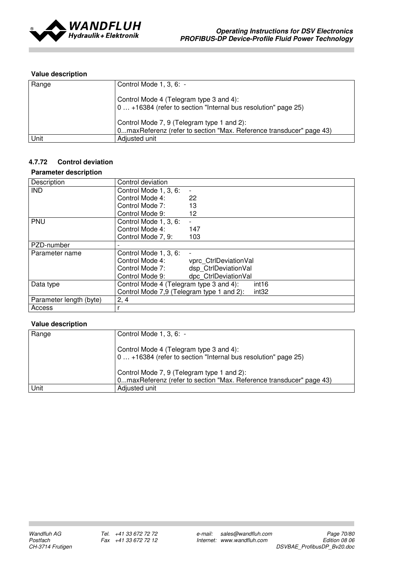

| Range | Control Mode $1, 3, 6: -$                                                                                         |
|-------|-------------------------------------------------------------------------------------------------------------------|
|       | Control Mode 4 (Telegram type 3 and 4):<br>0 +16384 (refer to section "Internal bus resolution" page 25)          |
|       | Control Mode 7, 9 (Telegram type 1 and 2):<br>0maxReferenz (refer to section "Max. Reference transducer" page 43) |
| Unit  | Adjusted unit                                                                                                     |

## 4.7.72 Control deviation

#### Parameter description

| Description             | Control deviation                                            |                       |  |
|-------------------------|--------------------------------------------------------------|-----------------------|--|
| <b>IND</b>              | Control Mode 1, 3, 6:                                        | $\blacksquare$        |  |
|                         | Control Mode 4:                                              | 22                    |  |
|                         | Control Mode 7:                                              | 13                    |  |
|                         | Control Mode 9:                                              | 12                    |  |
| PNU                     | Control Mode 1, 3, 6:                                        |                       |  |
|                         | Control Mode 4:                                              | 147                   |  |
|                         | Control Mode 7, 9:                                           | 103                   |  |
| PZD-number              |                                                              |                       |  |
| Parameter name          | Control Mode 1, 3, 6:                                        |                       |  |
|                         | Control Mode 4:                                              | vprc_CtrlDeviationVal |  |
|                         | Control Mode 7:                                              | dsp CtrlDeviationVal  |  |
|                         | Control Mode 9:                                              | dpc CtrlDeviationVal  |  |
| Data type               | Control Mode 4 (Telegram type 3 and 4):<br>int <sub>16</sub> |                       |  |
|                         | Control Mode 7,9 (Telegram type 1 and 2):                    | int <sub>32</sub>     |  |
| Parameter length (byte) | 2, 4                                                         |                       |  |
| Access                  |                                                              |                       |  |

| Range | Control Mode 1, 3, 6: -                                                                                           |
|-------|-------------------------------------------------------------------------------------------------------------------|
|       | Control Mode 4 (Telegram type 3 and 4):<br>0 +16384 (refer to section "Internal bus resolution" page 25)          |
|       | Control Mode 7, 9 (Telegram type 1 and 2):<br>0maxReferenz (refer to section "Max. Reference transducer" page 43) |
| Unit  | Adjusted unit                                                                                                     |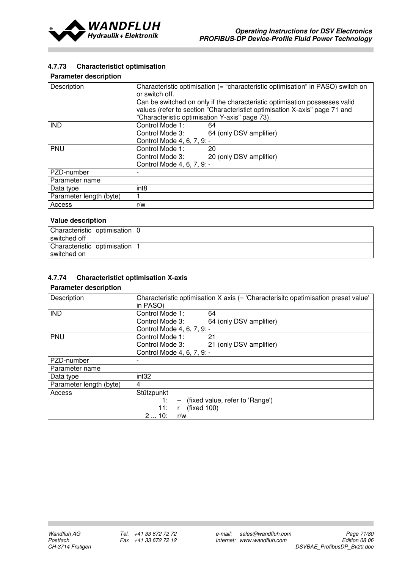

## 4.7.73 Characteristict optimisation

### Parameter description

| Description             | Characteristic optimisation (= "characteristic optimisation" in PASO) switch on<br>or switch off.<br>Can be switched on only if the characteristic optimisation possesses valid<br>values (refer to section "Characteristict optimisation X-axis" page 71 and<br>"Characteristic optimisation Y-axis" page 73). |  |  |
|-------------------------|-----------------------------------------------------------------------------------------------------------------------------------------------------------------------------------------------------------------------------------------------------------------------------------------------------------------|--|--|
| <b>IND</b>              | Control Mode 1:<br>64                                                                                                                                                                                                                                                                                           |  |  |
|                         | Control Mode 3: 64 (only DSV amplifier)                                                                                                                                                                                                                                                                         |  |  |
|                         | Control Mode 4, 6, 7, 9: -                                                                                                                                                                                                                                                                                      |  |  |
| <b>PNU</b>              | Control Mode 1:<br>-20                                                                                                                                                                                                                                                                                          |  |  |
|                         | Control Mode 3: 20 (only DSV amplifier)                                                                                                                                                                                                                                                                         |  |  |
|                         | Control Mode 4, 6, 7, 9: -                                                                                                                                                                                                                                                                                      |  |  |
| PZD-number              |                                                                                                                                                                                                                                                                                                                 |  |  |
| Parameter name          |                                                                                                                                                                                                                                                                                                                 |  |  |
| Data type               | int <sub>8</sub>                                                                                                                                                                                                                                                                                                |  |  |
| Parameter length (byte) |                                                                                                                                                                                                                                                                                                                 |  |  |
| Access                  | r/w                                                                                                                                                                                                                                                                                                             |  |  |

# Value description

| Characteristic optimisation   0 |  |
|---------------------------------|--|
| switched off                    |  |
| Characteristic optimisation   1 |  |
| switched on                     |  |

## 4.7.74 Characteristict optimisation X-axis

| Description             | Characteristic optimisation X axis (= 'Characterisitc opetimisation preset value'<br>in PASO) |  |  |
|-------------------------|-----------------------------------------------------------------------------------------------|--|--|
| <b>IND</b>              | Control Mode 1:<br>64                                                                         |  |  |
|                         | Control Mode 3:<br>64 (only DSV amplifier)                                                    |  |  |
|                         | Control Mode 4, 6, 7, 9: -                                                                    |  |  |
| <b>PNU</b>              | Control Mode 1:<br>21                                                                         |  |  |
|                         | Control Mode 3: 21 (only DSV amplifier)                                                       |  |  |
|                         | Control Mode 4, 6, 7, 9: -                                                                    |  |  |
| PZD-number              |                                                                                               |  |  |
| Parameter name          |                                                                                               |  |  |
| Data type               | int <sub>32</sub>                                                                             |  |  |
| Parameter length (byte) | 4                                                                                             |  |  |
| Access                  | Stützpunkt                                                                                    |  |  |
|                         | - (fixed value, refer to 'Range')<br>1:                                                       |  |  |
|                         | (fixed 100)<br>11:<br>$\mathsf{r}$                                                            |  |  |
|                         | 210:<br>r/w                                                                                   |  |  |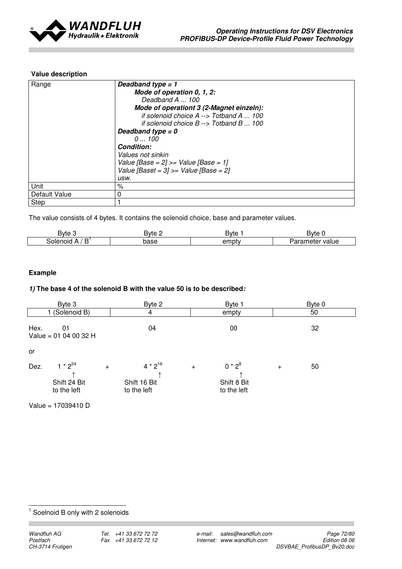

| Range         | Deadband type $= 1$<br>Mode of operation 0, 1, 2:         |  |  |
|---------------|-----------------------------------------------------------|--|--|
|               | Deadband A  100                                           |  |  |
|               | Mode of operationt 3 (2-Magnet einzeln):                  |  |  |
|               | if solenoid choice A --> Totband A  100                   |  |  |
|               | if solenoid choice $B \rightarrow$ Totband B $\ldots$ 100 |  |  |
|               | Deadband type $= 0$                                       |  |  |
|               | 0100                                                      |  |  |
|               | <b>Condition:</b>                                         |  |  |
|               | Values not sinkin                                         |  |  |
|               | Value [Base = $2$ ] >= Value [Base = 1]                   |  |  |
|               | Value [Baset = $3$ ] >= Value [Base = $2$ ]               |  |  |
|               | usw.                                                      |  |  |
| Unit          | $\%$                                                      |  |  |
| Default Value | 0                                                         |  |  |
| Step          |                                                           |  |  |

The value consists of 4 bytes. It contains the solenoid choice, base and parameter values.

| Bvte                           | <b>Byte</b> | Bvte  | Bvte                     |
|--------------------------------|-------------|-------|--------------------------|
| D<br>iolenoid<br>. .<br>¬<br>ш | base        | empty | value<br>neter<br>`di di |

## Example

### 1) The base 4 of the solenoid B with the value 50 is to be described:

| Byte 3                                                     | Byte 2                                      | Byte 1                                         | Byte 0    |
|------------------------------------------------------------|---------------------------------------------|------------------------------------------------|-----------|
| (Solenoid B)                                               | 4                                           | empty                                          | 50        |
| Hex.<br>01<br>Value = $01040032$ H                         | 04                                          | 00                                             | 32        |
| or                                                         |                                             |                                                |           |
| $1 * 2^{24}$<br>Dez.<br>$+$<br>Shift 24 Bit<br>to the left | $4 * 2^{16}$<br>Shift 16 Bit<br>to the left | $0 * 2^8$<br>$+$<br>Shift 8 Bit<br>to the left | 50<br>$+$ |

Value = 17039410 D

**1** Soelnoid B only with 2 solenoids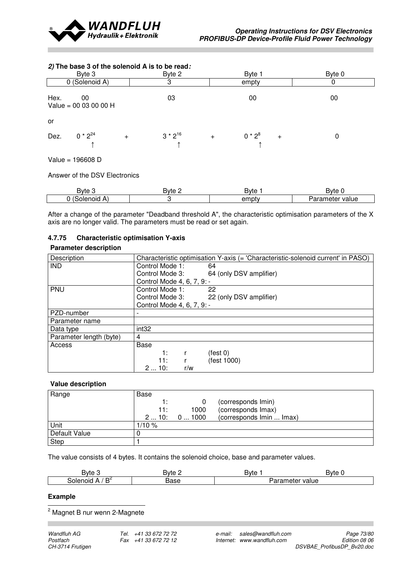

# 2) The base 3 of the solenoid A is to be read: Byte 3 Byte 2 Byte 2 Byte 1 Byte 1 Byte 0 0 (Solenoid A) 3 8 empty 0 Hex. 00 03 03 00 00 00 Value = 00 03 00 00 H or Dez.  $0 * 2^{24}$  +  $3 * 2^{16}$  +  $0 * 2^8$  $+$  0  $\uparrow$  and  $\uparrow$  and  $\uparrow$  and  $\uparrow$ Value = 196608 D Answer of the DSV Electronics

| ರ∨te                                | <b>Byte</b> | Bvte  | <b>Byte</b>                     |
|-------------------------------------|-------------|-------|---------------------------------|
| $\sqrt{2}$<br>Solenoid<br>. .<br>n, |             | empty | eter value<br>.<br>amere.<br>л. |

After a change of the parameter "Deadband threshold A", the characteristic optimisation parameters of the X axis are no longer valid. The parameters must be read or set again.

### 4.7.75 Characteristic optimisation Y-axis

#### Parameter description

| Description             | Characteristic optimisation Y-axis (= 'Characteristic-solenoid current' in PASO) |
|-------------------------|----------------------------------------------------------------------------------|
| <b>IND</b>              | Control Mode 1:<br>64                                                            |
|                         | Control Mode 3:<br>64 (only DSV amplifier)                                       |
|                         | Control Mode 4, 6, 7, 9: -                                                       |
| <b>PNU</b>              | Control Mode 1:<br>22                                                            |
|                         | 22 (only DSV amplifier)<br>Control Mode 3:                                       |
|                         | Control Mode 4, 6, 7, 9: -                                                       |
| PZD-number              |                                                                                  |
| Parameter name          |                                                                                  |
| Data type               | int <sub>32</sub>                                                                |
| Parameter length (byte) | 4                                                                                |
| Access                  | Base                                                                             |
|                         | (test 0)<br>1:                                                                   |
|                         | (fest 1000)<br>11:                                                               |
|                         | 210:<br>r/w                                                                      |

#### Value description

| Range         | Base  |            |                          |
|---------------|-------|------------|--------------------------|
|               |       |            | (corresponds Imin)       |
|               | 11:   | 1000       | (corresponds Imax)       |
|               |       | 210: 01000 | (corresponds Imin  Imax) |
| Unit          | 1/10% |            |                          |
| Default Value |       |            |                          |
| <b>Step</b>   |       |            |                          |

The value consists of 4 bytes. It contains the solenoid choice, base and parameter values.

| <b>Byte</b>                              | Bvte<br>- | Bvte                  | . svte     |
|------------------------------------------|-----------|-----------------------|------------|
| D4<br>solenoic<br>$\mathbf{v}$<br>_<br>∽ | 3ase      | - - - -<br>neier<br>- | value<br>. |

#### Example

2 Magnet B nur wenn 2-Magnete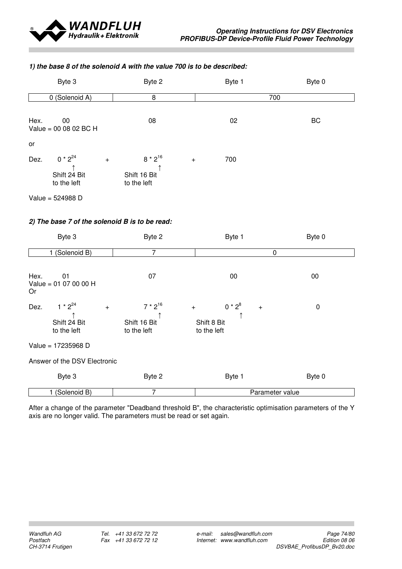

#### 1) the base 8 of the solenoid A with the value 700 is to be described:

| Byte 3                                                     | Byte 2                                             | Byte 1 | Byte 0 |
|------------------------------------------------------------|----------------------------------------------------|--------|--------|
| 0 (Solenoid A)                                             | 8                                                  |        | 700    |
| Hex.<br>00<br>Value = 00 08 02 BC H                        | 08                                                 | 02     | BC     |
| or                                                         |                                                    |        |        |
| $0 * 2^{24}$<br>Dez.<br>$+$<br>Shift 24 Bit<br>to the left | $8 * 2^{16}$<br>$+$<br>Shift 16 Bit<br>to the left | 700    |        |
| Value = 524988 D                                           |                                                    |        |        |

### 2) The base 7 of the solenoid B is to be read:

| Byte 3                                                     | Byte 2                                      | Byte 1                                                      | Byte 0           |
|------------------------------------------------------------|---------------------------------------------|-------------------------------------------------------------|------------------|
| (Solenoid B)                                               | 7                                           | 0                                                           |                  |
| Hex.<br>01<br>Value = $0107000$ H<br><b>Or</b>             | 07                                          | 00                                                          | 00               |
| $1 * 2^{24}$<br>Dez.<br>$+$<br>Shift 24 Bit<br>to the left | $7 * 2^{16}$<br>Shift 16 Bit<br>to the left | $0 * 2^8$<br>$\ddot{}$<br>$+$<br>Shift 8 Bit<br>to the left | $\boldsymbol{0}$ |
| Value = 17235968 D                                         |                                             |                                                             |                  |
| Answer of the DSV Electronic                               |                                             |                                                             |                  |
| Byte 3                                                     | Byte 2                                      | Byte 1                                                      | Byte 0           |
| (Solenoid B)                                               | 7                                           | Parameter value                                             |                  |

After a change of the parameter "Deadband threshold B", the characteristic optimisation parameters of the Y axis are no longer valid. The parameters must be read or set again.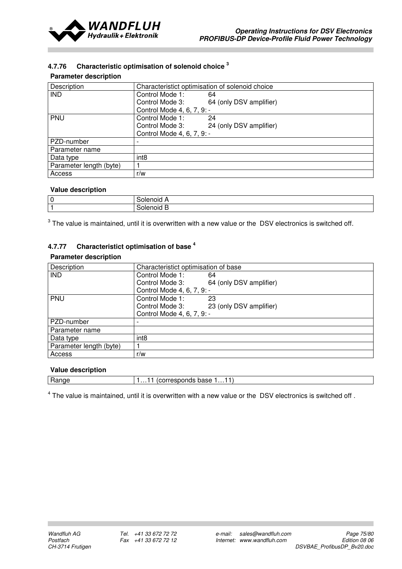

## 4.7.76 Characteristic optimisation of solenoid choice<sup>3</sup>

#### Parameter description

| Description             |                            | Characteristict optimisation of solenoid choice |
|-------------------------|----------------------------|-------------------------------------------------|
| <b>IND</b>              | Control Mode 1:            | 64                                              |
|                         | Control Mode 3:            | 64 (only DSV amplifier)                         |
|                         | Control Mode 4, 6, 7, 9: - |                                                 |
| <b>PNU</b>              | Control Mode 1:            | 24                                              |
|                         | Control Mode 3:            | 24 (only DSV amplifier)                         |
|                         | Control Mode 4, 6, 7, 9: - |                                                 |
| PZD-number              |                            |                                                 |
| Parameter name          |                            |                                                 |
| Data type               | int <sub>8</sub>           |                                                 |
| Parameter length (byte) |                            |                                                 |
| Access                  | r/w                        |                                                 |

#### Value description

| $\sim$<br>u | ж |
|-------------|---|
| . .         | ж |

 $3$  The value is maintained, until it is overwritten with a new value or the DSV electronics is switched off.

# 4.7.77 Characteristict optimisation of base<sup>4</sup>

### Parameter description

| Description             | Characteristict optimisation of base |                         |
|-------------------------|--------------------------------------|-------------------------|
| <b>IND</b>              | Control Mode 1:                      | 64                      |
|                         | Control Mode 3:                      | 64 (only DSV amplifier) |
|                         | Control Mode 4, 6, 7, 9: -           |                         |
| PNU                     | Control Mode 1:                      | 23                      |
|                         | Control Mode 3:                      | 23 (only DSV amplifier) |
|                         | Control Mode 4, 6, 7, 9: -           |                         |
| PZD-number              | $\overline{\phantom{a}}$             |                         |
| Parameter name          |                                      |                         |
| Data type               | int <sub>8</sub>                     |                         |
| Parameter length (byte) |                                      |                         |
| Access                  | r/w                                  |                         |

#### Value description

| _<br>Ð<br>$\sim$ | Jase<br>,,,,,,<br>.<br>. |
|------------------|--------------------------|
|                  |                          |

 $<sup>4</sup>$  The value is maintained, until it is overwritten with a new value or the DSV electronics is switched off .</sup>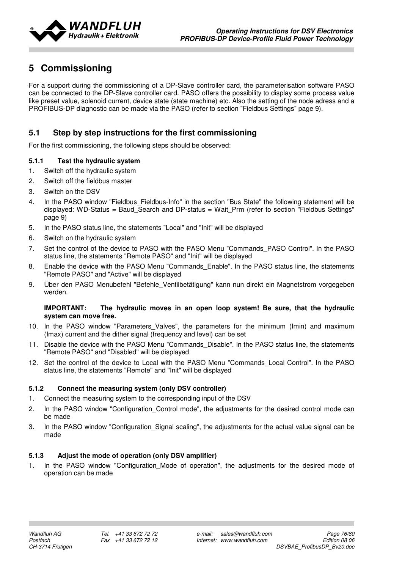

# 5 Commissioning

For a support during the commissioning of a DP-Slave controller card, the parameterisation software PASO can be connected to the DP-Slave controller card. PASO offers the possibility to display some process value like preset value, solenoid current, device state (state machine) etc. Also the setting of the node adress and a PROFIBUS-DP diagnostic can be made via the PASO (refer to section "Fieldbus Settings" page 9).

# 5.1 Step by step instructions for the first commissioning

For the first commissioning, the following steps should be observed:

### 5.1.1 Test the hydraulic system

- 1. Switch off the hydraulic system
- 2. Switch off the fieldbus master
- 3. Switch on the DSV
- 4. In the PASO window "Fieldbus Fieldbus-Info" in the section "Bus State" the following statement will be displayed: WD-Status = Baud Search and DP-status = Wait Prm (refer to section "Fieldbus Settings" page 9)
- 5. In the PASO status line, the statements "Local" and "Init" will be displayed
- 6. Switch on the hydraulic system
- 7. Set the control of the device to PASO with the PASO Menu "Commands\_PASO Control". In the PASO status line, the statements "Remote PASO" and "Init" will be displayed
- 8. Enable the device with the PASO Menu "Commands Enable". In the PASO status line, the statements "Remote PASO" and "Active" will be displayed
- 9. Über den PASO Menubefehl "Befehle Ventilbetätigung" kann nun direkt ein Magnetstrom vorgegeben werden.

#### IMPORTANT: The hydraulic moves in an open loop system! Be sure, that the hydraulic system can move free.

- 10. In the PASO window "Parameters\_Valves", the parameters for the minimum (Imin) and maximum (Imax) current and the dither signal (frequency and level) can be set
- 11. Disable the device with the PASO Menu "Commands\_Disable". In the PASO status line, the statements "Remote PASO" and "Disabled" will be displayed
- 12. Set the control of the device to Local with the PASO Menu "Commands\_Local Control". In the PASO status line, the statements "Remote" and "Init" will be displayed

#### 5.1.2 Connect the measuring system (only DSV controller)

- 1. Connect the measuring system to the corresponding input of the DSV
- 2. In the PASO window "Configuration\_Control mode", the adjustments for the desired control mode can be made
- 3. In the PASO window "Configuration\_Signal scaling", the adjustments for the actual value signal can be made

#### 5.1.3 Adjust the mode of operation (only DSV amplifier)

1. In the PASO window "Configuration Mode of operation", the adjustments for the desired mode of operation can be made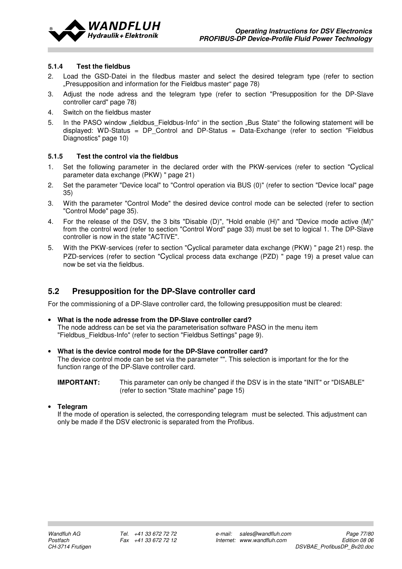

#### 5.1.4 Test the fieldbus

- 2. Load the GSD-Datei in the filedbus master and select the desired telegram type (refer to section "Presupposition and information for the Fieldbus master" page 78)
- 3. Adjust the node adress and the telegram type (refer to section "Presupposition for the DP-Slave controller card" page 78)
- 4. Switch on the fieldbus master
- 5. In the PASO window "fieldbus Fieldbus-Info" in the section "Bus State" the following statement will be displayed: WD-Status = DP Control and DP-Status = Data-Exchange (refer to section "Fieldbus Diagnostics" page 10)

#### 5.1.5 Test the control via the fieldbus

- 1. Set the following parameter in the declared order with the PKW-services (refer to section "Cyclical parameter data exchange (PKW) " page 21)
- 2. Set the parameter "Device local" to "Control operation via BUS (0)" (refer to section "Device local" page 35)
- 3. With the parameter "Control Mode" the desired device control mode can be selected (refer to section "Control Mode" page 35).
- 4. For the release of the DSV, the 3 bits "Disable (D)", "Hold enable (H)" and "Device mode active (M)" from the control word (refer to section "Control Word" page 33) must be set to logical 1. The DP-Slave controller is now in the state "ACTIVE".
- 5. With the PKW-services (refer to section "Cyclical parameter data exchange (PKW) " page 21) resp. the PZD-services (refer to section "Cyclical process data exchange (PZD) " page 19) a preset value can now be set via the fieldbus.

### 5.2 Presupposition for the DP-Slave controller card

For the commissioning of a DP-Slave controller card, the following presupposition must be cleared:

- What is the node adresse from the DP-Slave controller card? The node address can be set via the parameterisation software PASO in the menu item "Fieldbus Fieldbus-Info" (refer to section "Fieldbus Settings" page 9).
- What is the device control mode for the DP-Slave controller card? The device control mode can be set via the parameter "". This selection is important for the for the function range of the DP-Slave controller card.

#### **Telegram**

If the mode of operation is selected, the corresponding telegram must be selected. This adjustment can only be made if the DSV electronic is separated from the Profibus.

IMPORTANT: This parameter can only be changed if the DSV is in the state "INIT" or "DISABLE" (refer to section "State machine" page 15)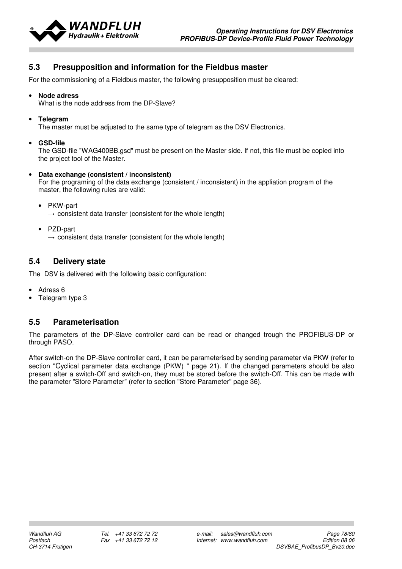

## 5.3 Presupposition and information for the Fieldbus master

For the commissioning of a Fieldbus master, the following presupposition must be cleared:

• Node adress

What is the node address from the DP-Slave?

• Telegram

The master must be adjusted to the same type of telegram as the DSV Electronics.

• GSD-file

The GSD-file "WAG400BB.gsd" must be present on the Master side. If not, this file must be copied into the project tool of the Master.

• Data exchange (consistent / inconsistent)

For the programing of the data exchange (consistent / inconsistent) in the appliation program of the master, the following rules are valid:

- PKW-part  $\rightarrow$  consistent data transfer (consistent for the whole length)
- PZD-part

 $\rightarrow$  consistent data transfer (consistent for the whole length)

## 5.4 Delivery state

The DSV is delivered with the following basic configuration:

- Adress 6
- Telegram type 3

## 5.5 Parameterisation

The parameters of the DP-Slave controller card can be read or changed trough the PROFIBUS-DP or through PASO.

After switch-on the DP-Slave controller card, it can be parameterised by sending parameter via PKW (refer to section "Cyclical parameter data exchange (PKW) " page 21). If the changed parameters should be also present after a switch-Off and switch-on, they must be stored before the switch-Off. This can be made with the parameter "Store Parameter" (refer to section "Store Parameter" page 36).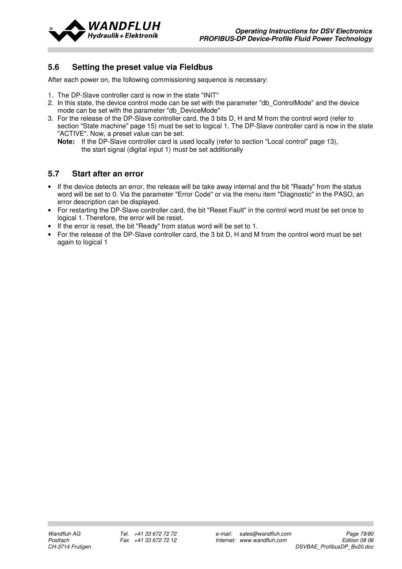

## 5.6 Setting the preset value via Fieldbus

After each power on, the following commissioning sequence is necessary:

- 1. The DP-Slave controller card is now in the state "INIT"
- 2. In this state, the device control mode can be set with the parameter "db\_ControlMode" and the device mode can be set with the parameter "db\_DeviceMode"
- 3. For the release of the DP-Slave controller card, the 3 bits D, H and M from the control word (refer to section "State machine" page 15) must be set to logical 1. The DP-Slave controller card is now in the state "ACTIVE". Now, a preset value can be set.
	- Note: If the DP-Slave controller card is used locally (refer to section "Local control" page 13), the start signal (digital input 1) must be set additionally

## 5.7 Start after an error

- If the device detects an error, the release will be take away internal and the bit "Ready" from the status word will be set to 0. Via the parameter "Error Code" or via the menu item "Diagnostic" in the PASO, an error description can be displayed.
- For restarting the DP-Slave controller card, the bit "Reset Fault" in the control word must be set once to logical 1. Therefore, the error will be reset.
- If the error is reset, the bit "Ready" from status word will be set to 1.
- For the release of the DP-Slave controller card, the 3 bit D, H and M from the control word must be set again to logical 1